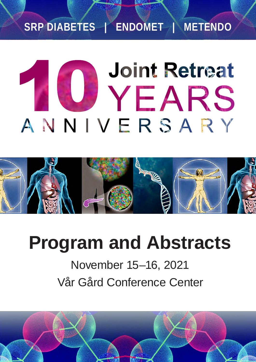## **SRP DIABETES | ENDOMET | METENDO**

# **Joint Retreat** U YEARS ANNIVERSARY



# **Program and Abstracts**

November 15–16, 2021 Vår Gård Conference Center

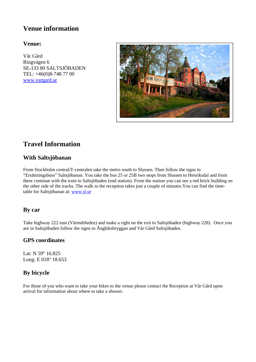## **Venue information**

#### **Venue:**

Vår Gård Ringvägen 6 SE-133 80 SALTSJÖBADEN TEL: +46(0)8-748 77 00 www.vargard.se



## **Travel Information**

### **With Saltsjöbanan**

From Stockholm central/T-centralen take the metro south to Slussen. Then follow the signs to "Ersättningsbuss" Saltsjöbanan. You take the bus 25 or 25B two stops from Slussen to Henriksdal and from there continue with the train to Saltsjöbaden (end station). From the station you can see a red brick building on the other side of the tracks. The walk to the reception takes just a couple of minutes.You can find the timetable for Saltsjöbanan at: www.sl.se

#### **By car**

Take highway 222 east (Värmdöleden) and make a right on the exit to Saltsjöbaden (highway 228). Once you are in Saltsjöbaden follow the signs to Ångbåtsbryggan and Vår Gård Saltsjöbaden.

#### **GPS coordinates**

Lat: N 59° 16.825 Long: E 018° 18.653

### **By bicycle**

For those of you who want to take your bikes to the venue please contact the Reception at Vår Gård upon arrival for information about where to take a shower.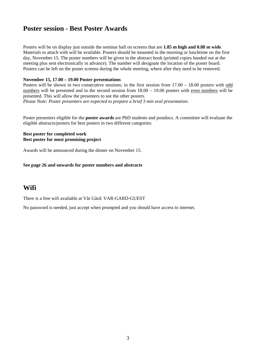## **Poster session - Best Poster Awards**

Posters will be on display just outside the seminar hall on screens that are **1.85 m high and 0.88 m wide**. Materials to attach with will be available. Posters should be mounted in the morning or lunchtime on the first day, November 15. The poster numbers will be given in the abstract book (printed copies handed out at the meeting plus sent electronically in advance). The number will designate the location of the poster board. Posters can be left on the poster screens during the whole meeting, where after they need to be removed.

#### **November 15, 17.00 – 19.00 Poster presentations**

Posters will be shown in two consecutive sessions; in the first session from  $17.00 - 18.00$  posters with odd numbers will be presented and in the second session from  $18.00 - 19.00$  posters with even numbers will be presented. This will allow the presenters to see the other posters.

*Please Note: Poster presenters are expected to prepare a brief 3 min oral presentation.* 

Poster presenters eligible for the **poster awards** are PhD students and postdocs. A committee will evaluate the eligible abstracts/posters for best posters in two different categories:

#### **Best poster for completed work Best poster for most promising project**

Awards will be announced during the dinner on November 15.

**See page 26 and onwards for poster numbers and abstracts** 

## **Wifi**

There is a free wifi available at Vår Gård: VAR-GARD-GUEST

No password is needed, just accept when prompted and you should have access to internet.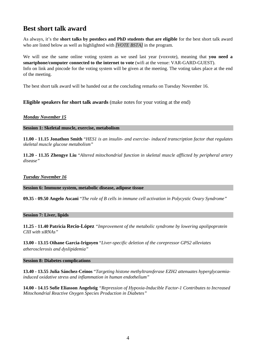## **Best short talk award**

As always, it's the **short talks by postdocs and PhD students that are eligible** for the best short talk award who are listed below as well as highlighted with *[VOTE BSTA]* in the program.

We will use the same online voting system as we used last year (voxvote), meaning that **you need a smartphone/computer connected to the internet to vote** (wifi at the venue: VAR-GARD-GUEST). Info on link and pincode for the voting system will be given at the meeting. The voting takes place at the end of the meeting.

The best short talk award will be handed out at the concluding remarks on Tuesday November 16.

#### **Eligible speakers for short talk awards** (make notes for your voting at the end)

#### *Monday November 15*

**Session 1: Skeletal muscle, exercise, metabolism** 

**11.00 - 11.15 Jonathon Smith** "*HES1 is an insulin- and exercise- induced transcription factor that regulates skeletal muscle glucose metabolism"* 

**11.20 - 11.35 Zhengye Liu** "*Altered mitochondrial function in skeletal muscle afflicted by peripheral artery disease"* 

#### *Tuesday November 16*

**Session 6: Immune system, metabolic disease, adipose tissue** 

**09.35 - 09.50 Angelo Ascani** "*The role of B cells in immune cell activation in Polycystic Ovary Syndrome"*

#### **Session 7: Liver, lipids**

**11.25 - 11.40 Patricia Recio-López** *"Improvement of the metabolic syndrome by lowering apolipoprotein CIII with siRNAs"* 

**13.00 - 13.15 Oihane Garcia-Irigoyen** "*Liver-specific deletion of the corepressor GPS2 alleviates atherosclerosis and dyslipidemia"* 

#### **Session 8: Diabetes complications**

**13.40 - 13.55 Julia Sánchez-Ceinos** "*Targeting histone methyltransferase EZH2 attenuates hyperglycaemiainduced oxidative stress and inflammation in human endothelium"* 

**14.00 - 14.15 Sofie Eliasson Angelstig** *"Repression of Hypoxia-Inducible Factor-1 Contributes to Increased Mitochondrial Reactive Oxygen Species Production in Diabetes"*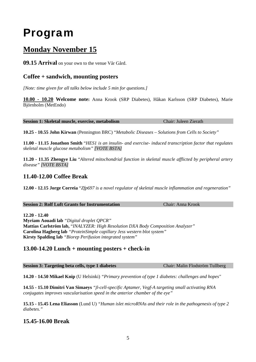## Program

## **Monday November 15**

**09.15 Arrival** on your own to the venue Vår Gård.

### **Coffee + sandwich, mounting posters**

*[Note: time given for all talks below include 5 min for questions.]* 

**10.00 - 10.20 Welcome note:** Anna Krook (SRP Diabetes), Håkan Karlsson (SRP Diabetes), Marie Björnholm (MetEndo)

**Session 1: Skeletal muscle, exercise, metabolism** Chair: Juleen Zierath

**10.25 - 10.55 John Kirwan** (Pennington BRC) "*Metabolic Diseases – Solutions from Cells to Society"*

**11.00 - 11.15 Jonathon Smith** "*HES1 is an insulin- and exercise- induced transcription factor that regulates skeletal muscle glucose metabolism" [VOTE BSTA]* 

**11.20 - 11.35 Zhengye Liu** "*Altered mitochondrial function in skeletal muscle afflicted by peripheral artery disease" [VOTE BSTA]* 

#### **11.40-12.00 Coffee Break**

**12.00 - 12.15 Jorge Correia** "*Zfp697 is a novel regulator of skeletal muscle inflammation and regeneration"*

Chair: Anna Krook

**12.20 - 12.40 Myriam Aouadi lab** *"Digital droplet QPCR"* **Mattias Carlström lab,** "*INALYZER: High Resolution DXA Body Composition Analyzer"*  **Carolina Hagberg lab** *"ProteinSimple capillary Jess western blot system"* **Kirsty Spalding lab** *"Biorep Perifusion integrated system"*

#### **13.00-14.20 Lunch + mounting posters + check-in**

| <b>Session 3: Targeting beta cells, type 1 diabetes</b> | Chair: Malin Flodström Tullberg |
|---------------------------------------------------------|---------------------------------|

**14.20 - 14.50 Mikael Knip** (U Helsinki) *"Primary prevention of type 1 diabetes: challenges and hopes"*

**14.55 - 15.10 Dimitri Van Simaeys** *"β-cell-specific Aptamer, Vegf-A targeting small activating RNA conjugates improves vascularisation speed in the anterior chamber of the eye"*

**15.15 - 15.45 Lena Eliasson** (Lund U) *"Human islet microRNAs and their role in the pathogenesis of type 2 diabetes."* 

## **15.45-16.00 Break**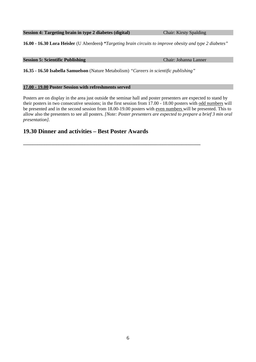#### **Session 4: Targeting brain in type 2 diabetes (digital)** Chair: Kirsty Spalding

**16.00 - 16.30 Lora Heisler** (U Aberdeen**)** *"Targeting brain circuits to improve obesity and type 2 diabetes"* 

#### **Session 5: Scientific Publishing** Chair: Johanna Lanner

**16.35 - 16.50 Isabella Samuelson** (Nature Metabolism) *"Careers in scientific publishing"* 

**\_\_\_\_\_\_\_\_\_\_\_\_\_\_\_\_\_\_\_\_\_\_\_\_\_\_\_\_\_\_\_\_\_\_\_\_\_\_\_\_\_\_\_\_\_\_\_\_\_\_\_\_\_\_\_\_\_\_\_\_\_\_\_\_\_\_\_\_\_\_\_\_\_\_\_** 

#### **17.00 - 19.00 Poster Session with refreshments served**

Posters are on display in the area just outside the seminar hall and poster presenters are expected to stand by their posters in two consecutive sessions; in the first session from 17.00 - 18.00 posters with odd numbers will be presented and in the second session from 18.00-19.00 posters with even numbers will be presented. This to allow also the presenters to see all posters. *[Note: Poster presenters are expected to prepare a brief 3 min oral presentation].* 

#### **19.30 Dinner and activities – Best Poster Awards**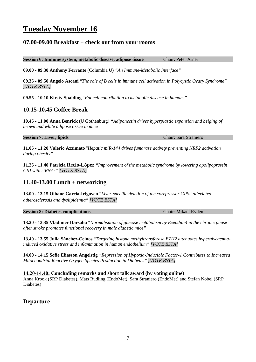## **Tuesday November 16**

#### **07.00-09.00 Breakfast + check out from your rooms**

**Session 6: Immune system, metabolic disease, adipose tissue Chair: Peter Arner** 

**09.00 - 09.30 Anthony Ferrante** (Columbia U) *"An Immune-Metabolic Interface"*

**09.35 - 09.50 Angelo Ascani** "*The role of B cells in immune cell activation in Polycystic Ovary Syndrome" [VOTE BSTA]*

**09.55 - 10.10 Kirsty Spalding** "*Fat cell contribution to metabolic disease in humans"*

#### **10.15-10.45 Coffee Break**

**10.45 - 11.00 Anna Benrick** (U Gothenburg) *"Adiponectin drives hyperplastic expansion and beiging of brown and white adipose tissue in mice"* 

#### **Session 7: Liver, lipids** Chair: Sara Straniero

**11.05 - 11.20 Valerio Azzimato** "*Hepatic miR-144 drives fumarase activity preventing NRF2 activation during obesity"*

**11.25 - 11.40 Patricia Recio-López** *"Improvement of the metabolic syndrome by lowering apolipoprotein CIII with siRNAs" [VOTE BSTA]* 

#### **11.40-13.00 Lunch + networking**

**13.00 - 13.15 Oihane Garcia-Irigoyen** "*Liver-specific deletion of the corepressor GPS2 alleviates atherosclerosis and dyslipidemia" [VOTE BSTA]* 

**Session 8: Diabetes complications** Chair: Mikael Rydén

**13.20 - 13.35 Vladimer Darsalia** "*Normalisation of glucose metabolism by Exendin-4 in the chronic phase after stroke promotes functional recovery in male diabetic mice"*

**13.40 - 13.55 Julia Sánchez-Ceinos** "*Targeting histone methyltransferase EZH2 attenuates hyperglycaemiainduced oxidative stress and inflammation in human endothelium" [VOTE BSTA]* 

**14.00 - 14.15 Sofie Eliasson Angelstig** *"Repression of Hypoxia-Inducible Factor-1 Contributes to Increased Mitochondrial Reactive Oxygen Species Production in Diabetes" [VOTE BSTA]* 

**14.20-14.40: Concluding remarks and short talk award (by voting online)** 

Anna Krook (SRP Diabetes), Mats Rudling (EndoMet), Sara Straniero (EndoMet) and Stefan Nobel (SRP Diabetes)

#### **Departure**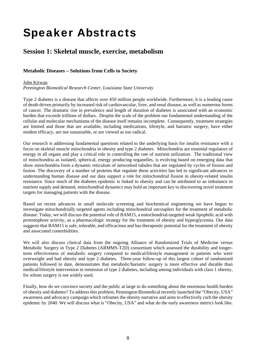## Speaker Abstracts

## **Session 1: Skeletal muscle, exercise, metabolism**

#### **Metabolic Diseases – Solutions from Cells to Society**

#### John Kirwan

*Pennington Biomedical Research Center, Louisiana State University*

Type 2 diabetes is a disease that affects over 450 million people worldwide. Furthermore, it is a leading cause of death driven primarily by increased risk of cardiovascular, liver, and renal disease, as well as numerous forms of cancer. The dramatic rise in prevalence and length of duration of diabetes is associated with an economic burden that exceeds trillions of dollars. Despite the scale of the problem our fundamental understanding of the cellular and molecular mechanisms of the disease itself remains incomplete. Consequently, treatment strategies are limited and those that are available, including medications, lifestyle, and bariatric surgery, have either modest efficacy, are not sustainable, or are viewed as too radical.

Our research is addressing fundamental questions related to the underlying basis for insulin resistance with a focus on skeletal muscle mitochondria in obesity and type 2 diabetes. Mitochondria are essential regulators of energy in all organs and play a critical role in controlling the rate of nutrient utilization. The traditional view of mitochondria as isolated, spherical, energy producing organelles, is evolving based on emerging data that show mitochondria form a dynamic reticulum of networked tubules that are regulated by cycles of fission and fusion. The discovery of a number of proteins that regulate these activities has led to significant advances in understanding human disease and our data support a role for mitochondrial fission in obesity-related insulin resistance. Since much of the diabetes epidemic is linked to obesity and can be attributed to an imbalance in nutrient supply and demand, mitochondrial dynamics may hold an important key to discovering novel treatment targets for managing patients with the disease.

Based on recent advances in small molecule screening and biochemical engineering we have begun to investigate mitochondrially targeted agents including mitochondrial uncouplers for the treatment of metabolic disease. Today, we will discuss the potential role of BAM15, a mitochondrial-targeted weak lipophilic acid with protonophore activity, as a pharmacologic strategy for the treatment of obesity and hyperglycemia. Our data suggests that BAM15 is safe, tolerable, and efficacious and has therapeutic potential for the treatment of obesity and associated comorbidities.

We will also discuss clinical data from the ongoing Alliance of Randomized Trials of Medicine versus Metabolic Surgery in Type 2 Diabetes (ARMMS-T2D) consortium which assessed the durability and longerterm effectiveness of metabolic surgery compared to medical/lifestyle management in patients who were overweight and had obesity and type 2 diabetes. Three-year follow-up of this largest cohort of randomized patients followed to date, demonstrates that metabolic/bariatric surgery is more effective and durable than medical/lifestyle intervention in remission of type 2 diabetes, including among individuals with class 1 obesity, for whom surgery is not widely used.

Finally, how do we convince society and the public at large to do something about the enormous health burden of obesity and diabetes? To address this problem, Pennington Biomedical recently launched the "Obecity, USA" awareness and advocacy campaign which reframes the obesity narrative and aims to effectively curb the obesity epidemic by 2040. We will discuss what is "Obecity, USA" and what do the early awareness metrics look like.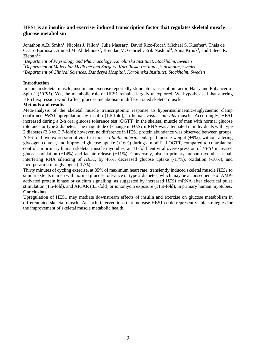#### **HES1 is an insulin- and exercise- induced transcription factor that regulates skeletal muscle glucose metabolism**

Jonathon A.B. Smith<sup>1</sup>, Nicolas J. Pillon<sup>1</sup>, Julie Massart<sup>2</sup>, David Rizo-Roca<sup>2</sup>, Michael S. Kuefner<sup>2</sup>, Thais de Castro Barbosa<sup>1</sup>, Ahmed M. Abdelmoez<sup>2</sup>, Brendan M. Gabriel<sup>1</sup>, Erik Näslund<sup>3</sup>, Anna Krook<sup>1</sup>, and Juleen R.  $Zierath<sup>1,2</sup>$ 

*1 Department of Physiology and Pharmacology, Karolinska Institutet, Stockholm, Sweden 2 Department of Molecular Medicine and Surgery, Karolinska Institutet, Stockholm, Sweden 3 Department of Clinical Sciences, Danderyd Hospital, Karolinska Institutet, Stockholm, Sweden* 

#### **Introduction**

In human skeletal muscle, insulin and exercise reportedly stimulate transcription factor, Hairy and Enhancer of Split 1 (*HES1*). Yet, the metabolic role of HES1 remains largely unexplored. We hypothesised that altering HES1 expression would affect glucose metabolism in differentiated skeletal muscle.

#### **Methods and results**

Meta-analysis of the skeletal muscle transcriptomic response to hyperinsulinaemic-euglycaemic clamp confirmed *HES1* upregulation by insulin (1.5-fold), in human *vastus lateralis* muscle. Accordingly, HES1 increased during a 2-h oral glucose tolerance test (OGTT) in the skeletal muscle of men with normal glucose tolerance or type 2 diabetes. The magnitude of change in *HES1* mRNA was attenuated in individuals with type 2 diabetes (2.3 *vs.* 3.7-fold); however, no difference in HES1 protein abundance was observed between groups. A 56-fold overexpression of *Hes1* in mouse *tibialis anterior* enlarged muscle weight (+9%), without altering glycogen content, and improved glucose uptake (+16%) during a modified OGTT, compared to contralateral control. In primary human skeletal muscle myotubes, an 11-fold lentiviral overexpression of *HES1* increased glucose oxidation (+14%) and lactate release (+11%). Conversely, also in primary human myotubes, small interfering RNA silencing of *HES1*, by 46%, decreased glucose uptake (-17%), oxidation (-10%), and incorporation into glycogen (-17%).

Thirty minutes of cycling exercise, at 85% of maximum heart rate, transiently induced skeletal muscle *HES1* to similar extents in men with normal glucose tolerance or type 2 diabetes; which may be a consequence of AMPactivated protein kinase or calcium signalling, as suggested by increased *HES1* mRNA after electrical pulse stimulation (1.5-fold), and AICAR (3.3-fold) or ionomycin exposure (11.9-fold), in primary human myotubes. **Conclusion** 

Upregulation of HES1 may mediate downstream effects of insulin and exercise on glucose metabolism in differentiated skeletal muscle. As such, interventions that increase HES1 could represent viable strategies for the improvement of skeletal muscle metabolic health.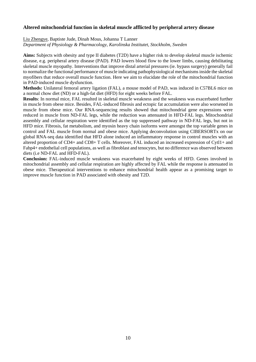#### **Altered mitochondrial function in skeletal muscle afflicted by peripheral artery disease**

Liu Zhengye, Baptiste Jude, Dinah Mous, Johanna T Lanner

*Department of Physiology & Pharmacology, Karolinska Institutet, Stockholm, Sweden* 

**Aims:** Subjects with obesity and type II diabetes (T2D) have a higher risk to develop skeletal muscle ischemic disease, e.g. peripheral artery disease (PAD). PAD lowers blood flow to the lower limbs, causing debilitating skeletal muscle myopathy. Interventions that improve distal arterial pressures (ie. bypass surgery) generally fail to normalize the functional performance of muscle indicating pathophysiological mechanisms inside the skeletal myofibers that reduce overall muscle function. Here we aim to elucidate the role of the mitochondrial function in PAD-induced muscle dysfunction.

**Methods:** Unilateral femoral artery ligation (FAL), a mouse model of PAD, was induced in C57BL6 mice on a normal chow diet (ND) or a high-fat diet (HFD) for eight weeks before FAL.

**Results**: In normal mice, FAL resulted in skeletal muscle weakness and the weakness was exacerbated further in muscle from obese mice. Besides, FAL-induced fibrosis and ectopic fat accumulation were also worsened in muscle from obese mice. Our RNA-sequencing results showed that mitochondrial gene expressions were reduced in muscle from ND-FAL legs, while the reduction was attenuated in HFD-FAL legs. Mitochondrial assembly and cellular respiration were identified as the top suppressed pathway in ND-FAL legs, but not in HFD mice. Fibrosis, fat metabolism, and myosin heavy chain isoforms were amongst the top variable genes in control and FAL muscle from normal and obese mice. Applying deconvolution using CIBERSORTx on our global RNA-seq data identified that HFD alone induced an inflammatory response in control muscles with an altered proportion of CD4+ and CD8+ T cells. Moreover, FAL induced an increased expression of Cytl1+ and Fabp4+ endothelial cell populations, as well as fibroblast and tenocytes, but no difference was observed between diets (i.e ND-FAL and HFD-FAL).

**Conclusion:** FAL-induced muscle weakness was exacerbated by eight weeks of HFD. Genes involved in mitochondrial assembly and cellular respiration are highly affected by FAL while the response is attenuated in obese mice. Therapeutical interventions to enhance mitochondrial health appear as a promising target to improve muscle function in PAD associated with obesity and T2D.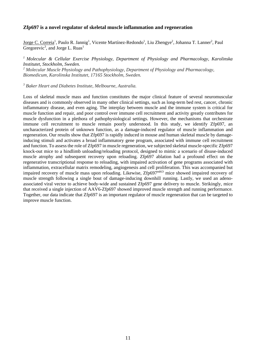#### **Zfp697 is a novel regulator of skeletal muscle inflammation and regeneration**

Jorge C. Correia<sup>1</sup>, Paulo R. Jannig<sup>1</sup>, Vicente Martínez-Redondo<sup>1</sup>, Liu Zhengye<sup>2</sup>, Johanna T. Lanner<sup>2</sup>, Paul Gregorevic<sup>3</sup>, and Jorge L. Ruas<sup>1</sup>

*1 Molecular & Cellular Exercise Physiology, Department of Physiology and Pharmacology, Karolinska Institutet, Stockholm, Sweden.* 

*2 Molecular Muscle Physiology and Pathophysiology, Department of Physiology and Pharmacology, Biomedicum, Karolinska Institutet, 17165 Stockholm, Sweden.*

*3 Baker Heart and Diabetes Institute, Melbourne, Australia.*

Loss of skeletal muscle mass and function constitutes the major clinical feature of several neuromuscular diseases and is commonly observed in many other clinical settings, such as long-term bed rest, cancer, chronic inflammatory disease, and even aging. The interplay between muscle and the immune system is critical for muscle function and repair, and poor control over immune cell recruitment and activity greatly contributes for muscle dysfunction in a plethora of pathophysiological settings. However, the mechanisms that orchestrate immune cell recruitment to muscle remain poorly understood. In this study, we identify Zfp697, an uncharacterized protein of unknown function, as a damage-induced regulator of muscle inflammation and regeneration. Our results show that Zfp697 is rapidly induced in mouse and human skeletal muscle by damageinducing stimuli and activates a broad inflammatory gene program, associated with immune cell recruitment and function. To assess the role of Zfp697 in muscle regeneration, we subjected skeletal muscle-specific Zfp697 knock-out mice to a hindlimb unloading/reloading protocol, designed to mimic a scenario of disuse-induced muscle atrophy and subsequent recovery upon reloading. Zfp697 ablation had a profound effect on the regenerative transcriptional response to reloading, with impaired activation of gene programs associated with inflammation, extracellular matrix remodeling, angiogenesis and cell proliferation. This was accompanied but impaired recovery of muscle mass upon reloading. Likewise, Zfp697<sup>mKO</sup> mice showed impaired recovery of muscle strength following a single bout of damage-inducing downhill running. Lastly, we used an adenoassociated viral vector to achieve body-wide and sustained Zfp697 gene delivery to muscle. Strikingly, mice that received a single injection of AAV6-Zfp697 showed improved muscle strength and running performance. Together, our data indicate that Zfp697 is an important regulator of muscle regeneration that can be targeted to improve muscle function.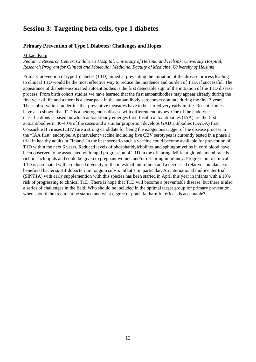## **Session 3: Targeting beta cells, type 1 diabetes**

#### **Primary Prevention of Type 1 Diabetes: Challenges and Hopes**

#### Mikael Knip

#### *Pediatric Research Center, Children's Hospital, University of Helsinki and Helsinki University Hospital; Research Program for Clinical and Molecular Medicine, Faculty of Medicine, University of Helsinki*

Primary prevention of type 1 diabetes (T1D) aimed at preventing the initiation of the disease process leading to clinical T1D would be the most effective way to reduce the incidence and burden of T1D, if successful. The appearance of diabetes-associated autoantibodies is the first detectable sign of the initiation of the T1D disease process. From birth cohort studies we have learned that the first autoantibodies may appear already during the first year of life and a there is a clear peak in the autoantibody seroconversion rate during the first 3 years. These observations underline that preventive measures have to be started very early in life. Recent studies have also shown that T1D is a heterogenous disease with different endotypes. One of the endotype classifications is based on which autoantibody emerges first. Insulin autoantibodies (IAA) are the first autoantibodies in 30-40% of the cases and a similar proportion develops GAD antibodies (GADA) first. Coxsackie B viruses (CBV) are a strong candidate for being the exogenous trigger of the disease process in the "IAA first" endotype. A pentavalent vaccine including five CBV serotypes is currently tested in a phase 1 trial in healthy adults in Finland. In the best scenario such a vaccine could become available for prevention of T1D within the next 6 years. Reduced levels of phosphatidylcholines and sphingomyelins in cord blood have been observed to be associated with rapid progression of T1D in the offspring. Milk fat globule membrane is rich in such lipids and could be given to pregnant women and/or offspring in infancy. Progression to clinical T1D is associated with a reduced diversity of the intestinal microbiota and a decreased relative abundance of beneficial bacteria, Bifidobacterium longum subsp. infantis, in particular. An international multicenter trial (SINT1A) with early supplemention with this species has been started in April this year in infants with a 10% risk of progressing to clinical T1D. There is hope that T1D will become a preventable disease, but there is also a series of challenges in the field. Who should be included in the optimal target group for primary prevention, when should the treatment be started and what degree of potential harmful effects is acceptable?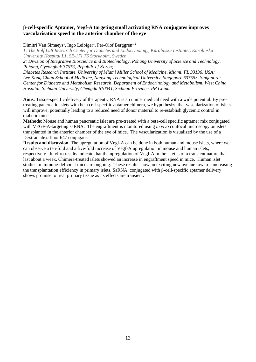#### **β-cell-specific Aptamer, Vegf-A targeting small activating RNA conjugates improves vascularisation speed in the anterior chamber of the eye**

#### Dimitri Van Simaeys<sup>1</sup>, Ingo Leibiger<sup>1</sup>, Per-Olof Berggren<sup>1,2</sup>

*1: The Rolf Luft Research Center for Diabetes and Endocrinology, Karolinska Institutet, Karolinska University Hospital L1, SE-171 76 Stockholm, Sweden* 

*2: Division of Integrative Bioscience and Biotechnology, Pohang University of Science and Technology, Pohang, Gyeongbuk 37673, Republic of Korea;* 

*Diabetes Research Institute, University of Miami Miller School of Medicine, Miami, FL 33136, USA; Lee Kong Chian School of Medicine, Nanyang Technological University, Singapore 637553, Singapore; Center for Diabetes and Metabolism Research, Department of Endocrinology and Metabolism, West China Hospital, Sichuan University, Chengdu 610041, Sichuan Province, PR China*.

**Aims**: Tissue-specific delivery of therapeutic RNA is an unmet medical need with a wide potential. By pretreating pancreatic islets with beta cell-specific aptamer chimera, we hypothesize that vascularization of islets will improve, potentially leading to a reduced need of donor material to re-establish glycemic control in diabetic mice.

**Methods**: Mouse and human pancreatic islet are pre-treated with a beta-cell specific aptamer mix conjugated with VEGF-A-targeting saRNA. The engraftment is monitored using *in vivo* confocal microscopy on islets transplanted in the anterior chamber of the eye of mice. The vascularization is visualized by the use of a Dextran alexafluor 647 conjugate.

**Results and discussion**: The upregulation of Vegf-A can be done in both human and mouse islets, where we can observe a ten-fold and a five-fold increase of Vegf-A upregulation in mouse and human islets, respectively. In vitro results indicate that the upregulation of Vegf-A in the islet is of a transient nature that last about a week. Chimera-treated islets showed an increase in engraftment speed in mice. Human islet studies in immune-deficient mice are ongoing. These results show an exciting new avenue towards increasing the transplantation efficiency in primary islets. SaRNA, conjugated with β-cell-specific aptamer delivery shows promise to treat primary tissue as its effects are transient.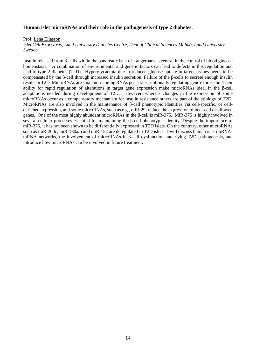#### **Human islet microRNAs and their role in the pathogenesis of type 2 diabetes.**

Prof. Lena Eliasson

*Islet Cell Exocytosis, Lund University Diabetes Centre, Dept of Clinical Sciences Malmö, Lund University, Sweden* 

Insulin released from β-cells within the pancreatic islet of Langerhans is central in the control of blood glucose homeostasis. A combination of environmental and genetic factors can lead to defects in this regulation and lead to type 2 diabetes (T2D). Hyperglycaemia due to reduced glucose uptake in target tissues needs to be compensated by the β-cell through increased insulin secretion. Failure of the β-cells to secrete enough insulin results in T2D. MicroRNAs are small non-coding RNAs post-transcriptionally regulating gene expression. Their ability for rapid regulation of alterations in target gene expression make microRNAs ideal in the β-cell adaptations needed during development of T2D. However, whereas changes in the expression of some microRNAs occur as a compensatory mechanism for insulin resistance others are part of the etiology of T2D. MicroRNAs are also involved in the maintenance of β-cell phenotypic identities via cell-specific, or cellenriched expression, and some microRNAs, such as e.g., miR-29, reduce the expression of beta-cell disallowed genes. One of the most highly abundant microRNAs in the β-cell is miR-375. MiR-375 is highly involved in several cellular processes essential for maintaining the β-cell phenotypic identity. Despite the importance of miR-375, it has not been shown to be differentially expressed in T2D islets. On the contrary, other microRNAs such as miR-200c, miR-130a/b and miR-152 are deregulated in T2D islets. I will discuss human islet miRNAmRNA networks, the involvement of microRNAs in β-cell dysfunction underlying T2D pathogenesis, and introduce how microRNAs can be involved in future treatment.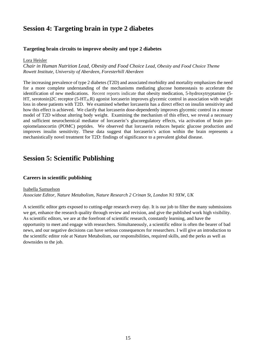## **Session 4: Targeting brain in type 2 diabetes**

#### **Targeting brain circuits to improve obesity and type 2 diabetes**

#### Lora Heisler

*Chair in Human Nutrition Lead, Obesity and Food Choice Lead, Obesity and Food Choice Theme Rowett Institute, University of Aberdeen, Foresterhill Aberdeen* 

The increasing prevalence of type 2 diabetes (T2D) and associated morbidity and mortality emphasizes the need for a more complete understanding of the mechanisms mediating glucose homeostasis to accelerate the identification of new medications. Recent reports indicate that obesity medication, 5-hydroxytryptamine (5- HT, serotonin)2C receptor (5-HT<sub>2C</sub>R) agonist lorcaserin improves glycemic control in association with weight loss in obese patients with T2D. We examined whether lorcaserin has a direct effect on insulin sensitivity and how this effect is achieved. We clarify that lorcaserin dose-dependently improves glycemic control in a mouse model of T2D without altering body weight. Examining the mechanism of this effect, we reveal a necessary and sufficient neurochemical mediator of lorcaserin's glucoregulatory effects, via activation of brain proopiomelanocortin (POMC) peptides. We observed that lorcaserin reduces hepatic glucose production and improves insulin sensitivity. These data suggest that lorcaserin's action within the brain represents a mechanistically novel treatment for T2D: findings of significance to a prevalent global disease.

## **Session 5: Scientific Publishing**

#### **Careers in scientific publishing**

Isabella Samuelson *Associate Editor, Nature Metabolism, Nature Research 2 Crinan St, London N1 9XW, UK* 

A scientific editor gets exposed to cutting-edge research every day. It is our job to filter the many submissions we get, enhance the research quality through review and revision, and give the published work high visibility. As scientific editors, we are at the forefront of scientific research, constantly learning, and have the opportunity to meet and engage with researchers. Simultaneously, a scientific editor is often the bearer of bad news, and our negative decisions can have serious consequences for researchers. I will give an introduction to the scientific editor role at Nature Metabolism, our responsibilities, required skills, and the perks as well as downsides to the job.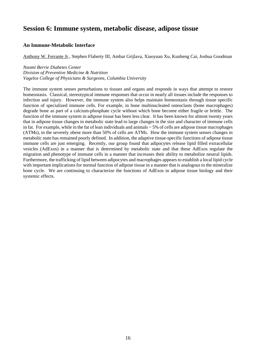## **Session 6: Immune system, metabolic disease, adipose tissue**

#### **An Immune-Metabolic Interface**

Anthony W. Ferrante Jr., Stephen Flaherty III, Ambar Grijlava, Xiaoyuan Xu, Kunheng Cai, Joshua Goodman

*Naomi Berrie Diabetes Center Division of Preventive Medicine & Nutrition Vagelos College of Physicians & Surgeons, Columbia University* 

The immune system senses perturbations to tissues and organs and responds in ways that attempt to restore homeostasis. Classical, stereotypical immune responses that occur in nearly all tissues include the responses to infection and injury. However, the immune system also helps maintain homeostasis through tissue specific function of specialized immune cells. For example, in bone multinucleated osteoclasts (bone macrophages) degrade bone as part of a calcium-phosphate cycle without which bone become either fragile or brittle. The function of the immune system in adipose tissue has been less clear. It has been known for almost twenty years that in adipose tissue changes in metabolic state lead to large changes in the size and character of immune cells in fat. For example, while in the fat of lean individuals and animals  $\sim$  5% of cells are adipose tissue macrophages (ATMs), in the severely obese more than 50% of cells are ATMs. How the immune system senses changes in metabolic state has remained poorly defined. In addition, the adaptive tissue-specific functions of adipose tissue immune cells are just emerging. Recently, our group found that adipocytes release lipid filled extracellular vesicles (AdExos) in a manner that is determined by metabolic state and that these AdExos regulate the migration and phenotype of immune cells in a manner that increases their ability to metabolize neutral lipids. Furthermore, the trafficking of lipid between adipocytes and macrophages appears to establish a local lipid cycle with important implications for normal function of adipose tissue in a manner that is analogous to the mineralize bone cycle. We are continuing to characterize the functions of AdExos in adipose tissue biology and their systemic effects.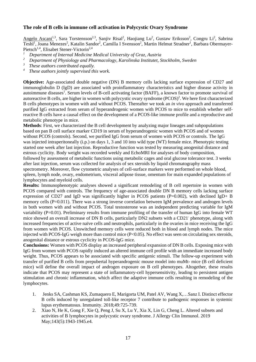#### **The role of B cells in immune cell activation in Polycystic Ovary Syndrome**

Angelo Ascani<sup>1,3</sup>, Sara Torstensson<sup>2,3</sup>, Sanjiv Risal<sup>2</sup>, Haojiang Lu<sup>2</sup>, Gustaw Eriksson<sup>2</sup>, Congru Li<sup>2</sup>, Sabrina Teshl<sup>1</sup>, Joana Menezes<sup>2</sup>, Katalin Sandor<sup>2</sup>, Camilla I Svensson<sup>2</sup>, Martin Helmut Stradner<sup>1</sup>, Barbara Obermayer-Pietsch<sup>1,4</sup>, Elisabet Stener-Victorin<sup>2,4</sup>

- *<sup>1</sup> Department of Internal Medicine Medical University of Graz, Austria*
- *<sup>2</sup> Department of Physiology and Pharmacology, Karolinska Institutet, Stockholm, Sweden*
- *<sup>3</sup> These authors contributed equally.*
- *<sup>4</sup> These authors jointly supervised this work.*

**Objective:** Age-associated double negative (DN) B memory cells lacking surface expression of CD27 and immunoglobulin D (IgD) are associated with proinflammatory characteristics and higher disease activity in autoimmune diseases<sup>1</sup>. Serum levels of B-cell activating factor (BAFF), a known factor to promote survival of autoreactive B cells, are higher in women with polycystic ovary syndrome (PCOS)<sup>2</sup>. We here first characterized B cells phenotypes in women with and without PCOS. Thereafter we took an *in vivo* approach and transferred purified IgG extracted from serum of hyperandrogenic women with PCOS to mice to establish whether selfreactive B cells have a causal effect on the development of a PCOS-like immune profile and a reproductive and metabolic phenotype in mice.

**Methods**: First, we characterized the B cell development by analyzing major lineages and subpopulations based on pan B cell surface marker CD19 in serum of hyperandrogenic women with PCOS and of women without PCOS (controls). Second, we purified IgG from serum of women with PCOS or controls. The IgG was injected intraperitoneally (i.p.) on days 1, 3 and 10 into wild type (WT) female mice. Phenotypic testing started one week after last injection. Reproductive function was tested by measuring anogenital distance and estrous cyclicity. Body weight was recorded weekly and EchoMRI for analyses of body composition, followed by assessment of metabolic functions using metabolic cages and oral glucose tolerance test. 3 weeks after last injection, serum was collected for analysis of sex steroids by liquid chromatography mass spectrometry. Moreover, flow cytometric analyses of cell-surface markers were performed on whole blood, spleen, lymph node, ovary, endometrium, visceral adipose tissue, omentum for main expanded populations of lymphocytes and myeloid cells.

**Results:** Immunophenotypic analyses showed a significant remodeling of B cell repertoire in women with PCOS compared with controls. The frequency of age-associated double DN B memory cells lacking surface expression of CD27 and IgD was significantly higher in PCOS patients (P=0.002), with declined IgD+ B memory cells (P=0.011). There was a strong inverse correlation between IgM prevalence and androgen levels in both women with and without PCOS. Total testosterone was an independent predicting variable for IgM variability (P=0.01). Preliminary results from immune profiling of the transfer of human IgG into female WT mice showed an overall increase of DN B cells, particularly DN2 subsets with a CD21 phenotype, along with increased frequencies of active naïve cells and neutrophils, particularly in the ovaries in mice receiving the IgG from women with PCOS. Unswitched memory cells were reduced both in blood and lymph nodes. The mice injected with PCOS-IgG weigh more than control mice  $(P<0.05)$ . No effect was seen on circulating sex steroids, anogenital distance or estrous cyclicity in PCOS-IgG mice.

**Conclusions:** Women with PCOS display an increased peripheral expansion of DN B cells. Exposing mice with IgG from women with PCOS rapidly induced an altered immune cell profile with an immediate increased body weight. Thus, PCOS appears to be associated with specific antigenic stimuli. The follow-up experiment with transfer of purified B cells from prepubertal hyperandrogenic mouse model into muMt- mice (B cell deficient mice) will define the overall impact of androgen exposure on B cell phenotypes. Altogether, these results indicate that PCOS may represent a state of inflammatory-cell hypersensitivity, leading to persistent antigen stimulation and chronic inflammation, which affect the adaptive immune cells resulting in remodeling of the lymphocytes.

- 1. Jenks SA, Cashman KS, Zumaquero E, Marigorta UM, Patel AV, Wang X,…Sanz I. Distinct effector B cells induced by unregulated toll-like receptor 7 contribute to pathogenic responses in systemic lupus erythematosus. Immunity. 2018;49:725‐739.
- 2. Xiao N, He K, Gong F, Xie Q, Peng J, Su X, Lu Y, Xia X, Lin G, Cheng L. Altered subsets and activities of B lymphocytes in polycystic ovary syndrome. J Allergy Clin Immunol. 2019 May;143(5):1943-1945.e4.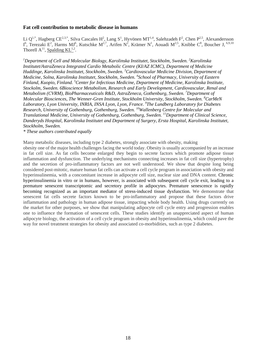#### **Fat cell contribution to metabolic disease in humans**

Li Q<sup>1,\*</sup>, Hagberg CE<sup>2,3,\*</sup>, Silva Cascales H<sup>2</sup>, Lang S<sup>1</sup>, Hyvönen MT<sup>1,4</sup>, Salehzadeh F<sup>2</sup>, Chen P<sup>2,5</sup>, Alexandersson I<sup>6</sup>, Terezaki E<sup>2</sup>, Harms MJ<sup>6</sup>, Kutschke M<sup>2,7</sup>, Arifen N<sup>2</sup>, Krämer N<sup>1</sup>, Aouadi M<sup>2,5</sup>, Knibbe C<sup>8</sup>, Boucher J, <sup>6,9,10</sup> Thorell  $A^{11}$ , Spalding KL<sup>1,2</sup>.

<sup>1</sup>Department of Cell and Molecular Biology, Karolinska Institutet, Stockholm, Sweden. <sup>2</sup>Karolinska *Institutet/AstraZeneca Integrated Cardio Metabolic Centre (KI/AZ ICMC), Department of Medicine Huddinge, Karolinska Institutet, Stockholm, Sweden. 3 Cardiovascular Medicine Division, Department of Medicine, Solna, Karolinska Institutet, Stockholm, Sweden. 4 School of Pharmacy, University of Eastern Finland, Kuopio, Finland. 5 Center for Infectious Medicine, Department of Medicine, Karolinska Institute, Stockolm, Sweden. 6Bioscience Metabolism, Research and Early Development, Cardiovascular, Renal and Metabolism (CVRM), BioPharmaceuticals R&D, AstraZeneca, Gothenburg, Sweden. 7 Department of Molecular Biosciences, The Wenner-Gren Institute, Stockholm University, Stockholm, Sweden. 8 CarMeN Laboratory, Lyon University, INRIA, INSA Lyon, Lyon, France. <sup>9</sup> The Lundberg Laboratory for Diabetes Research, University of Gothenburg, Gothenburg, Sweden. 10Wallenberg Centre for Molecular and Translational Medicine, University of Gothenburg, Gothenburg, Sweden. 11Department of Clinical Science, Danderyds Hospital, Karolinska Institutet and Department of Surgery, Ersta Hospital, Karolinska Institutet, Stockholm, Sweden.* 

*\* These authors contributed equally* 

Many metabolic diseases, including type 2 diabetes, strongly associate with obesity, making obesity one of the major health challenges facing the world today. Obesity is usually accompanied by an increase in fat cell size. As fat cells become enlarged they begin to secrete factors which promote adipose tissue inflammation and dysfunction. The underlying mechanisms connecting increases in fat cell size (hypertrophy) and the secretion of pro-inflammatory factors are not well understood. We show that despite long being considered post-mitotic, mature human fat cells can activate a cell cycle program in association with obesity and hyperinsulinemia, with a concomitant increase in adipocyte cell size, nuclear size and DNA content. Chronic hyperinsulinemia in vitro or in humans, however, is associated with subsequent cell cycle exit, leading to a premature senescent transcriptomic and secretory profile in adipocytes. Premature senescence is rapidly becoming recognized as an important mediator of stress-induced tissue dysfunction. We demonstrate that senescent fat cells secrete factors known to be pro-inflammatory and propose that these factors drive inflammation and pathology in human adipose tissue, impacting whole body health. Using drugs currently on the market for other purposes, we show that manipulating adipocyte cell cycle entry and progression enables one to influence the formation of senescent cells. These studies identify an unappreciated aspect of human adipocyte biology, the activation of a cell cycle program in obesity and hyperinsulinemia, which could pave the way for novel treatment strategies for obesity and associated co-morbidities, such as type 2 diabetes.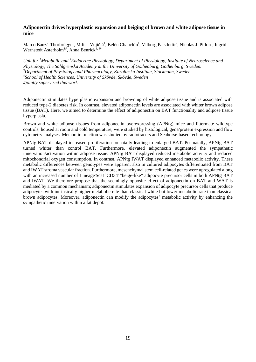#### **Adiponectin drives hyperplastic expansion and beiging of brown and white adipose tissue in mice**

Marco Bauzá-Thorbrügge<sup>1</sup>, Milica Vujičić<sup>1</sup>, Belén Chanclón<sup>1</sup>, Vilborg Palsdottir<sup>2</sup>, Nicolas J. Pillon<sup>3</sup>, Ingrid Wernstedt Asterholm<sup>1#</sup>, Anna Benrick<sup>1, 4#</sup>

*Unit for <sup>1</sup> Metabolic and 2 Endocrine Physiology, Department of Physiology, Institute of Neuroscience and Physiology, The Sahlgrenska Academy at the University of Gothenburg, Gothenburg, Sweden. 3 Department of Physiology and Pharmacology, Karolinska Institute, Stockholm, Sweden 4 School of Health Sciences, University of Skövde, Skövde, Sweden #jointly supervised this work* 

Adiponectin stimulates hyperplastic expansion and browning of white adipose tissue and is associated with reduced type-2 diabetes risk. In contrast, elevated adiponectin levels are associated with whiter brown adipose tissue (BAT). Here, we aimed to determine the effect of adiponectin on BAT functionality and adipose tissue hyperplasia.

Brown and white adipose tissues from adiponectin overexpressing (APNtg) mice and littermate wildtype controls, housed at room and cold temperature, were studied by histological, gene/protein expression and flow cytometry analyses. Metabolic function was studied by radiotracers and Seahorse-based technology.

APNtg BAT displayed increased proliferation prenatally leading to enlarged BAT. Postnatally, APNtg BAT turned whiter than control BAT. Furthermore, elevated adiponectin augmented the sympathetic innervation/activation within adipose tissue. APNtg BAT displayed reduced metabolic activity and reduced mitochondrial oxygen consumption. In contrast, APNtg IWAT displayed enhanced metabolic activity. These metabolic differences between genotypes were apparent also in cultured adipocytes differentiated from BAT and IWAT stroma vascular fraction. Furthermore, mesenchymal stem cell-related genes were upregulated along with an increased number of Lineage Sca1<sup>+</sup>CD34 "beige-like" adipocyte precursor cells in both APNtg BAT and IWAT. We therefore propose that the seemingly opposite effect of adiponectin on BAT and WAT is mediated by a common mechanism; adiponectin stimulates expansion of adipocyte precursor cells that produce adipocytes with intrinsically higher metabolic rate than classical white but lower metabolic rate than classical brown adipocytes. Moreover, adiponectin can modify the adipocytes' metabolic activity by enhancing the sympathetic innervation within a fat depot.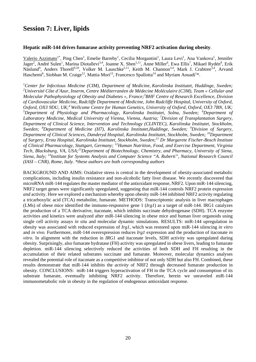## **Session 7: Liver, lipids**

#### **Hepatic miR-144 drives fumarase activity preventing NRF2 activation during obesity**.

Valerio Azzimato<sup>1\*</sup>, Ping Chen<sup>1</sup>, Emelie Barreby<sup>1</sup>, Cecilia Morgantini<sup>1</sup>, Laura Levi<sup>1</sup>, Ana Vankova<sup>1</sup>, Jennifer Jager<sup>2</sup>, André Sulen<sup>1</sup>, Marina Diotallevi<sup>3,4</sup>, Joanne X. Shen<sup>5,11</sup>, Anne Miller<sup>6</sup>, Ewa Ellis<sup>7</sup>, Mikael Rydén<sup>8</sup>, Erik Näslund<sup>9</sup>, Anders Thorell<sup>9,10</sup>, Volker M. Lauschke<sup>5,11</sup>, Keith M. Channon<sup>3,4</sup>, Mark J. Crabtree<sup>3,4</sup>, Arvand Haschemi<sup>6</sup>, Siobhan M. Craige<sup>12</sup>, Mattia Mori<sup>13</sup>, Francesco Spallotta<sup>14</sup> and Myriam Aouadi<sup>1</sup>\*.

*1 Center for Infectious Medicine (CIM), Department of Medicine, Karolinska Institutet, Huddinge, Sweden; 2 Université Côte d'Azur, Inserm, Centre Méditerranéen de Médecine Moléculaire (C3M), Team « Cellular and Molecular Pathophysiology of Obesity and Diabetes », France;3 BHF Centre of Research Excellence, Division of Cardiovascular Medicine, Radcliffe Department of Medicine, John Radcliffe Hospital, University of Oxford, Oxford, OX3 9DU, UK;4 Wellcome Centre for Human Genetics, University of Oxford, Oxford, OX3 7BN, UK; 5 Department of Physiology and Pharmacology, Karolinska Institutet, Solna, Sweden; <sup>6</sup> Department of Laboratory Medicine, Medical University of Vienna, Vienna, Austria; <sup>7</sup> Division of Transplantation Surgery, Department of Clinical Science, Intervention and Technology (CLINTEC), Karolinska Institutet, Stockholm, Sweden; <sup>8</sup> Department of Medicine (H7), Karolinska Institutet,Huddinge, Sweden; <sup>9</sup> Division of Surgery, Department of Clinical Sciences, Danderyd Hospital, Karolinska Institutet, Stockholm, Sweden; 10Department of Surgery, Ersta Hospital, Karolinska Institutet, Stockholm, Sweden;11 Dr Margarete Fischer-Bosch Institute of Clinical Pharmacology, Stuttgart, Germany; 12Human Nutrition, Food, and Exercise Department, Virginia Tech, Blacksburg, VA, USA;13Department of Biotechnology, Chemistry, and Pharmacy, University of Siena, Siena, Italy; 14Institute for Systems Analysis and Computer Science "A. Ruberti", National Research Council (IASI – CNR), Rome, Italy. \*these authors are both corresponding authors* 

BACKGROUND AND AIMS: Oxidative stress is central in the development of obesity-associated metabolic complications, including insulin resistance and non-alcoholic fatty liver disease. We recently discovered that microRNA miR-144 regulates the master mediator of the antioxidant response, NRF2. Upon miR-144 silencing, NRF2 target genes were significantly upregulated, suggesting that miR-144 controls NRF2 protein expression *and* activity. Here we explored a mechanism whereby upon obesity miR-144 inhibited NRF2 activity regulating a tricarboxylic acid (TCA) metabolite, fumarate. METHODS: Transcriptomic analysis in liver macrophages (LMs) of obese mice identified the immuno-responsive gene 1 (*Irg1*) as a target of miR-144. IRG1 catalyzes the production of a TCA derivative, itaconate, which inhibits succinate dehydrogenase (SDH). TCA enzyme activities and kinetics were analyzed after miR-144 silencing in obese mice and human liver organoids using single cell activity assays *in situ* and molecular dynamic simulations. RESULTS: miR-144 upregulation in obesity was associated with reduced expression of *Irg1,* which was restored upon miR-144 silencing *in vitro*  and *in vivo.* Furthermore, miR-144 overexpression reduces *Irg1* expression and the production of itaconate *in vitro*. In alignment with the reduction in *IRG1* and itaconate levels, SDH activity was upregulated during obesity. Surprisingly, also fumarate hydratase (FH) activity was upregulated in obese livers, leading to fumarate depletion. miR-144 silencing selectively reduced the activities of both SDH and FH resulting in the accumulation of their related substrates succinate and fumarate. Moreover, molecular dynamics analyses revealed the potential role of itaconate as a competitive inhibitor of not only SDH but also FH. Combined, these results demonstrate that miR-144 inhibits the *activity* of NRF2 through decreased fumarate production in obesity. CONCLUSIONS: miR-144 triggers hyperactivation of FH in the TCA cycle and consumption of its substrate fumarate, eventually inhibiting NRF2 activity. Therefore, herein we unraveled miR-144 immunometabolic role in obesity in the regulation of endogenous antioxidant response.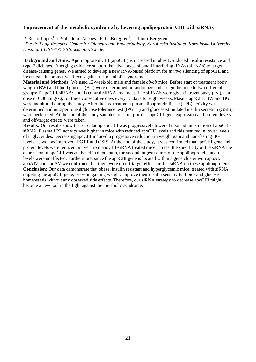#### **Improvement of the metabolic syndrome by lowering apolipoprotein CIII with siRNAs**

P. Recio-López<sup>1</sup>, I. Valladolid-Acebes<sup>1</sup>, P.-O. Berggren<sup>1</sup>, L. Juntti-Berggren<sup>1</sup>. *1 The Rolf Luft Research Center for Diabetes and Endocrinology, Karolinska Institutet, Karolinska University Hospital L1, SE-171 76 Stockholm, Sweden.* 

**Background and Aims:** Apolipoprotein CIII (apoCIII) is increased in obesity-induced insulin resistance and type-2 diabetes. Emerging evidence support the advantages of small interfering RNAs (siRNAs) to target disease-causing genes. We aimed to develop a new RNA-based platform for *in vivo* silencing of apoCIII and investigate its protective effects against the metabolic syndrome.

**Material and Methods:** We used 12-week-old male and female *ob/ob* mice. Before start of treatment body weight (BW) and blood glucose (BG) were determined to randomize and assign the mice to two different groups: i) apoCIII-siRNA; and ii) control-siRNA treatment. The siRNAS were given intravenously (i.v.), at a dose of 0.008 mg/kg, for three consecutive days every 15 days for eight weeks. Plasma apoCIII, BW and BG were monitored during the study. After the last treatment plasma lipoprotein lipase (LPL) activity was determined and intraperitoneal glucose tolerance test (IPGTT) and glucose-stimulated insulin secretion (GSIS) were performed. At the end of the study samples for lipid profiles, apoCIII gene expression and protein levels and off-target effects were taken.

**Results:** Our results show that circulating apoCIII was progressively lowered upon administration of apoCIIIsiRNA. Plasma LPL activity was higher in mice with reduced apoCIII levels and this resulted in lower levels of triglycerides. Decreasing apoCIII induced a progressive reduction in weight gain and non-fasting BG levels, as well as improved IPGTT and GSIS. At the end of the study, it was confirmed that apoCIII gene and protein levels were reduced in liver from apoCIII-siRNA treated mice. To test the specificity of the siRNA the expression of apoCIII was analyzed in duodenum, the second largest source of the apolipoprotein, and the levels were unaffected. Furthermore, since the apoCIII gene is located within a gene cluster with apoAI, apoAIV and apoAV we confirmed that there were no off-target effects of the siRNA on these apolipoproteins. **Conclusion:** Our data demonstrate that obese, insulin resistant and hyperglycemic mice, treated with siRNA targeting the apoCIII gene, cease in gaining weight, improve their insulin sensitivity, lipid- and glucose homeostasis without any observed side effects. Therefore, our siRNA strategy to decrease apoCIII might become a new tool in the fight against the metabolic syndrome.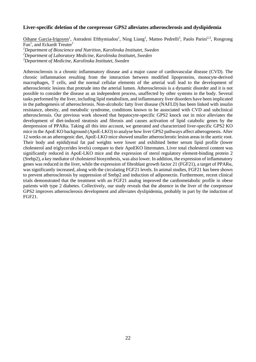#### **Liver-specific deletion of the corepressor GPS2 alleviates atherosclerosis and dyslipidemia**

Oihane Garcia-Irigoyen<sup>1</sup>, Astradeni Efthymiadou<sup>1</sup>, Ning Liang<sup>1</sup>, Matteo Pedrelli<sup>2</sup>, Paolo Parini<sup>2,3</sup>, Rongrong Fan<sup>1</sup>, and Eckardt Treuter<sup>1</sup>

*1 Department of Bioscience and Nutrition, Karolinska Institutet, Sweden* 

*2 Department of Laboratory Medicine, Karolinska Institutet, Sweden* 

*3 Department of Medicine, Karolinska Institutet, Sweden* 

Atherosclerosis is a chronic inflammatory disease and a major cause of cardiovascular disease (CVD). The chronic inflammation resulting from the interaction between modified lipoproteins, monocyte-derived macrophages, T cells, and the normal cellular elements of the arterial wall lead to the development of atherosclerotic lesions that protrude into the arterial lumen. Atherosclerosis is a dynamic disorder and it is not possible to consider the disease as an independent process, unaffected by other systems in the body. Several tasks performed by the liver, including lipid metabolism, and inflammatory liver disorders have been implicated in the pathogenesis of atherosclerosis. Non-alcoholic fatty liver disease (NAFLD) has been linked with insulin resistance, obesity, and metabolic syndrome, conditions known to be associated with CVD and subclinical atherosclerosis. Our previous work showed that hepatocyte-specific GPS2 knock out in mice alleviates the development of diet-induced steatosis and fibrosis and causes activation of lipid catabolic genes by the derepression of PPARα. Taking all this into account, we generated and characterized liver-specific GPS2 KO mice in the ApoE KO background (ApoE-LKO) to analyse how liver GPS2 pathways affect atherogenesis. After 12 weeks on an atherogenic diet, ApoE-LKO mice showed smaller atherosclerotic lesion areas in the aortic root. Their body and epididymal fat pad weights were lower and exhibited better serum lipid profile (lower cholesterol and triglycerides levels) compare to their ApoEKO littermates. Liver total cholesterol content was significantly reduced in ApoE-LKO mice and the expression of sterol regulatory element-binding protein 2 (Srebp2), a key mediator of cholesterol biosynthesis, was also lower. In addition, the expression of inflammatory genes was reduced in the liver, while the expression of fibroblast growth factor 21 (FGF21), a target of PPARα, was significantly increased, along with the circulating FGF21 levels. In animal studies, FGF21 has been shown to prevent atherosclerosis by suppression of Srebp2 and induction of adiponectin. Furthermore, recent clinical trials demonstrated that the treatment with an FGF21 analog improved the cardiometabolic profile in obese patients with type 2 diabetes. Collectively, our study reveals that the absence in the liver of the corepressor GPS2 improves atherosclerosis development and alleviates dyslipidemia, probably in part by the induction of FGF21.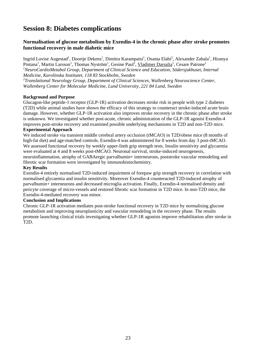## **Session 8: Diabetes complications**

#### **Normalisation of glucose metabolism by Exendin-4 in the chronic phase after stroke promotes functional recovery in male diabetic mice**

Ingrid Lovise Augestad<sup>1</sup>, Doortje Dekens<sup>1</sup>, Dimitra Karampatsi<sup>1</sup>, Osama Elabi<sup>2</sup>, Alexander Zabala<sup>1</sup>, Hiranya Pintana<sup>1</sup>, Martin Larsson<sup>1</sup>, Thomas Nyström<sup>1</sup>, Gesine Paul<sup>2</sup>, Vladimer Darsalia<sup>1</sup>, Cesare Patrone<sup>1</sup> <sup>1</sup>NeuroCardioMetabol Group, Department of Clinical Science and Education, Södersjukhuset, Internal *Medicine, Karolinska Institutet, 118 83 Stockholm, Sweden 2 Translational Neurology Group, Department of Clinical Sciences, Wallenberg Neuroscience Center, Wallenberg Center for Molecular Medicine, Lund University, 221 84 Lund, Sweden* 

#### **Background and Purpose**

Glucagon-like peptide-1 receptor (GLP-1R) activation decreases stroke risk in people with type 2 diabetes (T2D) while animal studies have shown the efficacy of this strategy to counteract stroke-induced acute brain damage. However, whether GLP-1R activation also improves stroke recovery in the chronic phase after stroke is unknown. We investigated whether post-acute, chronic administration of the GLP-1R agonist Exendin-4 improves post-stroke recovery and examined possible underlying mechanisms in T2D and non-T2D mice.

#### **Experimental Approach**

We induced stroke via transient middle cerebral artery occlusion (tMCAO) in T2D/obese mice (8 months of high-fat diet) and age-matched controls. Exendin-4 was administered for 8 weeks from day 3 post-tMCAO. We assessed functional recovery by weekly upper-limb grip strength tests. Insulin sensitivity and glycaemia were evaluated at 4 and 8 weeks post-tMCAO. Neuronal survival, stroke-induced neurogenesis, neuroinflammation, atrophy of GABAergic parvalbumin+ interneurons, poststroke vascular remodeling and fibrotic scar formation were investigated by immunohistochemistry.

#### **Key Results**

Exendin-4 entirely normalised T2D-induced impairment of forepaw grip strength recovery in correlation with normalised glycaemia and insulin sensitivity. Moreover Exendin-4 counteracted T2D-induced atrophy of parvalbumin+ interneurons and decreased microglia activation. Finally, Exendin-4 normalised density and pericyte coverage of micro-vessels and restored fibrotic scar formation in T2D mice. In non-T2D mice, the Exendin-4-mediated recovery was minor.

#### **Conclusion and Implications**

Chronic GLP-1R activation mediates post-stroke functional recovery in T2D mice by normalising glucose metabolism and improving neuroplasticity and vascular remodeling in the recovery phase. The results promote launching clinical trials investigating whether GLP-1R agonists improve rehabilitation after stroke in T2D.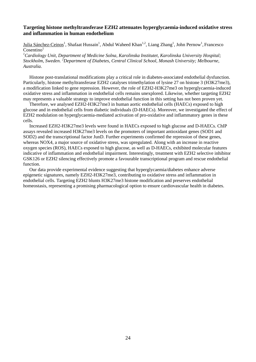#### **Targeting histone methyltransferase EZH2 attenuates hyperglycaemia-induced oxidative stress and inflammation in human endothelium**

Julia Sánchez-Ceinos<sup>1</sup>, Shafaat Hussain<sup>1</sup>, Abdul Waheed Khan<sup>1,2</sup>, Liang Zhang<sup>1</sup>, John Pernow<sup>1</sup>, Francesco  $Cosentino<sup>1</sup>$ 

*1 Cardiology Unit, Department of Medicine Solna, Karolinska Institutet, Karolinska University Hospital; Stockholm, Sweden. 2 Department of Diabetes, Central Clinical School, Monash University; Melbourne, Australia.* 

Histone post-translational modifications play a critical role in diabetes-associated endothelial dysfunction. Particularly, histone methyltransferase EZH2 catalyses trimethylation of lysine 27 on histone 3 (H3K27me3), a modification linked to gene repression. However, the role of EZH2-H3K27me3 on hyperglycaemia-induced oxidative stress and inflammation in endothelial cells remains unexplored. Likewise, whether targeting EZH2 may represents a valuable strategy to improve endothelial function in this setting has not been proven yet.

Therefore, we analysed EZH2-H3K27me3 in human aortic endothelial cells (HAECs) exposed to high glucose and in endothelial cells from diabetic individuals (D-HAECs). Moreover, we investigated the effect of EZH2 modulation on hyperglycaemia-mediated activation of pro-oxidative and inflammatory genes in these cells.

Increased EZH2-H3K27me3 levels were found in HAECs exposed to high glucose and D-HAECs. ChIP assays revealed increased H3K27me3 levels on the promoters of important antioxidant genes (SOD1 and SOD2) and the transcriptional factor JunD. Further experiments confirmed the repression of these genes, whereas NOX4, a major source of oxidative stress, was upregulated. Along with an increase in reactive oxygen species (ROS), HAECs exposed to high glucose, as well as D-HAECs, exhibited molecular features indicative of inflammation and endothelial impairment. Interestingly, treatment with EZH2 selective inhibitor GSK126 or EZH2 silencing effectively promote a favourable transcriptional program and rescue endothelial function.

Our data provide experimental evidence suggesting that hyperglycaemia/diabetes enhance adverse epigenetic signatures, namely EZH2-H3K27me3, contributing to oxidative stress and inflammation in endothelial cells. Targeting EZH2 blunts H3K27me3 histone modification and preserves endothelial homeostasis, representing a promising pharmacological option to ensure cardiovascular health in diabetes.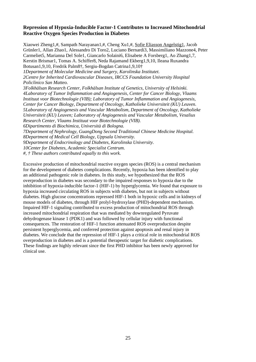#### **Repression of Hypoxia-Inducible Factor-1 Contributes to Increased Mitochondrial Reactive Oxygen Species Production in Diabetes**

Xiaowei Zheng1,#, Sampath Narayanan1,#, Cheng Xu1,#, Sofie Eliasson Angelstig1, Jacob Grünler1, Allan Zhao1, Alessandro Di Toro2, Luciano Bernardi3, Massimiliano Mazzone4, Peter Carmeliet5, Marianna Del Sole1, Giancarlo Solaini6, Elisabete A Forsberg1, Ao Zhang1,7, Kerstin Brismar1, Tomas A. Schiffer8, Neda Rajamand Ekberg1,9,10, Ileana Ruxandra Botusan1,9,10, Fredrik Palm8†, Sergiu-Bogdan Catrina1,9,10† *1Department of Molecular Medicine and Surgery, Karolinska Institutet. 2Centre for Inherited Cardiovascular Diseases, IRCCS Foundation University Hospital Policlinico San Matteo. 3Folkhälsan Research Center, Folkhälsan Institute of Genetics, University of Helsinki. 4Laboratory of Tumor Inflammation and Angiogenesis, Center for Cancer Biology, Vlaams Instituut voor Biotechnologie (VIB); Laboratory of Tumor Inflammation and Angiogenesis, Center for Cancer Biology, Department of Oncology, Katholieke Universiteit (KU) Leuven. 5Laboratory of Angiogenesis and Vascular Metabolism, Department of Oncology, Katholieke Universiteit (KU) Leuven; Laboratory of Angiogenesis and Vascular Metabolism, Vesalius Research Center, Vlaams Instituut voor Biotechnologie (VIB). 6Dipartimento di Biochimica, Università di Bologna. 7Department of Nephrology, GuangDong Second Traditional Chinese Medicine Hospital. 8Department of Medical Cell Biology, Uppsala University. 9Department of Endocrinology and Diabetes, Karolinska University. 10Center for Diabetes, Academic Specialist Centrum.* 

*#, † These authors contributed equally to this work.* 

Excessive production of mitochondrial reactive oxygen species (ROS) is a central mechanism for the development of diabetes complications. Recently, hypoxia has been identified to play an additional pathogenic role in diabetes. In this study, we hypothesized that the ROS overproduction in diabetes was secondary to the impaired responses to hypoxia due to the inhibition of hypoxia-inducible factor-1 (HIF-1) by hyperglycemia. We found that exposure to hypoxia increased circulating ROS in subjects with diabetes, but not in subjects without diabetes. High glucose concentrations repressed HIF-1 both in hypoxic cells and in kidneys of mouse models of diabetes, through HIF prolyl-hydroxylase (PHD)-dependent mechanism. Impaired HIF-1 signaling contributed to excess production of mitochondrial ROS through increased mitochondrial respiration that was mediated by downregulated Pyruvate dehydrogenase kinase 1 (PDK1) and was followed by cellular injury with functional consequences. The restoration of HIF-1 function attenuated ROS overproduction despite persistent hyperglycemia, and conferred protection against apoptosis and renal injury in diabetes. We conclude that the repression of HIF-1 plays a critical role in mitochondrial ROS overproduction in diabetes and is a potential therapeutic target for diabetic complications. These findings are highly relevant since the first PHD inhibitor has been newly approved for clinical use.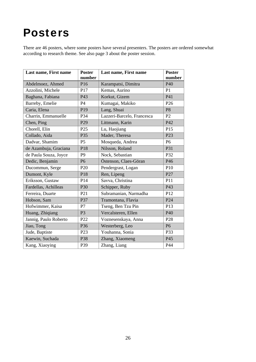## Posters

There are 46 posters, where some posters have several presenters. The posters are ordered somewhat according to research theme. See also page 3 about the poster session.

| Last name, First name | <b>Poster</b><br>number | Last name, First name      | <b>Poster</b><br>number |
|-----------------------|-------------------------|----------------------------|-------------------------|
| Abdelmoez, Ahmed      | P16                     | Karampatsi, Dimitra        | P40                     |
| Azzolini, Michele     | P17                     | Kemas, Aurino              | P <sub>1</sub>          |
| Baghana, Fabiana      | P43                     | Korkut, Gizem              | P41                     |
| Barreby, Emelie       | <b>P4</b>               | Kumagai, Makiko            | P <sub>26</sub>         |
| Caria, Elena          | P <sub>19</sub>         | Lang, Shuai                | P <sub>8</sub>          |
| Charrin, Emmanuelle   | P34                     | Lazzeri-Barcelo, Francesca | P2                      |
| Chen, Ping            | P <sub>29</sub>         | Littmann, Karin            | P42                     |
| Chorell, Elin         | P <sub>25</sub>         | Lu, Haojiang               | P15                     |
| Collado, Aida         | P35                     | Mader, Theresa             | P <sub>23</sub>         |
| Dadvar, Shamim        | P <sub>5</sub>          | Mosqueda, Andrea           | P <sub>6</sub>          |
| de Azambuja, Graciana | P18                     | Nilsson, Roland            | P31                     |
| de Paula Souza, Joyce | P <sub>9</sub>          | Nock, Sebastian            | P32                     |
| Dedic, Benjamin       | P <sub>6</sub>          | Östenson, Claes-Göran      | P46                     |
| Ducommun, Serge       | P <sub>20</sub>         | Pendergrast, Logan         | P10                     |
| Dumont, Kyle          | P18                     | Ren, Lipeng                | P27                     |
| Eriksson, Gustaw      | P14                     | Savva, Christina           | P11                     |
| Fardellas, Achilleas  | P30                     | Schipper, Ruby             | P43                     |
| Ferreira, Duarte      | P <sub>21</sub>         | Subramanian, Narmadha      | P <sub>12</sub>         |
| Hobson, Sam           | P37                     | Tramontana, Flavia         | P <sub>24</sub>         |
| Hofwimmer, Kaisa      | P7                      | Tseng, Ben Tzu Pin         | P13                     |
| Huang, Zhiqiang       | P <sub>3</sub>          | Vercalsteren, Ellen        | P <sub>40</sub>         |
| Jannig, Paulo Roberto | P22                     | Voznesenskaya, Anna        | P <sub>28</sub>         |
| Jiao, Tong            | P36                     | Westerberg, Leo            | P <sub>6</sub>          |
| Jude, Baptiste        | P <sub>23</sub>         | Youhanna, Sonia            | P33                     |
| Kaewin, Suchada       | P38                     | Zhang, Xiaomeng            | P45                     |
| Kang, Xiaoying        | P39                     | Zhang, Liang               | P44                     |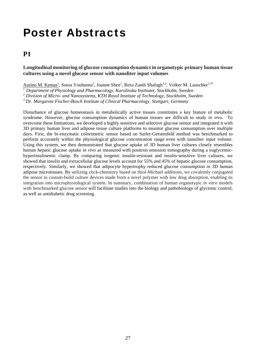## Poster Abstracts

## **P1**

#### **Longitudinal monitoring of glucose consumption dynamics in organotypic primary human tissue cultures using a novel glucose sensor with nanoliter input volumes**

Aurino M. Kemas<sup>1</sup>, Sonia Youhanna<sup>1</sup>, Joanne Shen<sup>1</sup>, Reza Zandi Shafagh<sup>1,2</sup>, Volker M. Lauschke<sup>1,3\*</sup>

*1 Department of Physiology and Pharmacology, Karolinska Institutet, Stockholm, Sweden* 

<sup>2</sup> Division of Micro- and Nanosystems, KTH Royal Institute of Technology, Stockholm, Sweden

*3 Dr. Margarete Fischer-Bosch Institute of Clinical Pharmacology, Stuttgart, Germany* 

Disturbance of glucose homeostasis in metabolically active tissues constitutes a key feature of metabolic syndrome. However, glucose consumption dynamics of human tissues are difficult to study *in vivo*. To overcome these limitations, we developed a highly sensitive and selective glucose sensor and integrated it with 3D primary human liver and adipose tissue culture platforms to monitor glucose consumption over multiple days. First, the bi-enzymatic colorimetric sensor based on Saifer-Gerstenfeld method was benchmarked to perform accurately within the physiological glucose concentration range even with nanoliter input volume. Using this system, we then demonstrated that glucose uptake of 3D human liver cultures closely resembles human hepatic glucose uptake *in vivo* as measured with positron emission tomography during a euglycemichyperinsulinemic clamp. By comparing isogenic insulin-resistant and insulin-sensitive liver cultures, we showed that insulin and extracellular glucose levels account for 55% and 45% of hepatic glucose consumption, respectively. Similarly, we showed that adipocyte hypertrophy reduced glucose consumption in 3D human adipose microtissues. By utilizing click-chemistry based on thiol-Michael additions, we covalently conjugated the sensor to custom-build culture devices made from a novel polymer with low drug absorption, enabling its integration into microphysiological system. In summary, combination of human organotypic *in vitro* models with benchmarked glucose sensor will facilitate studies into the biology and pathobiology of glycemic control, as well as antidiabetic drug screening.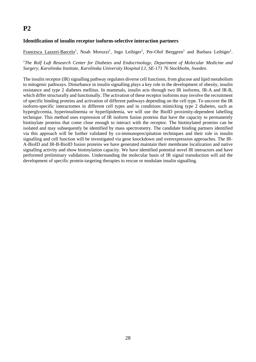#### **Identification of insulin receptor isoform-selective interaction partners**

Francesca Lazzeri-Barcelo<sup>1</sup>, Noah Moruzzi<sup>1</sup>, Ingo Leibiger<sup>1</sup>, Per-Olof Berggren<sup>1</sup> and Barbara Leibiger<sup>1</sup>.

<sup>1</sup>The Rolf Luft Research Center for Diabetes and Endocrinology, Department of Molecular Medicine and *Surgery, Karolinska Institute, Karolinska University Hospital L1, SE-171 76 Stockholm, Sweden.*

The insulin receptor (IR) signalling pathway regulates diverse cell functions, from glucose and lipid metabolism to mitogenic pathways. Disturbance in insulin signalling plays a key role in the development of obesity, insulin resistance and type 2 diabetes mellitus. In mammals, insulin acts through two IR isoforms, IR-A and IR-B, which differ structurally and functionally. The activation of these receptor isoforms may involve the recruitment of specific binding proteins and activation of different pathways depending on the cell type. To uncover the IR isoform-specific interactomes in different cell types and in conditions mimicking type 2 diabetes, such as hyperglycemia, hyperinsulinemia or hyperlipidemia, we will use the BioID proximity-dependent labelling technique. This method uses expression of IR isoform fusion proteins that have the capacity to permanently biotinylate proteins that come close enough to interact with the receptor. The biotinylated proteins can be isolated and may subsequently be identified by mass spectrometry. The candidate binding partners identified via this approach will be further validated by co-immunoprecipitation techniques and their role in insulin signalling and cell function will be investigated via gene knockdown and overexpression approaches. The IR-A-BioID and IR-B-BioID fusion proteins we have generated maintain their membrane localization and native signalling activity and show biotinylation capacity. We have identified potential novel IR interactors and have performed preliminary validations. Understanding the molecular basis of IR signal transduction will aid the development of specific protein-targeting therapies to rescue or modulate insulin signalling.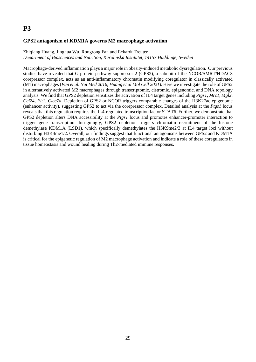#### **GPS2 antagonism of KDM1A governs M2 macrophage activation**

#### Zhiqiang Huang, Jinghua Wu, Rongrong Fan and Eckardt Treuter *Department of Biosciences and Nutrition, Karolinska Institutet, 14157 Huddinge, Sweden*

Macrophage-derived inflammation plays a major role in obesity-induced metabolic dysregulation. Our previous studies have revealed that G protein pathway suppressor 2 (GPS2), a subunit of the NCOR/SMRT/HDAC3 corepressor complex, acts as an anti-inflammatory chromatin modifying coregulator in classically activated (M1) macrophages (*Fan et al. Nat Med 2016, Huang et al Mol Cell 2021*). Here we investigate the role of GPS2 in alternatively activated M2 macrophages through transcriptomic, cistromic, epigenomic, and DNA topology analysis. We find that GPS2 depletion sensitizes the activation of IL4 target genes including *Ptgs1*, *Mrc1*, *Mgl2, Ccl24, Flt1, Clec7a*. Depletion of GPS2 or NCOR triggers comparable changes of the H3K27ac epigenome (enhancer activity), suggesting GPS2 to act via the corepressor complex. Detailed analysis at the *Ptgs1* locus reveals that this regulation requires the IL4-regulated transcription factor STAT6. Further, we demonstrate that GPS2 depletion alters DNA accessibility at the *Ptgs1* locus and promotes enhancer-promoter interaction to trigger gene transcription. Intriguingly, GPS2 depletion triggers chromatin recruitment of the histone demethylase KDM1A (LSD1), which specifically demethylates the H3K9me2/3 at IL4 target loci without disturbing H3K4me1/2. Overall, our findings suggest that functional antagonisms between GPS2 and KDM1A is critical for the epigenetic regulation of M2 macrophage activation and indicate a role of these coregulators in tissue homeostasis and wound healing during Th2-mediated immune responses.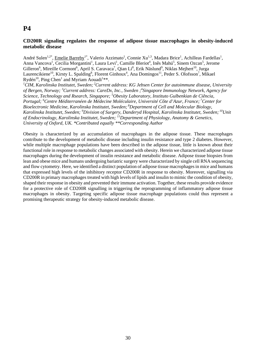#### **CD200R signaling regulates the response of adipose tissue macrophages in obesity-induced metabolic disease**

André Sulen<sup>1,2\*</sup>, Emelie Barreby<sup>1\*</sup>, Valerio Azzimato<sup>1</sup>, Connie Xu<sup>1,3</sup>, Madara Brice<sup>1</sup>, Achilleas Fardellas<sup>1</sup>, Anna Vancova<sup>1</sup>, Cecilia Morgantini<sup>1</sup>, Laura Levi<sup>1</sup>, Camille Bleriot<sup>4</sup>, Inês Mahú<sup>5</sup>, Sinem Ozcan<sup>5</sup>, Jerome Gilleron<sup>6</sup>, Mireille Cormont<sup>6</sup>, April S. Caravaca<sup>7</sup>, Qian Li<sup>8</sup>, Erik Näslund<sup>9</sup>, Niklas Mejhert<sup>10</sup>, Jurga Laurencikiene<sup>10</sup>, Kirsty L. Spalding<sup>8</sup>, Florent Ginhoux<sup>4</sup>, Ana Domingos<sup>11</sup>, Peder S. Olofsson<sup>7</sup>, Mikael Rydén<sup>10</sup>, Ping Chen<sup>1</sup> and Myriam Aouadi<sup>1\*\*</sup>.

*1 CIM, Karolinska Institutet, Sweden; 2Current address: KG Jebsen Center for autoimmune disease, University of Bergen, Norway; <sup>3</sup> Current address: CareDx, Inc., Sweden ;4 Singapore Immunology Network, Agency for Science, Technology and Rsearch, Singapore; 5 Obesity Laboratory, Instituto Gulbenkian de Ciência,*  Portugal; <sup>6</sup> Centre Méditerranéen de Médecine Moléculaire, Université Côte d'Azur, France; <sup>7</sup> Center for *Bioelectronic Medicine, Karolinska Institutet, Sweden; 8Department of Cell and Molecular Biology, Karolinska Institutet, Sweden; 9 Division of Surgery, Danderyd Hospital, Karolinska Institutet, Sweden; 10Unit of Endocrinology, Karolinska Institutet, Sweden; 11Department of Physiology, Anatomy & Genetics, University of Oxford, UK. \*Contributed equally \*\*Corresponding Author* 

Obesity is characterized by an accumulation of macrophages in the adipose tissue. These macrophages contribute to the development of metabolic disease including insulin resistance and type 2 diabetes. However, while multiple macrophage populations have been described in the adipose tissue, little is known about their functional role in response to metabolic changes associated with obesity. Herein we characterized adipose tissue macrophages during the development of insulin resistance and metabolic disease. Adipose tissue biopsies from lean and obese mice and humans undergoing bariatric surgery were characterized by single cell RNA sequencing and flow cytometry. Here, we identified a distinct population of adipose tissue macrophages in mice and humans that expressed high levels of the inhibitory receptor CD200R in response to obesity. Moreover, signalling via CD200R in primary macrophages treated with high levels of lipids and insulin to mimic the condition of obesity, shaped their response in obesity and prevented their immune activation. Together, these results provide evidence for a protective role of CD200R signalling in triggering the reprogramming of inflammatory adipose tissue macrophages in obesity. Targeting specific adipose tissue macrophage populations could thus represent a promising therapeutic strategy for obesity-induced metabolic disease.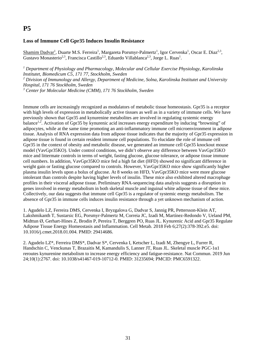#### **Loss of Immune Cell Gpr35 Induces Insulin Resistance**

Shamim Dadvar<sup>1</sup>, Duarte M.S. Ferreira<sup>1</sup>, Margareta Porsmyr-Palmertz<sup>1</sup>, Igor Cervenka<sup>1</sup>, Oscar E. Diaz<sup>2,3</sup>, Gustavo Monasterio<sup>2,3</sup>, Francisca Castillo<sup>2,3</sup>, Eduardo Villablanca<sup>2,3</sup>, Jorge L. Ruas<sup>1</sup>.

<sup>1</sup> Department of Physiology and Pharmacology, Molecular and Cellular Exercise Physiology, Karolinska *Institutet, Biomedicum C5, 171 77, Stockholm, Sweden* 

*2 Division of Immunology and Allergy, Department of Medicine, Solna, Karolinska Institutet and University Hospital, 171 76 Stockholm, Sweden* 

*3 Center for Molecular Medicine (CMM), 171 76 Stockholm, Sweden* 

Immune cells are increasingly recognized as modulators of metabolic tissue homeostasis. Gpr35 is a receptor with high levels of expression in metabolically active tissues as well as in a variety of immune cells. We have previously shown that Gpr35 and kynurenine metabolites are involved in regulating systemic energy balance1,2. Activation of Gpr35 by kynurenic acid increases energy expenditure by inducing "browning" of adipocytes, while at the same time promoting an anti-inflammatory immune cell microenvironment in adipose tissue. Analysis of RNA expression data from adipose tissue indicates that the majority of Gpr35 expression in adipose tissue is found in certain resident immune cell populations. To elucidate the role of immune cell Gpr35 in the context of obesity and metabolic disease, we generated an immune cell Gpr35 knockout mouse model (VavGpr35KO). Under control conditions, we didn't observe any difference between VavGpr35KO mice and littermate controls in terms of weight, fasting glucose, glucose tolerance, or adipose tissue immune cell numbers. In addition, VavGpr35KO mice fed a high fat diet (HFD) showed no significant difference in weight gain or fasting glucose compared to controls. However, VavGpr35KO mice show significantly higher plasma insulin levels upon a bolus of glucose. At 8 weeks on HFD, VavGpr35KO mice were more glucose intolerant than controls despite having higher levels of insulin. These mice also exhibited altered macrophage profiles in their visceral adipose tissue. Preliminary RNA-sequencing data analysis suggests a disruption in genes involved in energy metabolism in both skeletal muscle and inguinal white adipose tissue of these mice. Collectively, our data suggests that immune cell Gpr35 is a regulator of systemic energy metabolism. The absence of Gpr35 in immune cells induces insulin resistance through a yet unknown mechanism of action.

1. Agudelo LZ, Ferreira DMS, Cervenka I, Bryzgalova G, Dadvar S, Jannig PR, Pettersson-Klein AT, Lakshmikanth T, Sustarsic EG, Porsmyr-Palmertz M, Correia JC, Izadi M, Martínez-Redondo V, Ueland PM, Midttun Ø, Gerhart-Hines Z, Brodin P, Pereira T, Berggren PO, Ruas JL. Kynurenic Acid and Gpr35 Regulate Adipose Tissue Energy Homeostasis and Inflammation. Cell Metab. 2018 Feb 6;27(2):378-392.e5. doi: 10.1016/j.cmet.2018.01.004. PMID: 29414686.

2. Agudelo LZ\*, Ferreira DMS\*, Dadvar S\*, Cervenka I, Ketscher L, Izadi M, Zhengye L, Furrer R, Handschin C, Venckunas T, Brazaitis M, Kamandulis S, Lanner JT, Ruas JL. Skeletal muscle PGC-1α1 reroutes kynurenine metabolism to increase energy efficiency and fatigue-resistance. Nat Commun. 2019 Jun 24;10(1):2767. doi: 10.1038/s41467-019-10712-0. PMID: 31235694; PMCID: PMC6591322.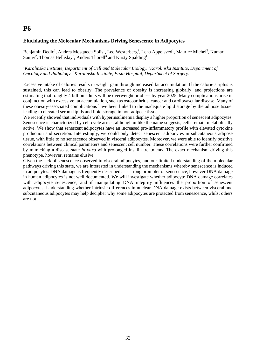#### **Elucidating the Molecular Mechanisms Driving Senescence in Adipocytes**

Benjamin Dedic<sup>1</sup>, Andrea Mosqueda Solis<sup>1</sup>, Leo Westerberg<sup>1</sup>, Lena Appelsved<sup>1</sup>, Maurice Michel<sup>2</sup>, Kumar Sanjiv<sup>2</sup>, Thomas Helleday<sup>2</sup>, Anders Thorell<sup>3</sup> and Kirsty Spalding<sup>1</sup>.

#### <sup>1</sup> Karolinska Institute, Department of Cell and Molecular Biology. <sup>2</sup> Karolinska Institute, Department of *Oncology and Pathology. 3 Karolinska Institute, Ersta Hospital, Department of Surgery.*

Excessive intake of calories results in weight gain through increased fat accumulation. If the calorie surplus is sustained, this can lead to obesity. The prevalence of obesity is increasing globally, and projections are estimating that roughly 4 billion adults will be overweight or obese by year 2025. Many complications arise in conjunction with excessive fat accumulation, such as osteoarthritis, cancer and cardiovascular disease. Many of these obesity-associated complications have been linked to the inadequate lipid storage by the adipose tissue, leading to elevated serum-lipids and lipid storage in non-adipose tissue.

We recently showed that individuals with hyperinsulinemia display a higher proportion of senescent adipocytes. Senescence is characterized by cell cycle arrest, although unlike the name suggests, cells remain metabolically active. We show that senescent adipocytes have an increased pro-inflammatory profile with elevated cytokine production and secretion. Interestingly, we could only detect senescent adipocytes in subcutaneous adipose tissue, with little to no senescence observed in visceral adipocytes. Moreover, we were able to identify positive correlations between clinical parameters and senescent cell number. These correlations were further confirmed by mimicking a disease-state *in vitro* with prolonged insulin treatments. The exact mechanism driving this phenotype, however, remains elusive.

Given the lack of senescence observed in visceral adipocytes, and our limited understanding of the molecular pathways driving this state, we are interested in understanding the mechanisms whereby senescence is induced in adipocytes. DNA damage is frequently described as a strong promoter of senescence, however DNA damage in human adipocytes is not well documented. We will investigate whether adipocyte DNA damage correlates with adipocyte senescence, and if manipulating DNA integrity influences the proportion of senescent adipocytes. Understanding whether intrinsic differences in nuclear DNA damage exists between visceral and subcutaneous adipocytes may help decipher why some adipocytes are protected from senescence, whilst others are not.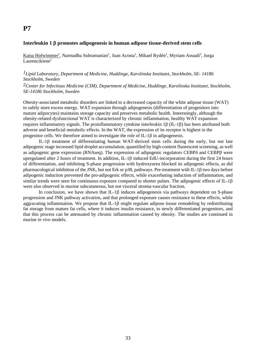#### **Interleukin 1 promotes adipogenesis in human adipose tissue-derived stem cells**

Kaisa Hofwimmer<sup>1</sup>, Narmadha Subramanian<sup>1</sup>, Juan Acosta<sup>1</sup>, Mikael Rydén<sup>1</sup>, Myriam Aouadi<sup>2</sup>, Jurga  $Laurencikiene<sup>1</sup>$ 

#### *1Lipid Laboratory, Department of Medicine, Huddinge, Karolinska Institutet, Stockholm, SE- 14186 Stockholm, Sweden*

#### *2Center for Infectious Medicine (CIM), Department of Medicine, Huddinge, Karolinska Institutet, Stockholm, SE-14186 Stockholm, Sweden*

Obesity-associated metabolic disorders are linked to a decreased capacity of the white adipose tissue (WAT) to safely store excess energy. WAT expansion through adipogenesis (differentiation of progenitors into mature adipocytes) maintains storage capacity and preserves metabolic health. Interestingly, although the obesity-related dysfunctional WAT is characterized by chronic inflammation, healthy WAT expansion requires inflammatory signals. The proinflammatory cytokine interleukin  $1\beta$  (IL-1 $\beta$ ) has been attributed both adverse and beneficial metabolic effects. In the WAT, the expression of its receptor is highest in the progenitor cells. We therefore aimed to investigate the role of  $IL-1\beta$  in adipogenesis.

IL-18 treatment of differentiating human WAT-derived stem cells during the early, but not late adipogenic stage increased lipid droplet accumulation, quantified by high-content fluorescent screening, as well as adipogenic gene expression (RNAseq). The expression of adipogenic regulators CEBP $\delta$  and CEBP $\beta$  were upregulated after 2 hours of treatment. In addition, IL-18 induced EdU-incorporation during the first 24 hours of differentiation, and inhibiting S-phase progression with hydroxyurea blocked its adipogenic effects, as did pharmacological inhibition of the JNK, but not Erk or p38, pathways. Pre-treatment with IL-1 $\beta$  two days before adipogenic induction prevented the pro-adipogenic effects, while exacerbating induction of inflammation, and similar trends were seen for continuous exposure compared to shorter pulses. The adipogenic effects of IL-1 $\beta$ were also observed in murine subcutaneous, but not visceral stroma-vascular fraction.

In conclusion, we have shown that  $IL-1\beta$  induces adipogenesis via pathways dependent on S-phase progression and JNK pathway activation, and that prolonged exposure causes resistance to these effects, while aggravating inflammation. We propose that  $IL-1\beta$  might regulate adipose tissue remodeling by redistributing fat storage from mature fat cells, where it induces insulin resistance, to newly differentiated progenitors, and that this process can be attenuated by chronic inflammation caused by obesity. The studies are continued in murine *in vivo* models.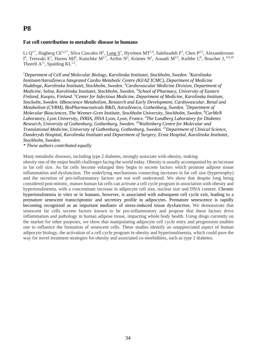#### **Fat cell contribution to metabolic disease in humans**

Li Q<sup>1,\*</sup>, Hagberg CE<sup>2,3,\*</sup>, Silva Cascales H<sup>2</sup>, Lang S<sup>1</sup>, Hyvönen MT<sup>1,4</sup>, Salehzadeh F<sup>2</sup>, Chen P<sup>2,5</sup>, Alexandersson I<sup>6</sup>, Terezaki E<sup>2</sup>, Harms MJ<sup>6</sup>, Kutschke M<sup>2,7</sup>, Arifen N<sup>2</sup>, Krämer N<sup>1</sup>, Aouadi M<sup>2,5</sup>, Knibbe C<sup>8</sup>, Boucher J, <sup>6,9,10</sup> Thorell  $A^{11}$ , Spalding KL<sup>1,2</sup>.

<sup>1</sup>Department of Cell and Molecular Biology, Karolinska Institutet, Stockholm, Sweden. <sup>2</sup>Karolinska *Institutet/AstraZeneca Integrated Cardio Metabolic Centre (KI/AZ ICMC), Department of Medicine Huddinge, Karolinska Institutet, Stockholm, Sweden. 3 Cardiovascular Medicine Division, Department of Medicine, Solna, Karolinska Institutet, Stockholm, Sweden. 4 School of Pharmacy, University of Eastern Finland, Kuopio, Finland. 5 Center for Infectious Medicine, Department of Medicine, Karolinska Institute, Stockolm, Sweden. 6Bioscience Metabolism, Research and Early Development, Cardiovascular, Renal and Metabolism (CVRM), BioPharmaceuticals R&D, AstraZeneca, Gothenburg, Sweden. 7 Department of Molecular Biosciences, The Wenner-Gren Institute, Stockholm University, Stockholm, Sweden. 8 CarMeN Laboratory, Lyon University, INRIA, INSA Lyon, Lyon, France. <sup>9</sup> The Lundberg Laboratory for Diabetes Research, University of Gothenburg, Gothenburg, Sweden. 10Wallenberg Centre for Molecular and Translational Medicine, University of Gothenburg, Gothenburg, Sweden. 11Department of Clinical Science, Danderyds Hospital, Karolinska Institutet and Department of Surgery, Ersta Hospital, Karolinska Institutet, Stockholm, Sweden.* 

*\* These authors contributed equally* 

Many metabolic diseases, including type 2 diabetes, strongly associate with obesity, making obesity one of the major health challenges facing the world today. Obesity is usually accompanied by an increase in fat cell size. As fat cells become enlarged they begin to secrete factors which promote adipose tissue inflammation and dysfunction. The underlying mechanisms connecting increases in fat cell size (hypertrophy) and the secretion of pro-inflammatory factors are not well understood. We show that despite long being considered post-mitotic, mature human fat cells can activate a cell cycle program in association with obesity and hyperinsulinemia, with a concomitant increase in adipocyte cell size, nuclear size and DNA content. Chronic hyperinsulinemia in vitro or in humans, however, is associated with subsequent cell cycle exit, leading to a premature senescent transcriptomic and secretory profile in adipocytes. Premature senescence is rapidly becoming recognized as an important mediator of stress-induced tissue dysfunction. We demonstrate that senescent fat cells secrete factors known to be pro-inflammatory and propose that these factors drive inflammation and pathology in human adipose tissue, impacting whole body health. Using drugs currently on the market for other purposes, we show that manipulating adipocyte cell cycle entry and progression enables one to influence the formation of senescent cells. These studies identify an unappreciated aspect of human adipocyte biology, the activation of a cell cycle program in obesity and hyperinsulinemia, which could pave the way for novel treatment strategies for obesity and associated co-morbidities, such as type 2 diabetes.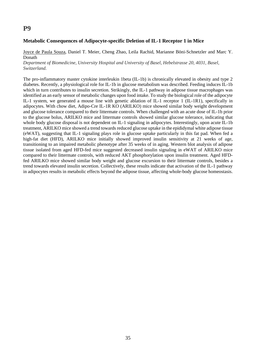#### **Metabolic Consequences of Adipocyte-specific Deletion of IL-1 Receptor 1 in Mice**

Joyce de Paula Souza, Daniel T. Meier, Cheng Zhao, Leila Rachid, Marianne Böni-Schnetzler and Marc Y. Donath

*Department of Biomedicine, University Hospital and University of Basel, Hebelstrasse 20, 4031, Basel, Switzerland.* 

The pro-inflammatory master cytokine interleukin 1beta (IL-1b) is chronically elevated in obesity and type 2 diabetes. Recently, a physiological role for IL-1b in glucose metabolism was described. Feeding induces IL-1b which in turn contributes to insulin secretion. Strikingly, the IL-1 pathway in adipose tissue macrophages was identified as an early sensor of metabolic changes upon food intake. To study the biological role of the adipocyte IL-1 system, we generated a mouse line with genetic ablation of IL-1 receptor 1 (IL-1R1), specifically in adipocytes. With chow diet, Adipo-Cre IL-1R KO (ARILKO) mice showed similar body weight development and glucose tolerance compared to their littermate controls. When challenged with an acute dose of IL-1b prior to the glucose bolus, ARILKO mice and littermate controls showed similar glucose tolerance, indicating that whole body glucose disposal is not dependent on IL-1 signaling in adipocytes. Interestingly, upon acute IL-1b treatment, ARILKO mice showed a trend towards reduced glucose uptake in the epididymal white adipose tissue (eWAT), suggesting that IL-1 signaling plays role in glucose uptake particularly in this fat pad. When fed a high-fat diet (HFD), ARILKO mice initially showed improved insulin sensitivity at 21 weeks of age, transitioning to an impaired metabolic phenotype after 35 weeks of in aging. Western blot analysis of adipose tissue isolated from aged HFD-fed mice suggested decreased insulin signaling in eWAT of ARILKO mice compared to their littermate controls, with reduced AKT phosphorylation upon insulin treatment. Aged HFDfed ARILKO mice showed similar body weight and glucose excursion to their littermate controls, besides a trend towards elevated insulin secretion. Collectively, these results indicate that activation of the IL-1 pathway in adipocytes results in metabolic effects beyond the adipose tissue, affecting whole-body glucose homeostasis.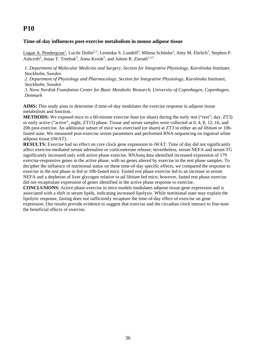#### **Time-of-day influences post-exercise metabolism in mouse adipose tissue**

Logan A. Pendergrast<sup>1</sup>, Lucile Dollet<sup>2,3</sup>, Leonidas S. Lundell<sup>3</sup>, Milena Schönke<sup>1</sup>, Amy M. Ehrlich<sup>3</sup>, Stephen P. Ashcroft<sup>3</sup>, Jonas T. Treebak<sup>3</sup>, Anna Krook<sup>2</sup>, and Juleen R. Zierath<sup>1,2,3</sup>

*1. Department of Molecular Medicine and Surgery, Section for Integrative Physiology, Karolinska Institutet, Stockholm, Sweden* 

*2. Department of Physiology and Pharmacology, Section for Integrative Physiology, Karolinska Institutet, Stockholm, Sweden* 

*3. Novo Nordisk Foundation Center for Basic Metabolic Research, University of Copenhagen, Copenhagen, Denmark* 

**AIMS:** This study aims to determine if time-of-day modulates the exercise response in adipose tissue metabolism and function.

**METHODS:** We exposed mice to a 60-minute exercise bout (or sham) during the early rest ("rest"; day, ZT3) or early active ("active", night, ZT15) phase. Tissue and serum samples were collected at 0, 4, 8, 12, 16, and 20h post-exercise. An additional subset of mice was exercised (or sham) at ZT3 in either an *ad libitum* or 10hfasted state. We measured post-exercise serum parameters and performed RNA-sequencing on inguinal white adipose tissue (iWAT).

**RESULTS:** Exercise had no effect on core clock gene expression in iWAT. Time of day did not significantly affect exercise-mediated serum adrenaline or corticosterone release; nevertheless, serum NEFA and serum TG significantly increased only with active phase exercise. RNAseq data identified increased expression of 179 exercise-responsive genes in the active phase, with no genes altered by exercise in the rest phase samples. To decipher the influence of nutritional status on these time-of-day specific effects, we compared the response to exercise in the rest phase in fed or 10h-fasted mice. Fasted rest phase exercise led to an increase in serum NEFA and a depletion of liver glycogen relative to *ad libitum* fed mice; however, fasted rest phase exercise did not recapitulate expression of genes identified in the active phase response to exercise.

**CONCLUSIONS:** Active phase exercise in mice models modulates adipose tissue gene expression and is associated with a shift in serum lipids, indicating increased lipolysis. While nutritional state may explain the lipolytic response, fasting does not sufficiently recapture the time-of-day effect of exercise on gene expression. Our results provide evidence to suggest that exercise and the circadian clock interact to fine-tune the beneficial effects of exercise.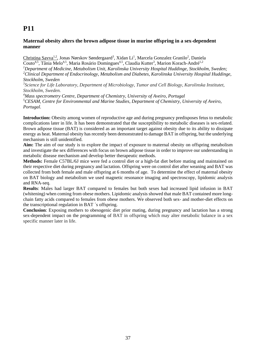### **Maternal obesity alters the brown adipose tissue in murine offspring in a sex-dependent manner**

Christina Savva<sup>1,2</sup>, Jonas Nørskov Søndergaard<sup>3</sup>, Xidan Li<sup>1</sup>, Marcela Gonzalez Granilo<sup>2</sup>, Daniela Couto<sup>4,5</sup>, Tânia Melo<sup>4,5</sup>, Maria Rosário Domingues<sup>4,5</sup>, Claudia Kutter<sup>3</sup>, Marion Korach-André<sup>1,2</sup> *1 Department of Medicine, Metabolism Unit, Karolinska University Hospital Huddinge, Stockholm, Sweden; 2 Clinical Department of Endocrinology, Metabolism and Diabetes, Karolinska University Hospital Huddinge, Stockholm, Sweden* 

*3 Science for Life Laboratory, Department of Microbiology, Tumor and Cell Biology, Karolinska Institutet, Stockholm, Sweden.* 

*4 Mass spectrometry Centre, Department of Chemistry, University of Aveiro, Portugal 5 CESAM, Centre for Environmental and Marine Studies, Department of Chemistry, University of Aveiro, Portugal.* 

**Introduction:** Obesity among women of reproductive age and during pregnancy predisposes fetus to metabolic complications later in life. It has been demonstrated that the susceptibility to metabolic diseases is sex-related. Brown adipose tissue (BAT) is considered as an important target against obesity due to its ability to dissipate energy as heat. Maternal obesity has recently been demonstrated to damage BAT in offspring, but the underlying mechanism is still unidentified.

**Aim:** The aim of our study is to explore the impact of exposure to maternal obesity on offspring metabolism and investigate the sex differences with focus on brown adipose tissue in order to improve our understanding in metabolic disease mechanism and develop better therapeutic methods.

**Methods:** Female C57BL/6J mice were fed a control diet or a high-fat diet before mating and maintained on their respective diet during pregnancy and lactation. Offspring were on control diet after weaning and BAT was collected from both female and male offspring at 6 months of age. To determine the effect of maternal obesity on BAT biology and metabolism we used magnetic resonance imaging and spectroscopy, lipidomic analysis and RNA-seq.

**Results**: Males had larger BAT compared to females but both sexes had increased lipid infusion in BAT (whitening) when coming from obese mothers. Lipidomic analysis showed that male BAT contained more longchain fatty acids compared to females from obese mothers. We observed both sex- and mother-diet effects on the transcriptional regulation in BAT ´s offspring.

**Conclusion**: Exposing mothers to obesogenic diet prior mating, during pregnancy and lactation has a strong sex-dependent impact on the programming of BAT in offspring which may alter metabolic balance in a sex specific manner later in life.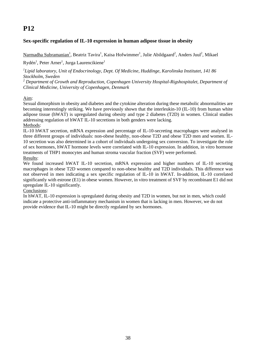### **Sex-specific regulation of IL-10 expression in human adipose tissue in obesity**

Narmadha Subramanian<sup>1</sup>, Beatriz Tavira<sup>1</sup>, Kaisa Hofwimmer<sup>1</sup>, Julie Abildgaard<sup>2</sup>, Anders Juul<sup>2</sup>, Mikael

### Rydén<sup>1</sup>, Peter Arner<sup>1</sup>, Jurga Laurencikiene<sup>1</sup>

*1 Lipid laboratory, Unit of Endocrinology, Dept. Of Medicine, Huddinge, Karolinska Institutet, 141 86 Stockholm, Sweden* 

*<sup>2</sup> Department of Growth and Reproduction, Copenhagen University Hospital-Rigshospitalet, Department of Clinical Medicine, University of Copenhagen, Denmark* 

### Aim:

Sexual dimorphism in obesity and diabetes and the cytokine alteration during these metabolic abnormalities are becoming interestingly striking. We have previously shown that the interleukin-10 (IL-10) from human white adipose tissue (hWAT) is upregulated during obesity and type 2 diabetes (T2D) in women. Clinical studies addressing regulation of hWAT IL-10 secretions in both genders were lacking.

#### Methods:

IL-10 hWAT secretion, mRNA expression and percentage of IL-10-secreting macrophages were analysed in three different groups of individuals: non-obese healthy, non-obese T2D and obese T2D men and women. IL-10 secretion was also determined in a cohort of individuals undergoing sex conversion. To investigate the role of sex hormones, hWAT hormone levels were correlated with IL-10 expression. In addition, in vitro hormone treatments of THP1 monocytes and human stroma vascular fraction (SVF) were performed. Results:

We found increased hWAT IL-10 secretion, mRNA expression and higher numbers of IL-10 secreting macrophages in obese T2D women compared to non-obese healthy and T2D individuals. This difference was not observed in men indicating a sex specific regulation of IL-10 in hWAT. In-addition, IL-10 correlated significantly with estrone (E1) in obese women. However, in vitro treatment of SVF by recombinant E1 did not upregulate IL-10 significantly.

#### Conclusions:

In hWAT, IL-10 expression is upregulated during obesity and T2D in women, but not in men, which could indicate a protective anti-inflammatory mechanism in women that is lacking in men. However, we do not provide evidence that IL-10 might be directly regulated by sex hormones.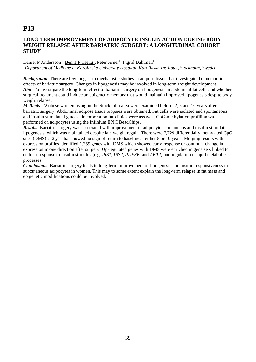### **LONG-TERM IMPROVEMENT OF ADIPOCYTE INSULIN ACTION DURING BODY WEIGHT RELAPSE AFTER BARIATRIC SURGERY: A LONGITUDINAL COHORT STUDY**

#### Daniel P Andersson<sup>1</sup>, Ben T P Tseng<sup>1</sup>, Peter Arner<sup>1</sup>, Ingrid Dahlman<sup>1</sup> <sup>1</sup>Department of Medicine at Karolinska University Hospital, Karolinska Institutet, Stockholm, Sweden.

*Background*: There are few long-term mechanistic studies in adipose tissue that investigate the metabolic effects of bariatric surgery. Changes in lipogenesis may be involved in long-term weight development. *Aim*: To investigate the long-term effect of bariatric surgery on lipogenesis in abdominal fat cells and whether surgical treatment could induce an epigenetic memory that would maintain improved lipogenesis despite body weight relapse.

*Methods*: 22 obese women living in the Stockholm area were examined before, 2, 5 and 10 years after bariatric surgery. Abdominal adipose tissue biopsies were obtained. Fat cells were isolated and spontaneous and insulin stimulated glucose incorporation into lipids were assayed. GpG-methylation profiling was performed on adipocytes using the Infinium EPIC BeadChips**.** 

*Results*: Bariatric surgery was associated with improvement in adipocyte spontaneous and insulin stimulated lipogenesis, which was maintained despite late weight regain. There were 7,729 differentially methylated CpG sites (DMS) at 2 y's that showed no sign of return to baseline at either 5 or 10 years. Merging results with expression profiles identified 1,259 genes with DMS which showed early response or continual change in expression in one direction after surgery. Up-regulated genes with DMS were enriched in gene sets linked to cellular response to insulin stimulus (e.g. *IRS1, IRS2, PDE3B*, and *AKT2)* and regulation of lipid metabolic processes.

*Conclusions*: Bariatric surgery leads to long-term improvement of lipogenesis and insulin responsiveness in subcutaneous adipocytes in women. This may to some extent explain the long-term relapse in fat mass and epigenetic modifications could be involved.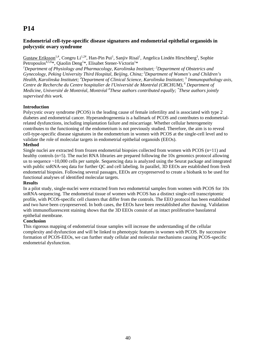### **Endometrial cell-type-specific disease signatures and endometrial epithelial organoids in polycystic ovary syndrome**

Gustaw Eriksson<sup>1,#</sup>, Congru Li<sup>1,2#</sup>, Han-Pin Pui<sup>1</sup>, Sanjiv Risal<sup>1</sup>, Angelica Lindén Hirschberg<sup>3</sup>, Sophie Petropoulos<sup>4,5,6\*</sup>, Qiaolin Deng<sup>1\*</sup>, Elisabet Stener-Victorin<sup>1\*</sup>

<sup>1</sup>Department of Physiology and Pharmacology, Karolinska Institutet; <sup>2</sup>Department of Obstetrics and *Gynecology, Peking University Third Hospital, Beijing, China; 3Department of Women's and Children's Health, Karolinska Institutet; <sup>4</sup> Department of Clinical Science, Karolinska Institutet; 5 Immunopathology axis, Centre de Recherche du Centre hospitalier de l'Université de Montréal (CRCHUM), 6 Department of Medicine, Université de Montréal, Montréal # These authors contributed equally; \* These authors jointly supervised this work.*

#### **Introduction**

Polycystic ovary syndrome (PCOS) is the leading cause of female infertility and is associated with type 2 diabetes and endometrial cancer. Hyperandrogenemia is a hallmark of PCOS and contributes to endometrialrelated dysfunctions, including implantation failure and miscarriage. Whether cellular heterogeneity contributes to the functioning of the endometrium is not previously studied. Therefore, the aim is to reveal cell-type-specific disease signatures in the endometrium in women with PCOS at the single-cell level and to validate the role of molecular targets in endometrial epithelial organoids (EEOs).

#### **Method**

Single nuclei are extracted from frozen endometrial biopsies collected from women with PCOS (n=11) and healthy controls (n=5). The nuclei RNA libraries are prepared following the 10x genomics protocol allowing us to sequence ~10,000 cells per sample. Sequencing data is analyzed using the Seurat package and integrated with public snRNA-seq data for further QC and cell labeling. In parallel, 3D EEOs are established from fresh endometrial biopsies. Following several passages, EEOs are cryopreserved to create a biobank to be used for functional analyses of identified molecular targets.

#### **Results**

In a pilot study, single-nuclei were extracted from two endometrial samples from women with PCOS for 10x snRNA-sequencing. The endometrial tissue of women with PCOS has a distinct single-cell transcriptomic profile, with PCOS-specific cell clusters that differ from the controls. The EEO protocol has been established and two have been cryopreserved. In both cases, the EEOs have been reestablished after thawing. Validation with immunofluorescent staining shows that the 3D EEOs consist of an intact proliferative basolateral epithelial membrane.

#### **Conclusion**

This rigorous mapping of endometrial tissue samples will increase the understanding of the cellular complexity and dysfunction and will be linked to phenotypic features in women with PCOS. By successive formation of PCOS-EEOs, we can further study cellular and molecular mechanisms causing PCOS-specific endometrial dysfunction.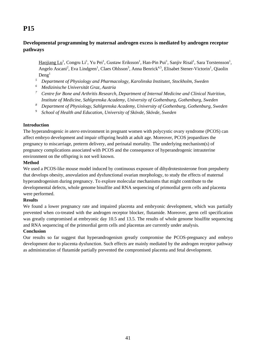### **Developmental programming by maternal androgen excess is mediated by androgen receptor pathways**

Haojiang Lu<sup>1</sup>, Congru Li<sup>1</sup>, Yu Pei<sup>1</sup>, Gustaw Eriksson<sup>1</sup>, Han-Pin Pui<sup>1</sup>, Sanjiv Risal<sup>1</sup>, Sara Torstensson<sup>1</sup>, Angelo Ascani<sup>2</sup>, Eva Lindgren<sup>1</sup>, Claes Ohlsson<sup>3</sup>, Anna Benrick<sup>4,5</sup>, Elisabet Stener-Victorin<sup>1</sup>, Qiaolin  $Deng<sup>1</sup>$ 

- *<sup>5</sup> Department of Physiology and Pharmacology, Karolinska Institutet, Stockholm, Sweden*
- *<sup>6</sup> Medizinische Universität Graz, Austria*
- *<sup>7</sup> Centre for Bone and Arthritis Research, Department of Internal Medicine and Clinical Nutrition, Institute of Medicine, Sahlgrenska Academy, University of Gothenburg, Gothenburg, Sweden*
- *<sup>8</sup> Department of Physiology, Sahlgrenska Academy, University of Gothenburg, Gothenburg, Sweden*
- <sup>9</sup> *School of Health and Education, University of Skövde, Skövde, Sweden*

#### **Introduction**

The hyperandrogenic *in utero* environment in pregnant women with polycystic ovary syndrome (PCOS) can affect embryo development and impair offspring health at adult age. Moreover, PCOS jeopardizes the pregnancy to miscarriage, preterm delivery, and perinatal mortality. The underlying mechanism(s) of pregnancy complications associated with PCOS and the consequence of hyperandrogenic intrauterine environment on the offspring is not well known.

### **Method**

We used a PCOS-like mouse model induced by continuous exposure of dihydrotestosterone from prepuberty that develops obesity, anovulation and dysfunctional ovarian morphology, to study the effects of maternal hyperandrogenism during pregnancy. To explore molecular mechanisms that might contribute to the developmental defects, whole genome bisulfite and RNA sequencing of primordial germ cells and placenta were performed.

#### **Results**

We found a lower pregnancy rate and impaired placenta and embryonic development, which was partially prevented when co-treated with the androgen receptor blocker, flutamide. Moreover, germ cell specification was greatly compromised at embryonic day 10.5 and 13.5. The results of whole genome bisulfite sequencing and RNA sequencing of the primordial germ cells and placentas are currently under analysis.

#### **Conclusion**

Our results so far suggest that hyperandrogenism greatly compromise the PCOS-pregnancy and embryo development due to placenta dysfunction. Such effects are mainly mediated by the androgen receptor pathway as administration of flutamide partially prevented the compromised placenta and fetal development.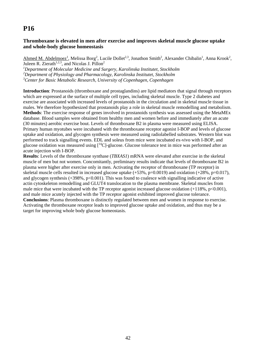### **Thromboxane is elevated in men after exercise and improves skeletal muscle glucose uptake and whole-body glucose homeostasis**

Ahmed M. Abdelmoez<sup>1</sup>, Melissa Borg<sup>2</sup>, Lucile Dollet<sup>2,3</sup>, Jonathon Smith<sup>2</sup>, Alexander Chibalin<sup>1</sup>, Anna Krook<sup>2</sup>, Juleen R. Zierath<sup>1,2,3</sup>, and Nicolas J. Pillon<sup>2</sup>

*1 Department of Molecular Medicine and Surgery, Karolinska Institutet, Stockholm 2 Department of Physiology and Pharmacology, Karolinska Institutet, Stockholm 3 Center for Basic Metabolic Research, University of Copenhagen, Copenhagen* 

**Introduction**: Prostanoids (thromboxane and prostaglandins) are lipid mediators that signal through receptors which are expressed at the surface of multiple cell types, including skeletal muscle. Type 2 diabetes and exercise are associated with increased levels of prostanoids in the circulation and in skeletal muscle tissue in males. We therefore hypothesized that prostanoids play a role in skeletal muscle remodelling and metabolism. **Methods**: The exercise response of genes involved in prostanoids synthesis was assessed using the MetaMEx database. Blood samples were obtained from healthy men and women before and immediately after an acute (30 minutes) aerobic exercise bout. Levels of thromboxane B2 in plasma were measured using ELISA. Primary human myotubes were incubated with the thromboxane receptor agonist I-BOP and levels of glucose uptake and oxidation, and glycogen synthesis were measured using radiolabelled substrates. Western blot was performed to track signalling events. EDL and soleus from mice were incubated ex-vivo with I-BOP, and glucose oxidation was measured using  $\lfloor{}^{14}C\rfloor$ -glucose. Glucose tolerance test in mice was performed after an acute injection with I-BOP.

**Results**: Levels of the thromboxane synthase (*TBXAS1*) mRNA were elevated after exercise in the skeletal muscle of men but not women. Concomitantly, preliminary results indicate that levels of thromboxane B2 in plasma were higher after exercise only in men. Activating the receptor of thromboxane (TP receptor) in skeletal muscle cells resulted in increased glucose uptake  $(+53\% , p=0.0019)$  and oxidation  $(+28\% , p=0.017)$ , and glycogen synthesis  $(+398\%, p<0.001)$ . This was found to coalesce with signalling indicative of active actin cytoskeleton remodelling and GLUT4 translocation to the plasma membrane. Skeletal muscles from male mice that were incubated with the TP receptor agonist increased glucose oxidation  $(+118\% , p<0.001)$ , and male mice acutely injected with the TP receptor agonist exhibited improved glucose tolerance. **Conclusions**: Plasma thromboxane is distinctly regulated between men and women in response to exercise. Activating the thromboxane receptor leads to improved glucose uptake and oxidation, and thus may be a target for improving whole body glucose homeostasis.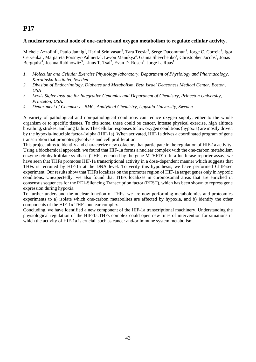### **A nuclear structural node of one-carbon and oxygen metabolism to regulate cellular activity.**

Michele Azzolini<sup>1</sup>, Paulo Jannig<sup>1</sup>, Harini Srinivasan<sup>2</sup>, Tara Teesla<sup>3</sup>, Serge Ducommun<sup>1</sup>, Jorge C. Correia<sup>1</sup>, Igor Cervenka<sup>1</sup>, Margareta Porsmyr-Palmertz<sup>1</sup>, Levon Manukya<sup>4</sup>, Ganna Shevchenko<sup>4</sup>, Christopher Jacobs<sup>2</sup>, Jonas Bergquist<sup>4</sup>, Joshua Rabinowitz<sup>3</sup>, Linus T. Tsai<sup>2</sup>, Evan D. Rosen<sup>2</sup>, Jorge L. Ruas<sup>1</sup>.

- *1. Molecular and Cellular Exercise Physiology laboratory, Department of Physiology and Pharmacology, Karolinska Institutet, Sweden*
- *2. Division of Endocrinology, Diabetes and Metabolism, Beth Israel Deaconess Medical Center, Boston, USA*
- *3. Lewis Sigler Institute for Integrative Genomics and Department of Chemistry, Princeton University, Princeton, USA.*
- *4. Department of Chemistry BMC, Analytical Chemistry, Uppsala University, Sweden.*

A variety of pathological and non-pathological conditions can reduce oxygen supply, either to the whole organism or to specific tissues. To cite some, these could be cancer, intense physical exercise, high altitude breathing, strokes, and lung failure. The cellular responses to low oxygen conditions (hypoxia) are mostly driven by the hypoxia-inducible factor-1alpha (HIF-1a). When activated, HIF-1a drives a coordinated program of gene transcription that promotes glycolysis and cell proliferation.

This project aims to identify and characterize new cofactors that participate in the regulation of HIF-1a activity. Using a biochemical approach, we found that HIF-1a forms a nuclear complex with the one-carbon metabolism enzyme tetrahydrofolate synthase (THFs, encoded by the gene MTHFD1). In a luciferase reporter assay, we have seen that THFs promotes HIF-1a transcriptional activity in a dose-dependent manner which suggests that THFs is recruited by HIF-1a at the DNA level. To verify this hypothesis, we have performed ChIP-seq experiment. Our results show that THFs localizes on the promoter region of HIF-1a target genes only in hypoxic conditions. Unexpectedly, we also found that THFs localizes in chromosomal areas that are enriched in consensus sequences for the RE1-Silencing Transcription factor (REST), which has been shown to repress gene expression during hypoxia.

To further understand the nuclear function of THFs, we are now performing metabolomics and proteomics experiments to a) isolate which one-carbon metabolites are affected by hypoxia, and b) identify the other components of the HIF-1α:THFs nuclear complex.

Concluding, we have identified a new component of the HIF-1a transcriptional machinery. Understanding the physiological regulation of the HIF-1a:THFs complex could open new lines of intervention for situations in which the activity of HIF-1a is crucial, such as cancer and/or immune system metabolism.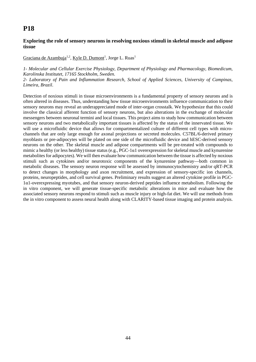### **Exploring the role of sensory neurons in resolving noxious stimuli in skeletal muscle and adipose tissue**

### Graciana de Azambuja<sup>1,2</sup>, <u>Kyle D. Dumont<sup>1</sup>, Jorge L. Ruas<sup>1</sup></u>

*1- Molecular and Cellular Exercise Physiology, Department of Physiology and Pharmacology, Biomedicum, Karolinska Institutet, 17165 Stockholm, Sweden.* 

*2- Laboratory of Pain and Inflammation Research, School of Applied Sciences, University of Campinas, Limeira, Brazil*.

Detection of noxious stimuli in tissue microenvironments is a fundamental property of sensory neurons and is often altered in diseases. Thus, understanding how tissue microenvironments influence communication to their sensory neurons may reveal an underappreciated mode of inter-organ crosstalk. We hypothesize that this could involve the classical afferent function of sensory neurons, but also alterations in the exchange of molecular messengers between neuronal termini and local tissues. This project aims to study how communication between sensory neurons and two metabolically important tissues is affected by the status of the innervated tissue. We will use a microfluidic device that allows for compartmentalized culture of different cell types with microchannels that are only large enough for axonal projections or secreted molecules. C57BL/6-derived primary myoblasts or pre-adipocytes will be plated on one side of the microfluidic device and hESC-derived sensory neurons on the other. The skeletal muscle and adipose compartments will be pre-treated with compounds to mimic a healthy (or less healthy) tissue status (e.g., PGC-1α1 overexpression for skeletal muscle and kynurenine metabolites for adipocytes). We will then evaluate how communication between the tissue is affected by noxious stimuli such as cytokines and/or neurotoxic components of the kynurenine pathway—both common in metabolic diseases. The sensory neuron response will be assessed by immunocytochemistry and/or qRT-PCR to detect changes in morphology and axon recruitment, and expression of sensory-specific ion channels, proteins, neuropeptides, and cell survival genes. Preliminary results suggest an altered cytokine profile in PGC-1α1-overexpressing myotubes, and that sensory neuron-derived peptides influence metabolism. Following the in vitro component, we will generate tissue-specific metabolic alterations in mice and evaluate how the associated sensory neurons respond to stimuli such as muscle injury or high-fat diet. We will use methods from the in vitro component to assess neural health along with CLARITY-based tissue imaging and protein analysis.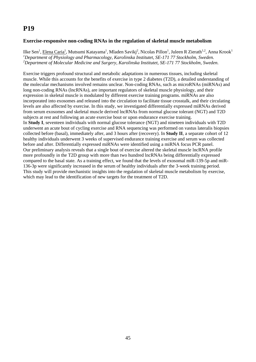### **Exercise-responsive non-coding RNAs in the regulation of skeletal muscle metabolism**

Ilke Sen<sup>1</sup>, <u>Elena Caria<sup>1</sup>,</u> Mutsumi Katayama<sup>1</sup>, Mladen Savikj<sup>2</sup>, Nicolas Pillon<sup>1</sup>, Juleen R Zierath<sup>1,2</sup>, Anna Krook<sup>1</sup> <sup>1</sup>Department of Physiology and Pharmacology, Karolinska Institutet, SE-171 77 Stockholm, Sweden. *2 Department of Molecular Medicine and Surgery, Karolinska Institutet, SE-171 77 Stockholm, Sweden.* 

Exercise triggers profound structural and metabolic adaptations in numerous tissues, including skeletal muscle. While this accounts for the benefits of exercise in type 2 diabetes (T2D), a detailed understanding of the molecular mechanisms involved remains unclear. Non-coding RNAs, such as microRNAs (miRNAs) and long non-coding RNAs (lncRNAs), are important regulators of skeletal muscle physiology, and their expression in skeletal muscle is modulated by different exercise training programs. miRNAs are also incorporated into exosomes and released into the circulation to facilitate tissue crosstalk, and their circulating levels are also affected by exercise. In this study, we investigated differentially expressed miRNAs derived from serum exosomes and skeletal muscle derived lncRNAs from normal glucose tolerant (NGT) and T2D subjects at rest and following an acute exercise bout or upon endurance exercise training. In **Study I**, seventeen individuals with normal glucose tolerance (NGT) and nineteen individuals with T2D underwent an acute bout of cycling exercise and RNA sequencing was performed on vastus lateralis biopsies collected before (basal), immediately after, and 3 hours after (recovery). In **Study II**, a separate cohort of 12 healthy individuals underwent 3 weeks of supervised endurance training exercise and serum was collected before and after. Differentially expressed miRNAs were identified using a miRNA focus PCR panel. Our preliminary analysis reveals that a single bout of exercise altered the skeletal muscle lncRNA profile more profoundly in the T2D group with more than two hundred lncRNAs being differentially expressed compared to the basal state. As a training effect, we found that the levels of exosomal miR-139-5p and miR-136-3p were significantly increased in the serum of healthy individuals after the 3-week training period. This study will provide mechanistic insights into the regulation of skeletal muscle metabolism by exercise, which may lead to the identification of new targets for the treatment of T2D.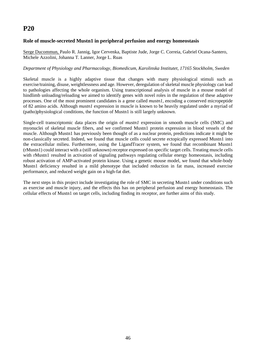### **Role of muscle-secreted Mustn1 in peripheral perfusion and energy homeostasis**

Serge Ducommun, Paulo R. Jannig, Igor Cervenka, Baptiste Jude, Jorge C. Correia, Gabriel Ocana-Santero, Michele Azzolini, Johanna T. Lanner, Jorge L. Ruas

#### *Department of Physiology and Pharmacology, Biomedicum, Karolinska Institutet, 17165 Stockholm, Sweden*

Skeletal muscle is a highly adaptive tissue that changes with many physiological stimuli such as exercise/training, disuse, weightlessness and age. However, deregulation of skeletal muscle physiology can lead to pathologies affecting the whole organism. Using transcriptional analysis of muscle in a mouse model of hindlimb unloading/reloading we aimed to identify genes with novel roles in the regulation of these adaptive processes. One of the most prominent candidates is a gene called *mustn1*, encoding a conserved micropeptide of 82 amino acids. Although *mustn1* expression in muscle is known to be heavily regulated under a myriad of (patho)physiological conditions, the function of Mustn1 is still largely unknown.

Single-cell transcriptomic data places the origin of *mustn1* expression in smooth muscle cells (SMC) and myonuclei of skeletal muscle fibers, and we confirmed Mustn1 protein expression in blood vessels of the muscle. Although Mustn1 has previously been thought of as a nuclear protein, predictions indicate it might be non-classically secreted. Indeed, we found that muscle cells could secrete ectopically expressed Mustn1 into the extracellular milieu. Furthermore, using the LigandTracer system, we found that recombinant Mustn1 (rMustn1) could interact with a (still unknown) receptor expressed on specific target cells. Treating muscle cells with rMustn1 resulted in activation of signaling pathways regulating cellular energy homeostasis, including robust activation of AMP-activated protein kinase. Using a genetic mouse model, we found that whole-body Mustn1 deficiency resulted in a mild phenotype that included reduction in fat mass, increased exercise performance, and reduced weight gain on a high-fat diet.

The next steps in this project include investigating the role of SMC in secreting Mustn1 under conditions such as exercise and muscle injury, and the effects this has on peripheral perfusion and energy homeostasis. The cellular effects of Mustn1 on target cells, including finding its receptor, are further aims of this study.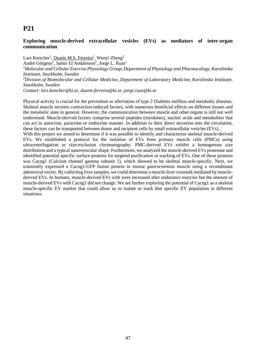### **Exploring muscle-derived extracellular vesicles (EVs) as mediators of inter-organ communication**

Lars Ketscher<sup>1</sup>, <u>Duarte M.S. Ferreira</u><sup>1</sup>, Wenyi Zheng<sup>2</sup> André Görgens<sup>2</sup>, Samir El Andaloussi<sup>2</sup>, Jorge L. Ruas<sup>1</sup> *1 Molecular and Cellular Exercise Physiology Group, Department of Physiology and Pharmacology, Karolinska Institutet, Stockholm, Sweden 2 Division of Biomolecular and Cellular Medicine, Department of Laboratory Medicine, Karolinska Institutet, Stockholm, Sweden Contact: lars.ketscher@ki.se, duarte.ferreira@ki.se, jorge.ruas@ki.se* 

Physical activity is crucial for the prevention or alleviation of type 2 Diabetes mellitus and metabolic diseases. Skeletal muscle secretes contraction-induced factors, with numerous beneficial effects on different tissues and the metabolic state in general. However, the communication between muscle and other organs is still not well understood. Muscle-derived factors comprise several peptides (myokines), nucleic acids and metabolites that can act in autocrine, paracrine or endocrine manner. In addition to their direct secretion into the circulation, these factors can be transported between donor and recipient cells by small extracellular vesicles (EVs).

With this project we aimed to determine if it was possible to identify and characterize skeletal muscle-derived EVs. We established a protocol for the isolation of EVs from primary muscle cells (PMCs) using ultracentrifugation or size-exclusion chromatography. PMC-derived EVs exhibit a homogenous size distribution and a typical nanovesicular shape. Furthermore, we analyzed the muscle-derived EVs proteome and identified potential specific surface proteins for targeted purification or tracking of EVs. One of these proteins was Cacng1 (Calcium channel gamma subunit 1), which showed to be skeletal muscle-specific. Next, we transiently expressed a Cacng1-GFP fusion protein in mouse *gastrocnemius* muscle using a recombinant adenoviral vector. By collecting liver samples, we could determine a muscle-liver crosstalk mediated by musclederived EVs. In humans, muscle-derived EVs with were increased after endurance exercise but the amount of muscle-derived EVs with Cacng1 did not change. We are further exploring the potential of Cacng1 as a skeletal muscle-specific EV marker that could allow us to isolate or track that specific EV population in different situations.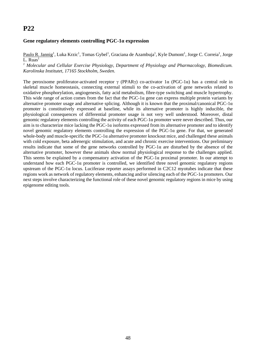#### **Gene regulatory elements controlling PGC-1α expression**

Paulo R. Jannig<sup>1</sup>, Luka Krzic<sup>1</sup>, Tomas Gybel<sup>1</sup>, Graciana de Azambuja<sup>1</sup>, Kyle Dumont<sup>1</sup>, Jorge C. Correia<sup>1</sup>, Jorge  $L.$  Ruas<sup>1</sup>

<sup>1</sup> Molecular and Cellular Exercise Physiology, Department of Physiology and Pharmacology, Biomedicum. *Karolinska Institutet, 17165 Stockholm, Sweden.* 

The peroxisome proliferator-activated receptor γ (PPARγ) co-activator 1α (PGC-1α) has a central role in skeletal muscle homeostasis, connecting external stimuli to the co-activation of gene networks related to oxidative phosphorylation, angiogenesis, fatty acid metabolism, fibre-type switching and muscle hypertrophy. This wide range of action comes from the fact that the PGC-1 $\alpha$  gene can express multiple protein variants by alternative promoter usage and alternative splicing. Although it is known that the proximal/canonical  $PGC-1\alpha$ promoter is constitutively expressed at baseline, while its alternative promoter is highly inducible, the physiological consequences of differential promoter usage is not very well understood. Moreover, distal genomic regulatory elements controlling the activity of each PGC-1α promoter were never described. Thus, our aim is to characterize mice lacking the PGC-1 $\alpha$  isoforms expressed from its alternative promoter and to identify novel genomic regulatory elements controlling the expression of the PGC-1α gene. For that, we generated whole-body and muscle-specific the PGC-1 $\alpha$  alternative promoter knockout mice, and challenged these animals with cold exposure, beta adrenergic stimulation, and acute and chronic exercise interventions. Our preliminary results indicate that some of the gene networks controlled by PGC-1α are disturbed by the absence of the alternative promoter, however these animals show normal physiological response to the challenges applied. This seems be explained by a compensatory activation of the  $PGC-1\alpha$  proximal promoter. In our attempt to understand how each PGC-1 $\alpha$  promoter is controlled, we identified three novel genomic regulatory regions upstream of the PGC-1 $\alpha$  locus. Luciferase reporter assays performed in C2C12 myotubes indicate that these regions work as network of regulatory elements, enhancing and/or silencing each of the PGC-1α promoters. Our next steps involve characterizing the functional role of these novel genomic regulatory regions in mice by using epigenome editing tools.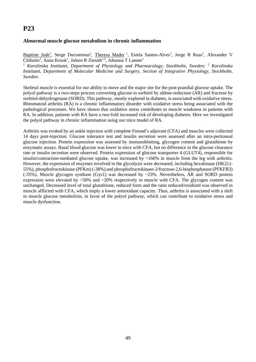### **Abnormal muscle glucose metabolism in chronic inflammation**

Baptiste Jude<sup>1</sup>, Serge Ducommun<sup>1</sup>, Theresa Mader<sup>1</sup>, Estela Santos-Alves<sup>1</sup>, Jorge R Ruas<sup>1</sup>, Alexander V Chibalin<sup>2</sup>, Anna Krook<sup>1</sup>, Juleen R Zierath<sup>1,2</sup>, Johanna T Lanner<sup>1</sup>

<sup>1</sup> Karolinska Institutet, Department of Physiology and Pharmacology, Stockholm, Sweden; <sup>2</sup> Karolinska *Institutet, Department of Molecular Medicine and Surgery, Section of Integrative Physiology, Stockholm, Sweden.* 

Skeletal muscle is essential for our ability to move and the major site for the post-prandial glucose uptake. The polyol pathway is a two-steps process converting glucose to sorbitol by aldose-reductase (AR) and fructose by sorbitol-dehydrogenase (SORD). This pathway, mostly explored in diabetes, is associated with oxidative stress. Rheumatoid arthritis (RA) is a chronic inflammatory disorder with oxidative stress being associated with the pathological processes. We have shown that oxidative stress contributes to muscle weakness in patients with RA. In addition, patients with RA have a two-fold increased risk of developing diabetes. Here we investigated the polyol pathway in chronic inflammation using our mice model of RA.

Arthritis was evoked by an ankle injection with complete Freund's adjuvant (CFA) and muscles were collected 14 days post-injection. Glucose tolerance test and insulin secretion were assessed after an intra-peritoneal glucose injection. Protein expression was assessed by immunoblotting, glycogen content and glutathione by enzymatic assays. Basal blood glucose was lower in mice with CFA, but no difference in the glucose clearance rate or insulin secretion were observed. Protein expression of glucose transporter 4 (GLUT4), responsible for insulin/contraction-mediated glucose uptake, was increased by  $\sim 160\%$  in muscle from the leg with arthritis. However, the expression of enzymes involved in the glycolysis were decreased, including hexokinase (HK2) (- 55%), phosphofructokinase (PFKm) (-38%) and phosphofructokinase-2/fructose-2,6-bisphosphatase (PFKFB3) (-35%). Muscle glycogen synthase (Gys1) was decreased by ~23%. Nevertheless, AR and SORD protein expression were elevated by  $\sim 50\%$  and  $\sim 20\%$  respectively in muscle with CFA. The glycogen content was unchanged. Decreased level of total glutathione, reduced form and the ratio reduced/oxidized was observed in muscle afflicted with CFA, which imply a lower antioxidant capacity. Thus, arthritis is associated with a shift in muscle glucose metabolism, in favor of the polyol pathway, which can contribute to oxidative stress and muscle dysfunction.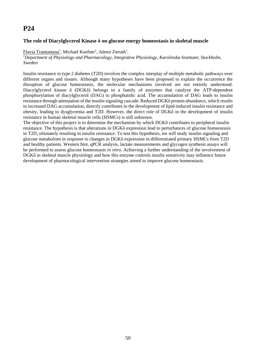### **The role of Diacylglycerol Kinase δ on glucose energy homeostasis in skeletal muscle**

Flavia Tramontana<sup>1</sup>, Michael Kuefner<sup>1</sup>, Juleen Zierath<sup>1</sup>.

*1 Department of Physiology and Pharmacology, Integrative Physiology, Karolinska Institutet, Stockholm, Sweden* 

Insulin resistance in type 2 diabetes (T2D) involves the complex interplay of multiple metabolic pathways over different organs and tissues. Although many hypotheses have been proposed to explain the occurrence the disruption of glucose homeostasis, the molecular mechanisms involved are not entirely understood. Diacylglycerol kinase δ (DGKδ) belongs to a family of enzymes that catalyze the ATP-dependent phosphorylation of diacylglycerol (DAG) to phosphatidic acid. The accumulation of DAG leads to insulin resistance through attenuation of the insulin signaling cascade. Reduced DGKδ protein abundance, which results in increased DAG accumulation, directly contributes to the development of lipid-induced insulin resistance and obesity, leading to dysglycemia and T2D. However, the direct role of DGKδ in the development of insulin resistance in human skeletal muscle cells (HSMCs) is still unknown.

The objective of this project is to determine the mechanism by which DGKδ contributes to peripheral insulin resistance. The hypothesis is that alterations in DGKδ expression lead to perturbances of glucose homeostasis in T2D, ultimately resulting in insulin resistance. To test this hypothesis, we will study insulin signaling and glucose metabolism in response to changes in DGKδ expression in differentiated primary HSMCs from T2D and healthy patients. Western blot, qPCR analysis, lactate measurements and glycogen synthesis assays will be performed to assess glucose homeostasis *in vitro*. Achieving a further understanding of the involvement of DGKδ in skeletal muscle physiology and how this enzyme controls insulin sensitivity may influence future development of pharmacological intervention strategies aimed to improve glucose homeostasis.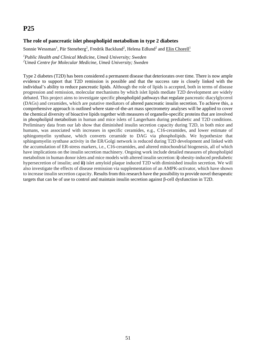### **The role of pancreatic islet phospholipid metabolism in type 2 diabetes**

Sonnie Wessman<sup>1</sup>, Pär Steneberg<sup>2</sup>, Fredrik Backlund<sup>2</sup>, Helena Edlund<sup>2</sup> and Elin Chorell<sup>1</sup>

*1 Public Health and Clinical Medicine, Umeå University; Sweden 2 Umeå Centre for Molecular Medicine, Umeå University; Sweden* 

Type 2 diabetes (T2D) has been considered a permanent disease that deteriorates over time. There is now ample evidence to support that T2D remission is possible and that the success rate is closely linked with the individual's ability to reduce pancreatic lipids. Although the role of lipids is accepted, both in terms of disease progression and remission, molecular mechanisms by which islet lipids mediate T2D development are widely debated. This project aims to investigate specific phospholipid pathways that regulate pancreatic diacylglycerol (DAGs) and ceramides, which are putative mediators of altered pancreatic insulin secretion. To achieve this, a comprehensive approach is outlined where state-of-the-art mass spectrometry analyses will be applied to cover the chemical diversity of bioactive lipids together with measures of organelle-specific proteins that are involved in phospholipid metabolism in human and mice islets of Langerhans during prediabetic and T2D conditions. Preliminary data from our lab show that diminished insulin secretion capacity during T2D, in both mice and humans, was associated with increases in specific ceramides, e.g., C16-ceramides, and lower estimate of sphingomyelin synthase, which converts ceramide to DAG via phospholipids. We hypothesize that sphingomyelin synthase activity in the ER/Golgi network is reduced during T2D development and linked with the accumulation of ER-stress markers, i.e., C16-ceramides, and altered mitochondrial biogenesis, all of which have implications on the insulin secretion machinery. Ongoing work include detailed measures of phospholipid metabolism in human donor islets and mice models with altered insulin secretion: **i)** obesity-induced prediabetic hypersecretion of insulin; and **ii)** islet amyloid plaque induced T2D with diminished insulin secretion. We will also investigate the effects of disease remission via supplementation of an AMPK-activator, which have shown to increase insulin secretion capacity. Results from this research have the possibility to provide novel therapeutic targets that can be of use to control and maintain insulin secretion against β-cell dysfunction in T2D.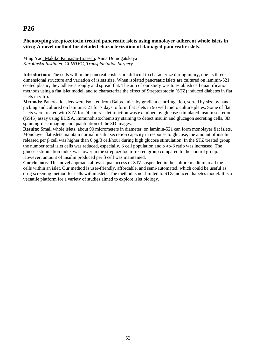### **Phenotyping streptozotocin treated pancreatic islets using monolayer adherent whole islets in vitro; A novel method for detailed characterization of damaged pancreatic islets.**

#### Ming Yao, Makiko Kumagai-Braesch, Anna Domogatskaya *Karolinska Institutet, CLINTEC, Transplantation Surgery*

**Introduction:** The cells within the pancreatic islets are difficult to characterize during injury, due its threedimensional structure and variation of islets size. When isolated pancreatic islets are cultured on laminin-521 coated plastic, they adhere strongly and spread flat. The aim of our study was to establish cell quantification methods using a flat islet model, and to characterize the effect of Streptozotocin (STZ) induced diabetes in flat islets in vitro.

**Methods:** Pancreatic islets were isolated from Balb/c mice by gradient centrifugation, sorted by size by handpicking and cultured on laminin-521 for 7 days to form flat islets in 96 well micro culture plates. Some of flat islets were treated with STZ for 24 hours. Islet function was examined by glucose-stimulated insulin secretion (GSIS) assay using ELISA, immunohistochemistry staining to detect insulin and glucagon secreting cells, 3D spinning-disc imaging and quantitation of the 3D images.

**Results:** Small whole islets, about 90 micrometers in diameter, on laminin-521 can form monolayer flat islets. Monolayer flat islets maintain normal insulin secretion capacity in response to glucose, the amount of insulin released per  $\beta$  cell was higher than 6 pg/ $\beta$  cell/hour during high glucose stimulation. In the STZ treated group, the number total islet cells was reduced, especially,  $\beta$  cell population and  $\alpha$ -to- $\beta$  ratio was increased. The glucose stimulation index was lower in the streptozotocin-treated group compared to the control group. However, amount of insulin produced per  $\beta$  cell was maintained.

**Conclusions**: This novel approach allows equal access of STZ suspended in the culture medium to all the cells within an islet. Our method is user-friendly, affordable, and semi-automated, which could be useful as drug screening method for cells within islets. The method is not limited to STZ-induced diabetes model. It is a versatile platform for a variety of studies aimed to explore islet biology.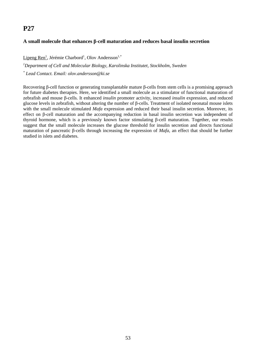### **A small molecule that enhances β-cell maturation and reduces basal insulin secretion**

Lipeng Ren<sup>1</sup>, Jérémie Charbord<sup>1</sup>, Olov Andersson<sup>1,\*</sup>

*1 Department of Cell and Molecular Biology, Karolinska Institutet, Stockholm, Sweden* 

*\* Lead Contact. Email: olov.andersson@ki.se* 

Recovering β-cell function or generating transplantable mature β-cells from stem cells is a promising approach for future diabetes therapies. Here, we identified a small molecule as a stimulator of functional maturation of zebrafish and mouse β-cells. It enhanced *insulin* promoter activity, increased *insulin* expression, and reduced glucose levels in zebrafish, without altering the number of β-cells. Treatment of isolated neonatal mouse islets with the small molecule stimulated *Mafa* expression and reduced their basal insulin secretion. Moreover, its effect on β-cell maturation and the accompanying reduction in basal insulin secretion was independent of thyroid hormone, which is a previously known factor stimulating β-cell maturation. Together, our results suggest that the small molecule increases the glucose threshold for insulin secretion and directs functional maturation of pancreatic β-cells through increasing the expression of *Mafa*, an effect that should be further studied in islets and diabetes.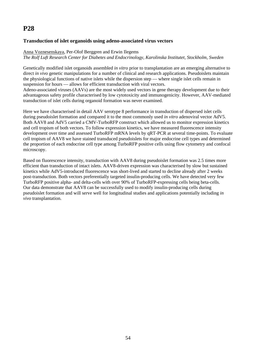### **Transduction of islet organoids using adeno-associated virus vectors**

Anna Voznesenskaya, Per-Olof Berggren and Erwin Ilegems

*The Rolf Luft Research Center for Diabetes and Endocrinology, Karolinska Institutet, Stockholm, Sweden* 

Genetically modified islet organoids assembled *in vitro* prior to transplantation are an emerging alternative to direct *in vivo* genetic manipulations for a number of clinical and research applications. Pseudoislets maintain the physiological functions of native islets while the dispersion step — where single islet cells remain in suspension for hours — allows for efficient transduction with viral vectors.

Adeno-associated viruses (AAVs) are the most widely used vectors in gene therapy development due to their advantageous safety profile characterised by low cytotoxicity and immunogenicity. However, AAV-mediated transduction of islet cells during organoid formation was never examined.

Here we have characterised in detail AAV serotype 8 performance in transduction of dispersed islet cells during pseudoislet formation and compared it to the most commonly used *in vitro* adenoviral vector AdV5. Both AAV8 and AdV5 carried a CMV-TurboRFP construct which allowed us to monitor expression kinetics and cell tropism of both vectors. To follow expression kinetics, we have measured fluorescence intensity development over time and assessed TurboRFP mRNA levels by qRT-PCR at several time-points. To evaluate cell tropism of AAV8 we have stained transduced pseudoislets for major endocrine cell types and determined the proportion of each endocrine cell type among TurboRFP positive cells using flow cytometry and confocal microscopy.

Based on fluorescence intensity, transduction with AAV8 during pseudoislet formation was 2.5 times more efficient than transduction of intact islets. AAV8-driven expression was characterised by slow but sustained kinetics while AdV5-introduced fluorescence was short-lived and started to decline already after 2 weeks post-transduction. Both vectors preferentially targeted insulin-producing cells. We have detected very few TurboRFP positive alpha- and delta-cells with over 90% of TurboRFP-expressing cells being beta-cells. Our data demonstrate that AAV8 can be successfully used to modify insulin-producing cells during pseudoislet formation and will serve well for longitudinal studies and applications potentially including *in vivo* transplantation.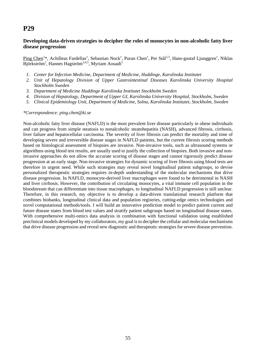### **Developing data-driven strategies to decipher the roles of monocytes in non-alcoholic fatty liver disease progression**

Ping Chen<sup>1</sup>\*, Achilleas Fardellas<sup>1</sup>, Sebastian Nock<sup>1</sup>, Puran Chen<sup>1</sup>, Per Stål<sup>2,3</sup>, Hans-gustaf Ljunggren<sup>1</sup>, Niklas Björkström<sup>1</sup>, Hannes Hagström<sup>3,4,5</sup>, Myriam Aouadi<sup>1</sup>

- *1. Center for Infection Medicine, Department of Medicine, Huddinge, Karolinska Institutet*
- *2. Unit of Hepatology Division of Upper Gastrointestinal Diseases Karolinska University Hospital Stockholm Sweden*
- *3. Department of Medicine Huddinge Karolinska Institutet Stockholm Sweden*
- *4. Division of Hepatology, Department of Upper GI, Karolinska University Hospital, Stockholm, Sweden*
- *5. Clinical Epidemiology Unit, Department of Medicine, Solna, Karolinska Institutet, Stockholm, Sweden*

*\*Correspondence: ping.chen@ki.se* 

Non-alcoholic fatty liver disease (NAFLD) is the most prevalent liver disease particularly in obese individuals and can progress from simple steatosis to nonalcoholic steatohepatitis (NASH), advanced fibrosis, cirrhosis, liver failure and hepatocellular carcinoma. The severity of liver fibrosis can predict the mortality and time of developing severe and irreversible disease stages in NAFLD patients, but the current fibrosis scoring methods based on histological assessment of biopsies are invasive. Non-invasive tools, such as ultrasound systems or algorithms using blood test results, are usually used to justify the collection of biopsies. Both invasive and noninvasive approaches do not allow the accurate scoring of disease stages and cannot rigorously predict disease progression at an early stage. Non-invasive strategies for dynamic scoring of liver fibrosis using blood tests are therefore in urgent need. While such strategies may reveal novel longitudinal patient subgroups, to devise personalized therapeutic strategies requires in-depth understanding of the molecular mechanisms that drive disease progression. In NAFLD, monocyte-derived liver macrophages were found to be detrimental in NASH and liver cirrhosis. However, the contribution of circulating monocytes, a vital immune cell population in the bloodstream that can differentiate into tissue macrophages, to longitudinal NAFLD progression is still unclear. Therefore, in this research, my objective is to develop a data-driven translational research platform that combines biobanks, longitudinal clinical data and population registries, cutting-edge omics technologies and novel computational methods/tools. I will build an innovative prediction model to predict patient current and future disease states from blood test values and stratify patient subgroups based on longitudinal disease states. With comprehensive multi-omics data analysis in combination with functional validation using established preclinical models developed by my collaborators, my goal is to decipher the cellular and molecular mechanisms that drive disease progression and reveal new diagnostic and therapeutic strategies for severe disease prevention.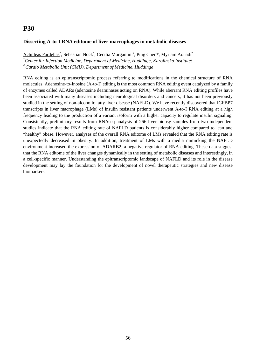### **Dissecting A-to-I RNA editome of liver macrophages in metabolic diseases**

Achilleas Fardellas<sup>\*</sup>, Sebastian Nock<sup>\*</sup>, Cecilia Morgantini<sup>#</sup>, Ping Chen\*, Myriam Aouadi<sup>\*</sup> *\* Center for Infection Medicine, Department of Medicine, Huddinge, Karolinska Institutet # Cardio Metabolic Unit (CMU), Department of Medicine, Huddinge* 

RNA editing is an epitranscriptomic process referring to modifications in the chemical structure of RNA molecules. Adenosine-to-Inosine (A-to-I) editing is the most common RNA editing event catalyzed by a family of enzymes called ADARs (adenosine deaminases acting on RNA). While aberrant RNA editing profiles have been associated with many diseases including neurological disorders and cancers, it has not been previously studied in the setting of non-alcoholic fatty liver disease (NAFLD). We have recently discovered that IGFBP7 transcripts in liver macrophage (LMs) of insulin resistant patients underwent A-to-I RNA editing at a high frequency leading to the production of a variant isoform with a higher capacity to regulate insulin signaling. Consistently, preliminary results from RNAseq analysis of 266 liver biopsy samples from two independent studies indicate that the RNA editing rate of NAFLD patients is considerably higher compared to lean and "healthy" obese. However, analyses of the overall RNA editome of LMs revealed that the RNA editing rate is unexpectedly decreased in obesity. In addition, treatment of LMs with a media mimicking the NAFLD environment increased the expression of ADARB2, a negative regulator of RNA editing. These data suggest that the RNA editome of the liver changes dynamically in the setting of metabolic diseases and interestingly, in a cell-specific manner. Understanding the epitranscriptomic landscape of NAFLD and its role in the disease development may lay the foundation for the development of novel therapeutic strategies and new disease biomarkers.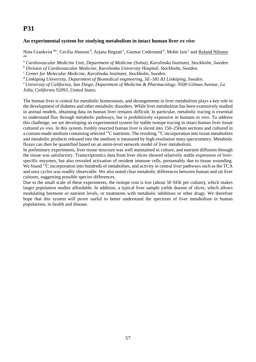### **An experimental system for studying metabolism in intact human liver** *ex vivo*

Nina Grankvist<sup>abc</sup>, Cecilia Jönsson<sup>d</sup>, Arjana Begzati<sup>e</sup>, Gunnar Cedersund<sup>d</sup>, Mohit Jain<sup>e</sup> and Roland Nilsson abc

<sup>a</sup> Cardiovascular Medicine Unit, Department of Medicine (Solna), Karolinska Institutet, Stockholm, Sweden.

<sup>*b*</sup> Division of Cardiovascular Medicine, Karolinska University Hospital, Stockholm, Sweden.<br><sup>c</sup> Cantar for Molegular Medicine, Karolinska Institutet, Stockholm, Sweden.

 *Center for Molecular Medicine, Karolinska Institutet, Stockholm, Sweden.* 

<sup>d</sup> Linköping University. Department of Biomedical engineering, SE–581 83 Linköping, Sweden.

 *Linköping University, Department of Biomedical engineering, SE–581 83 Linköping, Sweden. e University of California, San Diego, Department of Medicine & Pharmacology, 9500 Gilman Avenue, La Jolla, California 92093, United States.* 

The human liver is central for metabolic homeostasis, and derangements in liver metabolism plays a key role in the development of diabetes and other metabolic disorders. While liver metabolism has been extensively studied in animal models, obtaining data on human liver remains difficult. In particular, metabolic tracing is essential to understand flux through metabolic pathways, but is prohibitively expensive in humans *in vivo*. To address this challenge, we are developing an experimental system for stable isotope tracing in intact human liver tissue cultured *ex vivo*. In this system, freshly resected human liver is sliced into 150–250um sections and cultured in a custom-made medium containing selected <sup>13</sup>C nutrients. The resulting <sup>13</sup>C incorporation into tissue metabolites and metabolic products released into the medium is measured by high-resolution mass spectrometry. Metabolic fluxes can then be quantified based on an atom-level network model of liver metabolism.

In preliminary experiments, liver tissue structure was well maintained in culture, and nutrient diffusion through the tissue was satisfactory. Transcriptomics data from liver slices showed relatively stable expression of liverspecific enzymes, but also revealed activation of resident immune cells, presumably due to tissue wounding. We found <sup>13</sup>C incorporation into hundreds of metabolites, and activity in central liver pathways such as the TCA and urea cycles was readily observable. We also noted clear metabolic differences between human and rat liver cultures, suggesting possible species differences.

Due to the small scale of these experiments, the isotope cost is low (about 50 SEK per culture), which makes larger population studies affordable. In addition, a typical liver sample yields dozens of slices, which allows modulating hormone or nutrient levels, or treatments with metabolic inhibitors or other drugs. We therefore hope that this system will prove useful to better understand the spectrum of liver metabolism in human populations, in health and disease.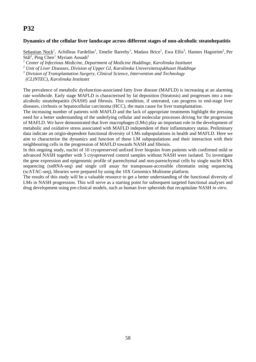#### **Dynamics of the cellular liver landscape across different stages of non-alcoholic steatohepatitis**

Sebastian Nock<sup>1</sup>, Achilleas Fardellas<sup>1</sup>, Emelie Barreby<sup>1</sup>, Madara Brice<sup>1</sup>, Ewa Ellis<sup>3</sup>, Hannes Hagström<sup>2</sup>, Per Stål<sup>2</sup>, Ping Chen<sup>1</sup>, Myriam Aouadi<sup>1</sup>

<sup>1</sup> Center of Infectious Medicine, Department of Medicine Huddinge, Karolinska Institutet

*2 Unit of Liver Diseases, Division of Upper GI, Karolinska Universitetssjukhuset Huddinge* 

*3 Division of Transplantation Surgery, Clinical Science, Intervention and Technology* 

 *(CLINTEC), Karolinska Institutet* 

The prevalence of metabolic dysfunction-associated fatty liver disease (MAFLD) is increasing at an alarming rate worldwide. Early stage MAFLD is characterised by fat deposition (Steatosis) and progresses into a nonalcoholic steatohepatitis (NASH) and fibrosis. This condition, if untreated, can progress to end-stage liver diseases, cirrhosis or hepatocellular carcinoma (HCC), the main cause for liver transplantation.

The increasing number of patients with MAFLD and the lack of appropriate treatments highlight the pressing need for a better understanding of the underlying cellular and molecular processes driving for the progression of MAFLD. We have demonstrated that liver macrophages (LMs) play an important role in the development of metabolic and oxidative stress associated with MAFLD independent of their inflammatory status. Preliminary data indicate an origin-dependent functional diversity of LMs subpopulations in health and MAFLD. Here we aim to characterise the dynamics and function of these LM subpopulations and their interaction with their neighbouring cells in the progression of MAFLD towards NASH and fibrosis.

In this ongoing study, nuclei of 10 cryopreserved unfixed liver biopsies from patients with confirmed mild or advanced NASH together with 5 cryopreserved control samples without NASH were isolated. To investigate the gene expression and epigenomic profile of parenchymal and non-parenchymal cells by single nuclei RNA sequencing (snRNA-seq) and single cell assay for transposase-accessible chromatin using sequencing (scATAC-seq), libraries were prepared by using the 10X Genomics Multiome platform.

The results of this study will be a valuable resource to get a better understanding of the functional diversity of LMs in NASH progression. This will serve as a starting point for subsequent targeted functional analyses and drug development using pre-clinical models, such as human liver spheroids that recapitulate NASH *in vitro*.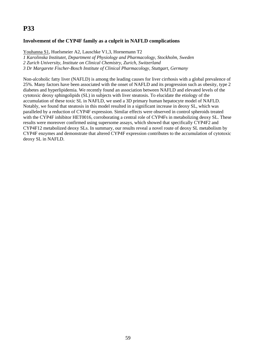### **Involvement of the CYP4F family as a culprit in NAFLD complications**

Youhanna S1, Huelsmeier A2, Lauschke V1,3, Hornemann T2

*1 Karolinska Institutet, Department of Physiology and Pharmacology, Stockholm, Sweden* 

*2 Zurich University, Institute on Clinical Chemistry, Zurich, Switzerland* 

*3 Dr Margarete Fischer-Bosch Institute of Clinical Pharmacology, Stuttgart, Germany* 

Non-alcoholic fatty liver (NAFLD) is among the leading causes for liver cirrhosis with a global prevalence of 25%. Many factors have been associated with the onset of NAFLD and its progression such as obesity, type 2 diabetes and hyperlipidemia. We recently found an association between NAFLD and elevated levels of the cytotoxic deoxy sphingolipids (SL) in subjects with liver steatosis. To elucidate the etiology of the accumulation of these toxic SL in NAFLD, we used a 3D primary human hepatocyte model of NAFLD. Notably, we found that steatosis in this model resulted in a significant increase in deoxy SL, which was paralleled by a reduction of CYP4F expression. Similar effects were observed in control spheroids treated with the CYP4F inhibitor HET0016, corroborating a central role of CYP4Fs in metabolizing deoxy SL. These results were moreover confirmed using supersome assays, which showed that specifically CYP4F2 and CYP4F12 metabolized deoxy SLs. In summary, our results reveal a novel route of deoxy SL metabolism by CYP4F enzymes and demonstrate that altered CYP4F expression contributes to the accumulation of cytotoxic deoxy SL in NAFLD.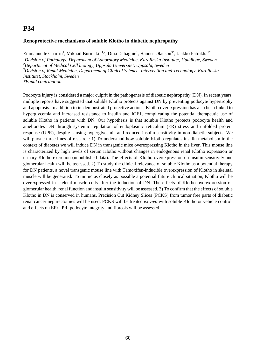### **Renoprotective mechanisms of soluble Klotho in diabetic nephropathy**

Emmanuelle Charrin<sup>1</sup>, Mikhail Burmakin<sup>1,2</sup>, Dina Dabaghie<sup>1</sup>, Hannes Olauson<sup>3\*</sup>, Jaakko Patrakka<sup>1\*</sup> *1 Division of Pathology, Department of Laboratory Medicine, Karolinska Institutet, Huddinge, Sweden 2 Department of Medical Cell biology, Uppsala Universitet, Uppsala, Sweden 3 Division of Renal Medicine, Department of Clinical Science, Intervention and Technology, Karolinska Institutet, Stockholm, Sweden \*Equal contribution*

Podocyte injury is considered a major culprit in the pathogenesis of diabetic nephropathy (DN). In recent years, multiple reports have suggested that soluble Klotho protects against DN by preventing podocyte hypertrophy and apoptosis. In addition to its demonstrated protective actions, Klotho overexpression has also been linked to hyperglycemia and increased resistance to insulin and IGF1, complicating the potential therapeutic use of soluble Klotho in patients with DN. Our hypothesis is that soluble Klotho protects podocyte health and ameliorates DN through systemic regulation of endoplasmic reticulum (ER) stress and unfolded protein response (UPR), despite causing hyperglycemia and reduced insulin sensitivity in non-diabetic subjects. We will pursue three lines of research: 1) To understand how soluble Klotho regulates insulin metabolism in the context of diabetes we will induce DN in transgenic mice overexpressing Klotho in the liver. This mouse line is characterized by high levels of serum Klotho without changes in endogenous renal Klotho expression or urinary Klotho excretion (unpublished data). The effects of Klotho overexpression on insulin sensitivity and glomerular health will be assessed. 2) To study the clinical relevance of soluble Klotho as a potential therapy for DN patients, a novel transgenic mouse line with Tamoxifen-inducible overexpression of Klotho in skeletal muscle will be generated. To mimic as closely as possible a potential future clinical situation, Klotho will be overexpressed in skeletal muscle cells after the induction of DN. The effects of Klotho overexpression on glomerular health, renal function and insulin sensitivity will be assessed. 3) To confirm that the effects of soluble Klotho in DN is conserved in humans, Precision Cut Kidney Slices (PCKS) from tumor free parts of diabetic renal cancer nephrectomies will be used. PCKS will be treated *ex vivo* with soluble Klotho or vehicle control, and effects on ER/UPR, podocyte integrity and fibrosis will be assessed.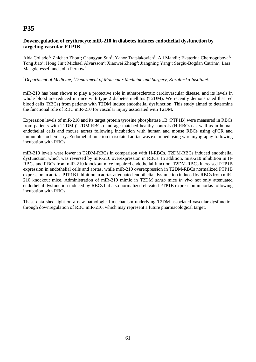### **Downregulation of erythrocyte miR-210 in diabetes induces endothelial dysfunction by targeting vascular PTP1B**

Aida Collado<sup>1</sup>; Zhichao Zhou<sup>1</sup>; Changyan Sun<sup>1</sup>; Yahor Tratsiakovich<sup>1</sup>; Ali Mahdi<sup>1</sup>; Ekaterina Chernogubova<sup>1</sup>; Tong Jiao<sup>1</sup>; Hong Jin<sup>1</sup>; Michael Alvarsson<sup>2</sup>; Xiaowei Zheng<sup>2</sup>; Jiangning Yang<sup>1</sup>; Sergiu-Bogdan Catrina<sup>2</sup>; Lars Maegdefessel<sup>1</sup> and John Pernow<sup>1</sup>

#### *1 Department of Medicine; <sup>2</sup> Department of Molecular Medicine and Surgery, Karolinska Institutet.*

miR-210 has been shown to play a protective role in atherosclerotic cardiovascular disease, and its levels in whole blood are reduced in mice with type 2 diabetes mellitus (T2DM). We recently demonstrated that red blood cells (RBCs) from patients with T2DM induce endothelial dysfunction. This study aimed to determine the functional role of RBC miR-210 for vascular injury associated with T2DM.

Expression levels of miR-210 and its target protein tyrosine phosphatase 1B (PTP1B) were measured in RBCs from patients with T2DM (T2DM-RBCs) and age-matched healthy controls (H-RBCs) as well as in human endothelial cells and mouse aortas following incubation with human and mouse RBCs using qPCR and immunohistochemistry. Endothelial function in isolated aortas was examined using wire myography following incubation with RBCs.

miR-210 levels were lower in T2DM-RBCs in comparison with H-RBCs. T2DM-RBCs induced endothelial dysfunction, which was reversed by miR-210 overexpression in RBCs. In addition, miR-210 inhibition in H-RBCs and RBCs from miR-210 knockout mice impaired endothelial function. T2DM-RBCs increased PTP1B expression in endothelial cells and aortas, while miR-210 overexpression in T2DM-RBCs normalized PTP1B expression in aortas. PTP1B inhibition in aortas attenuated endothelial dysfunction induced by RBCs from miR-210 knockout mice. Administration of miR-210 mimic in T2DM *db/db* mice *in vivo* not only attenuated endothelial dysfunction induced by RBCs but also normalized elevated PTP1B expression in aortas following incubation with RBCs.

These data shed light on a new pathological mechanism underlying T2DM-associated vascular dysfunction through downregulation of RBC miR-210, which may represent a future pharmacological target.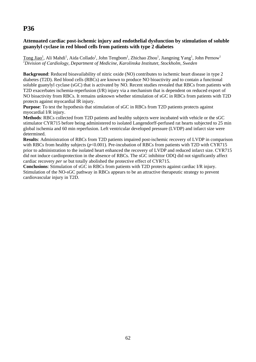### **Attenuated cardiac post-ischemic injury and endothelial dysfunction by stimulation of soluble guanylyl cyclase in red blood cells from patients with type 2 diabetes**

Tong Jiao<sup>1</sup>, Ali Mahdi<sup>1</sup>, Aida Collado<sup>1</sup>, John Tengbom<sup>1</sup>, Zhichao Zhou<sup>1</sup>, Jiangning Yang<sup>1</sup>, John Pernow<sup>1</sup> *1 Division of Cardiology, Department of Medicine, Karolinska Institutet, Stockholm, Sweden* 

**Background**: Reduced bioavailability of nitric oxide (NO) contributes to ischemic heart disease in type 2 diabetes (T2D). Red blood cells (RBCs) are known to produce NO bioactivity and to contain a functional soluble guanylyl cyclase (sGC) that is activated by NO. Recent studies revealed that RBCs from patients with T2D exacerbates ischemia-reperfusion (I/R) injury via a mechanism that is dependent on reduced export of NO bioactivity from RBCs. It remains unknown whether stimulation of sGC in RBCs from patients with T2D protects against myocardial IR injury.

**Purpose:** To test the hypothesis that stimulation of sGC in RBCs from T2D patients protects against myocardial I/R injury.

**Methods**: RBCs collected from T2D patients and healthy subjects were incubated with vehicle or the sGC stimulator CYR715 before being administered to isolated Langendorff-perfused rat hearts subjected to 25 min global ischemia and 60 min reperfusion. Left ventricular developed pressure (LVDP) and infarct size were determined.

**Results**: Administration of RBCs from T2D patients impaired post-ischemic recovery of LVDP in comparison with RBCs from healthy subjects (*p*<0.001). Pre-incubation of RBCs from patients with T2D with CYR715 prior to administration to the isolated heart enhanced the recovery of LVDP and reduced infarct size. CYR715 did not induce cardioprotection in the absence of RBCs. The sGC inhibitor ODQ did not significantly affect cardiac recovery *per se* but totally abolished the protective effect of CYR715.

**Conclusions**: Stimulation of sGC in RBCs from patients with T2D protects against cardiac I/R injury. Stimulation of the NO-sGC pathway in RBCs appears to be an attractive therapeutic strategy to prevent cardiovascular injury in T2D.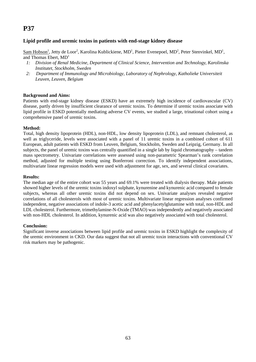### **Lipid profile and uremic toxins in patients with end-stage kidney disease**

 $Sam Hobson<sup>1</sup>$ , Jetty de Loor<sup>2</sup>, Karolina Kublickiene, MD<sup>1</sup>, Pieter Evenepoel, MD<sup>2</sup>, Peter Stenvinkel, MD<sup>1</sup>, and Thomas Ebert,  $MD<sup>1</sup>$ 

- *1: Division of Renal Medicine, Department of Clinical Science, Intervention and Technology, Karolinska Institutet, Stockholm, Sweden*
- *2: Department of Immunology and Microbiology, Laboratory of Nephrology, Katholieke Universiteit Leuven, Leuven, Belgium*

#### **Background and Aims:**

Patients with end-stage kidney disease (ESKD) have an extremely high incidence of cardiovascular (CV) disease, partly driven by insufficient clearance of uremic toxins. To determine if uremic toxins associate with lipid profile in ESKD potentially mediating adverse CV events, we studied a large, trinational cohort using a comprehensive panel of uremic toxins.

#### **Method:**

Total, high density lipoprotein (HDL), non-HDL, low density lipoprotein (LDL), and remnant cholesterol, as well as triglyceride, levels were associated with a panel of 11 uremic toxins in a combined cohort of 611 European, adult patients with ESKD from Leuven, Belgium, Stockholm, Sweden and Leipzig, Germany. In all subjects, the panel of uremic toxins was centrally quantified in a single lab by liquid chromatography – tandem mass spectrometry. Univariate correlations were assessed using non-parametric Spearman's rank correlation method, adjusted for multiple testing using Bonferroni correction. To identify independent associations, multivariate linear regression models were used with adjustment for age, sex, and several clinical covariates.

#### **Results:**

The median age of the entire cohort was 55 years and 69.1% were treated with dialysis therapy. Male patients showed higher levels of the uremic toxins indoxyl sulphate, kynurenine and kynurenic acid compared to female subjects, whereas all other uremic toxins did not depend on sex. Univariate analyses revealed negative correlations of all cholesterols with most of uremic toxins. Multivariate linear regression analyses confirmed independent, negative associations of indole-3 acetic acid and phenylacetylglutamine with total, non-HDL and LDL cholesterol. Furthermore, trimethylamine-N-Oxide (TMAO) was independently and negatively associated with non-HDL cholesterol. In addition, kynurenic acid was also negatively associated with total cholesterol.

#### **Conclusion:**

Significant inverse associations between lipid profile and uremic toxins in ESKD highlight the complexity of the uremic environment in CKD. Our data suggest that not all uremic toxin interactions with conventional CV risk markers may be pathogenic.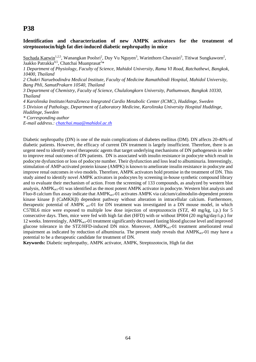**Identification and characterization of new AMPK activators for the treatment of streptozotocin/high fat diet-induced diabetic nephropathy in mice** 

Suchada Kaewin<sup>1,2,5</sup>, Wanangkan Poolsri<sup>2</sup>, Duy Vu Nguyen<sup>3</sup>, Warinthorn Chavasiri<sup>3</sup>, Titiwat Sungkaworn<sup>2</sup>, Jaakko Patrakka<sup>4,5</sup>, Chatchai Muanprasat<sup>2\*</sup>

*1 Department of Physiology, Faculty of Science, Mahidol University, Rama VI Road, Ratchathewi, Bangkok, 10400, Thailand* 

*2 Chakri Naruebodindra Medical Institute, Faculty of Medicine Ramathibodi Hospital, Mahidol University, Bang Phli, SamutPrakarn 10540, Thailand* 

*3 Department of Chemistry, Faculty of Science, Chulalongkorn University, Pathumwan, Bangkok 10330, Thailand* 

*4 Karolinska Institute/AstraZeneca Integrated Cardio Metabolic Center (ICMC), Huddinge, Sweden* 

*5 Division of Pathology, Department of Laboratory Medicine, Karolinska University Hospital Huddinge, Huddinge, Sweden* 

*\* Corresponding author* 

*E-mail address.: chatchai.mua@mahidol.ac.th*

Diabetic nephropathy (DN) is one of the main complications of diabetes mellitus (DM). DN affects 20-40% of diabetic patients. However, the efficacy of current DN treatment is largely insufficient. Therefore, there is an urgent need to identify novel therapeutic agents that target underlying mechanisms of DN pathogenesis in order to improve renal outcomes of DN patients. DN is associated with insulin resistance in podocyte which result in podocyte dysfunction or loss of podocyte number. Their dysfunction and loss lead to albuminuria. Interestingly, stimulation of AMP-activated protein kinase (AMPK) is known to ameliorate insulin resistance in podocyte and improve renal outcomes *in vivo* models. Therefore, AMPK activators hold promise in the treatment of DN. This study aimed to identify novel AMPK activators in podocytes by screening in-house synthetic compound library and to evaluate their mechanism of action. From the screening of 133 compounds, as analyzed by western blot analysis, AMPK<sub>act</sub>-01 was identified as the most potent AMPK activator in podocyte. Western blot analysis and Fluo-8 calcium flux assay indicate that  $AMPK_{act}$ -01 activates  $AMPK$  via calcium/calmodulin-dependent protein kinase kinase β (CaMKKβ) dependent pathway without alteration in intracellular calcium. Furthermore, therapeutic potential of AMPK  $_{act}$ -01 for DN treatment was investigated in a DN mouse model, in which C57BL6 mice were exposed to multiple low dose injection of streptozotocin (STZ, 40 mg/kg, i.p.) for 5 consecutive days. Then, mice were fed with high fat diet (HFD) with or without IP004 (20 mg/kg/day/i.p.) for 12 weeks. Interestingly, AMPK<sub>act</sub>-01 treatment significantly decreased fasting blood glucose level and improved glucose tolerance in the STZ/HFD-induced DN mice. Moreover, AMPK<sub>act</sub>-01 treatment ameliorated renal impairment as indicated by reduction of albuminuria. The present study reveals that AMPK<sub>act</sub>-01 may have a potential to be a therapeutic candidate for treatment of DN.

**Keywords:** Diabetic nephropathy, AMPK activator, AMPK, Streptozotocin, High fat diet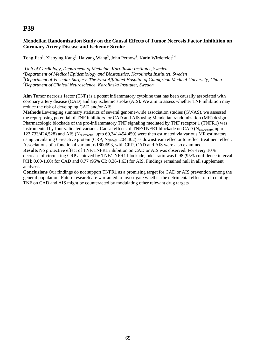### **Mendelian Randomization Study on the Causal Effects of Tumor Necrosis Factor Inhibition on Coronary Artery Disease and Ischemic Stroke**

Tong Jiao<sup>1</sup>, Xiaoying Kang<sup>2</sup>, Haiyang Wang<sup>3</sup>, John Pernow<sup>1</sup>, Karin Wirdefeldt<sup>2,4</sup>

 *Unit of Cardiology, Department of Medicine, Karolinska Institutet, Sweden Department of Medical Epidemiology and Biostatistics, Karolinska Institutet, Sweden Department of Vascular Surgery, The First Affiliated Hospital of Guangzhou Medical University, China Department of Clinical Neuroscience, Karolinska Institutet, Sweden* 

**Aim** Tumor necrosis factor (TNF) is a potent inflammatory cytokine that has been causally associated with coronary artery disease (CAD) and any ischemic stroke (AIS). We aim to assess whether TNF inhibition may reduce the risk of developing CAD and/or AIS.

**Methods** Leveraging summary statistics of several genome-wide association studies (GWAS), we assessed the repurposing potential of TNF inhibitors for CAD and AIS using Mendelian randomization (MR) design. Pharmacologic blockade of the pro-inflammatory TNF signaling mediated by TNF receptor 1 (TNFR1) was instrumented by four validated variants. Causal effects of  $TNF/TNFR1$  blockade on CAD ( $N_{case/control}$  upto 122,733/424,528) and AIS (Ncase/control upto 60,341/454,450) were then estimated via various MR estimators using circulating C-reactive protein (CRP;  $N_{\text{GWAS}}$ =204,402) as downstream effector to reflect treatment effect. Associations of a functional variant, rs1800693, with CRP, CAD and AIS were also examined. **Results** No protective effect of TNF/TNFR1 inhibition on CAD or AIS was observed. For every 10% decrease of circulating CRP achieved by TNF/TNFR1 blockade, odds ratio was 0.98 (95% confidence interval [CI]: 0.60-1.60) for CAD and 0.77 (95% CI: 0.36-1.63) for AIS. Findings remained null in all supplement analyses.

**Conclusions** Our findings do not support TNFR1 as a promising target for CAD or AIS prevention among the general population. Future research are warranted to investigate whether the detrimental effect of circulating TNF on CAD and AIS might be counteracted by modulating other relevant drug targets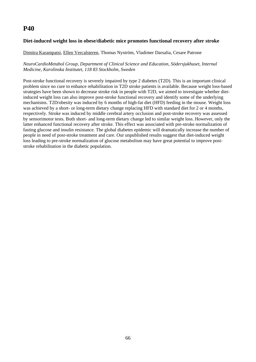### **Diet-induced weight loss in obese/diabetic mice promotes functional recovery after stroke**

#### Dimitra Karampatsi, Ellen Vercalsteren, Thomas Nyström, Vladimer Darsalia, Cesare Patrone

#### *NeuroCardioMetabol Group, Department of Clinical Science and Education, Södersjukhuset, Internal Medicine, Karolinska Institutet, 118 83 Stockholm, Sweden*

Post-stroke functional recovery is severely impaired by type 2 diabetes (T2D). This is an important clinical problem since no cure to enhance rehabilitation in T2D stroke patients is available. Because weight loss-based strategies have been shown to decrease stroke risk in people with T2D, we aimed to investigate whether dietinduced weight loss can also improve post-stroke functional recovery and identify some of the underlying mechanisms. T2D/obesity was induced by 6 months of high-fat diet (HFD) feeding in the mouse. Weight loss was achieved by a short- or long-term dietary change replacing HFD with standard diet for 2 or 4 months, respectively. Stroke was induced by middle cerebral artery occlusion and post-stroke recovery was assessed by sensorimotor tests. Both short- and long-term dietary change led to similar weight loss. However, only the latter enhanced functional recovery after stroke. This effect was associated with pre-stroke normalization of fasting glucose and insulin resistance. The global diabetes epidemic will dramatically increase the number of people in need of post-stroke treatment and care. Our unpublished results suggest that diet-induced weight loss leading to pre-stroke normalization of glucose metabolism may have great potential to improve poststroke rehabilitation in the diabetic population.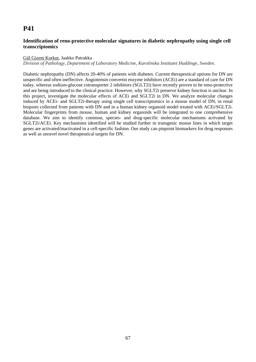### **Identification of reno-protective molecular signatures in diabetic nephropathy using single cell transcriptomics**

#### Gül Gizem Korkut, Jaakko Patrakka

*Division of Pathology, Department of Laboratory Medicine, Karolinska Institutet Huddinge, Sweden.*

Diabetic nephropathy (DN) affects 20-40% of patients with diabetes. Current therapeutical options for DN are unspecific and often ineffective. Angiotensin convertin enzyme inhibitors (ACEi) are a standard of care for DN today, whereas sodium-glucose cotransporter 2 inhibitors (SGLT2i) have recently proven to be reno-protective and are being introduced to the clinical practice. However, why SGLT2i preserve kidney function is unclear. In this project, investigate the molecular effects of ACEi and SGLT2i in DN. We analyze molecular changes induced by ACEi- and SGLT2i-therapy using single cell transcriptomics in a mouse model of DN, in renal biopsies collected from patients with DN and in a human kidney organoid model treated with ACEi/SGLT2i. Molecular fingerprints from mouse, human and kidney organoids will be integrated to one comprehensive database. We aim to identify common, species- and drug-specific molecular mechanisms activated by SGLT2i/ACEi. Key mechanisms identified will be studied further in transgenic mouse lines in which target genes are activated/inactivated in a cell-specific fashion. Our study can pinpoint biomarkers for drug responses as well as unravel novel therapeutical targets for DN.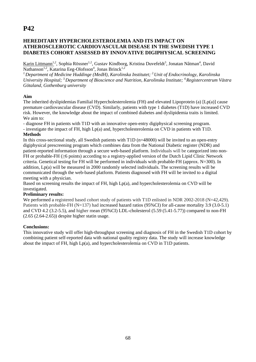### **HEREDITARY HYPERCHOLESTEROLEMIA AND ITS IMPACT ON ATHEROSCLEROTIC CARDIOVASCULAR DISEASE IN THE SWEDISH TYPE 1 DIABETES COHORT ASSESSED BY INNOVATIVE DIGIPHYSICAL SCREENING**

Karin Littmann<sup>1,2</sup>, Sophia Rössner<sup>1,2</sup>, Gustav Kindborg, Kristina Duvefeldt<sup>3</sup>, Jonatan Nåtman<sup>4</sup>, David Nathanson<sup>1,2</sup>, Katarina Eeg-Olofsson<sup>4</sup>, Jonas Brinck<sup>1,2</sup>

*1.Department of Medicine Huddinge (MedH), Karolinska Institutet; 2.Unit of Endocrinology, Karolinska University Hospital; 3.Department of Bioscience and Nutrition, Karolinska Institute; 4.Registercentrum Västra Götaland, Gothenburg university* 

#### **Aim**

The inherited dyslipidemias Familial Hypercholesterolemia (FH) and elevated Lipoprotein (a) [Lp(a)] cause premature cardiovascular disease (CVD). Similarly, patients with type 1 diabetes (T1D) have increased CVD risk. However, the knowledge about the impact of combined diabetes and dyslipidemia traits is limited. We aim to:

- diagnose FH in patients with T1D with an innovative open-entry digiphysical screening program.

- investigate the impact of FH, high Lp(a) and, hypercholesterolemia on CVD in patients with T1D. **Methods** 

In this cross-sectional study, all Swedish patients with T1D (n=48000) will be invited to an open-entry digiphysical prescreening program which combines data from the National Diabetic register (NDR) and patient-reported information through a secure web-based platform. Individuals will be categorized into non-FH or probable-FH (≥6 points) according to a registry-applied version of the Dutch Lipid Clinic Network criteria. Genetical testing for FH will be performed in individuals with probable-FH (approx. N=300). In addition, Lp(a) will be measured in 2000 randomly selected individuals. The screening results will be communicated through the web-based platform. Patients diagnosed with FH will be invited to a digital meeting with a physician.

Based on screening results the impact of FH, high Lp(a), and hypercholesterolemia on CVD will be investigated.

#### **Preliminary results:**

We performed a registered based cohort study of patients with T1D enlisted in NDR 2002-2018 (N=42,429). Patients with probable-FH (N=137) had increased hazard ratios (95%CI) for all-cause mortality 3.9 (3.0-5.1) and CVD 4.2 (3.2-5.5), and higher mean (95%CI) LDL-cholesterol (5.59 (5.41-5.77)) compared to non-FH (2.65 (2.64-2.65)) despite higher statin usage.

#### **Conclusions:**

This innovative study will offer high-throughput screening and diagnosis of FH in the Swedish T1D cohort by combining patient self-reported data with national quality registry data. The study will increase knowledge about the impact of FH, high Lp(a), and hypercholesterolemia on CVD in T1D patients.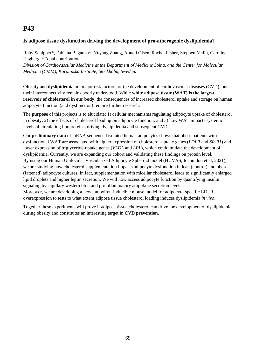### **Is adipose tissue dysfunction driving the development of pro-atherogenic dyslipidemia?**

Ruby Schipper\*, Fabiana Baganha\*, Yuyang Zhang, Anneli Olsen, Rachel Fisher, Stephen Malin, Carolina Hagberg. \*Equal contribution *Division of Cardiovascular Medicine at the Department of Medicine Solna, and the Center for Molecular Medicine (CMM), Karolinska Institute, Stockholm, Sweden.* 

**Obesity** and **dyslipidemia** are major risk factors for the development of cardiovascular diseases (CVD), but their interconnectivity remains poorly understood. While **white adipose tissue (WAT) is the largest reservoir of cholesterol in our body**, the consequences of increased cholesterol uptake and storage on human adipocyte function (and dysfunction) require further research.

The **purpose** of this projects is to elucidate: 1) cellular mechanisms regulating adipocyte uptake of cholesterol in obesity; 2) the effects of cholesterol loading on adipocyte function; and 3) how WAT impacts systemic levels of circulating lipoproteins, driving dyslipidemia and subsequent CVD.

Our **preliminary data** of mRNA sequenced isolated human adipocytes shows that obese patients with dysfunctional WAT are associated with higher expression of cholesterol-uptake genes (*LDLR* and *SR-B1*) and lower expression of triglyceride-uptake genes (*VLDL* and *LPL*), which could initiate the development of dyslipidemia. Currently, we are expanding our cohort and validating these findings on protein level. By using our Human Unilocular Vascularized Adipocyte Spheroid model (HUVAS, Ioannidou et al, 2021), we are studying how cholesterol supplementation impacts adipocyte dysfunction in lean (control) and obese (fattened) adipocyte cultures. In fact, supplementation with micellar cholesterol leads to significantly enlarged lipid droplets and higher leptin secretion. We will now access adipocyte function by quantifying insulin signaling by capillary western blot, and proinflammatory adipokine secretion levels. Moreover, we are developing a new tamoxifen-inducible mouse model for adipocyte-specific LDLR overexpression to tests to what extent adipose tissue cholesterol loading induces dyslipidemia *in vivo*.

Together these experiments will prove if adipose tissue cholesterol can drive the development of dyslipidemia during obesity and constitutes an interesting target in **CVD prevention**.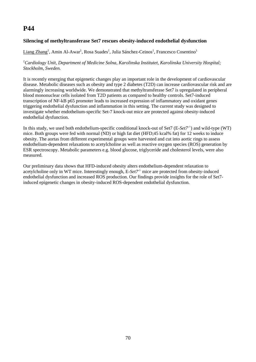### **Silencing of methyltransferase Set7 rescues obesity-induced endothelial dysfunction**

#### Liang Zhang<sup>1</sup>, Amin Al-Awar<sup>1</sup>, Rosa Suades<sup>1</sup>, Julia Sánchez-Ceinos<sup>1</sup>, Francesco Cosentino<sup>1</sup>

#### *1 Cardiology Unit, Department of Medicine Solna, Karolinska Institutet, Karolinska University Hospital; Stockholm, Sweden.*

It is recently emerging that epigenetic changes play an important role in the development of cardiovascular disease. Metabolic diseases such as obesity and type 2 diabetes (T2D) can increase cardiovascular risk and are alarmingly increasing worldwide. We demonstrated that methyltransferase Set7 is upregulated in peripheral blood mononuclear cells isolated from T2D patients as compared to healthy controls. Set7-induced transcription of NF-kB p65 promoter leads to increased expression of inflammatory and oxidant genes triggering endothelial dysfunction and inflammation in this setting. The current study was designed to investigate whether endothelium-specific Set-7 knock-out mice are protected against obesity-induced endothelial dysfunction.

In this study, we used both endothelium-specific conditional knock-out of Set7 (E-*Set7-/-*) and wild-type (WT) mice. Both groups were fed with normal (ND) or high fat diet (HFD;45 kcal% fat) for 12 weeks to induce obesity. The aortas from different experimental groups were harvested and cut into aortic rings to assess endothelium-dependent relaxations to acetylcholine as well as reactive oxygen species (ROS) generation by ESR spectroscopy. Metabolic parameters e.g. blood glucose, triglyceride and cholesterol levels, were also measured.

Our preliminary data shows that HFD-induced obesity alters endothelium-dependent relaxation to acetylcholine only in WT mice. Interestingly enough, E-*Set7-/-* mice are protected from obesity-induced endothelial dysfunction and increased ROS production. Our findings provide insights for the role of Set7 induced epigenetic changes in obesity-induced ROS-dependent endothelial dysfunction.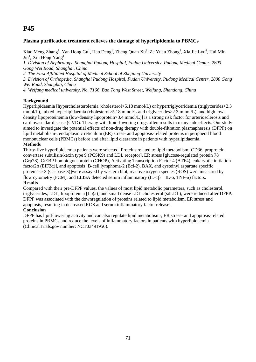### **Plasma purification treatment relieves the damage of hyperlipidemia to PBMCs**

Xiao Meng Zhang<sup>1</sup>, Yan Hong Gu<sup>1</sup>, Hao Deng<sup>1</sup>, Zheng Quan Xu<sup>2</sup>, Ze Yuan Zhong<sup>3</sup>, Xia Jie Lyu<sup>4</sup>, Hui Min Jin<sup>1</sup>, Xiu Hong Yang<sup>1</sup>

*1. Division of Nephrology, Shanghai Pudong Hospital, Fudan University, Pudong Medical Center, 2800 Gong Wei Road, Shanghai, China*

*2. The First Affiliated Hospital of Medical School of Zhejiang University* 

*3. Division of Orthopedic, Shanghai Pudong Hospital, Fudan University, Pudong Medical Center, 2800 Gong Wei Road, Shanghai, China* 

*4. Weifang medical university, No. 7166, Bao Tong West Street, Weifang, Shandong, China* 

#### **Background**

Hyperlipidaemia [hypercholesterolemia (cholesterol>5.18 mmol/L) or hypertriglyceridemia (triglycerides>2.3 mmol/L), mixed hyperlipidaemia (cholesterol>5.18 mmol/L and triglycerides>2.3 mmol/L), and high lowdensity lipoproteinemia (low-density lipoprotein>3.4 mmol/L)] is a strong risk factor for arteriosclerosis and cardiovascular disease (CVD). Therapy with lipid-lowering drugs often results in many side effects. Our study aimed to investigate the potential effects of non-drug therapy with double-filtration plasmapheresis (DFPP) on lipid metabolism-, endoplasmic reticulum (ER) stress- and apoptosis-related proteins in peripheral blood mononuclear cells (PBMCs) before and after lipid clearance in patients with hyperlipidaemia. **Methods** 

Thirty-five hyperlipidaemia patients were selected. Proteins related to lipid metabolism [CD36, proprotein convertase subtilisin/kexin type 9 (PCSK9) and LDL receptor], ER stress [glucose-regulated protein 78 (Grp78), C/EBP homoiogousprotein (CHOP), Activating Transcription Factor 4 (ATF4), eukaryotic initiation factor2α (EIF2α)], and apoptosis [B-cell lymphoma-2 (Bcl-2), BAX, and cysteinyl aspartate specific proteinase-3 (Caspase-3)]were assayed by western blot, reactive oxygen species (ROS) were measured by flow cytometry (FCM), and ELISA detected serum inflammatory (IL-1 $\beta$  IL-6, TNF- $\alpha$ ) factors. **Results** 

Compared with their pre-DFPP values, the values of most lipid metabolic parameters, such as cholesterol, triglycerides, LDL, lipoprotein a [Lp(a)] and small dense LDL cholesterol (sdLDL), were reduced after DFPP. DFPP was associated with the downregulation of proteins related to lipid metabolism, ER stress and apoptosis, resulting in decreased ROS and serum inflammatory factor release.

#### **Conclusion**

DFPP has lipid-lowering activity and can also regulate lipid metabolism-, ER stress- and apoptosis-related proteins in PBMCs and reduce the levels of inflammatory factors in patients with hyperlipidaemia (ClinicalTrials.gov number: NCT03491956).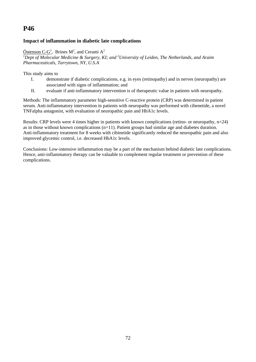### **Impact of inflammation in diabetic late complications**

 $Östenson C-G<sup>1</sup>$ , Brines M<sup>2</sup>, and Cerami A<sup>2</sup> <sup>1</sup>Dept of Molecular Medicine & Surgery, KI; and <sup>2</sup>University of Leiden, The Netherlands, and Araim *Pharmaceuticals, Tarrytown, NY, U.S.A* 

This study aims to

- I. demonstrate if diabetic complications, e.g. in eyes (retinopathy) and in nerves (neuropathy) are associated with signs of inflammation; and
- II. evaluate if anti-inflammatory intervention is of therapeutic value in patients with neuropathy.

Methods: The inflammatory parameter high-sensitive C-reactive protein (CRP) was determined in patient serum. Anti-inflammatory intervention in patients with neuropathy was performed with cibenetide, a novel TNFalpha antagonist, with evaluation of neuropathic pain and HbA1c levels.

Results: CRP levels were 4 times higher in patients with known complications (retino- or neuropathy, n=24) as in those without known complications (n=11). Patient groups had similar age and diabetes duration. Anti-inflammatory treatment for 8 weeks with cibinetide significantly reduced the neuropathic pain and also improved glycemic control, i.e. decreased HbA1c levels.

Conclusions: Low-intensive inflammation may be a part of the mechanism behind diabetic late complications. Hence, anti-inflammatory therapy can be valuable to complement regular treatment or prevention of these complications.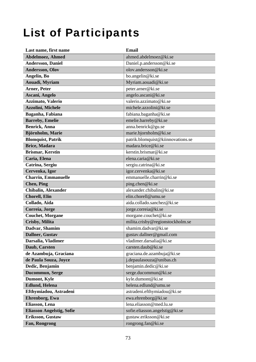## List of Participants

| Last name, first name            | <b>Email</b>                      |
|----------------------------------|-----------------------------------|
| <b>Abdelmoez, Ahmed</b>          | ahmed.abdelmoez@ki.se             |
| <b>Andersson, Daniel</b>         | Daniel.p.andersson@ki.se          |
| <b>Andersson, Olov</b>           | olov.andersson@ki.se              |
| Angelin, Bo                      | bo.angelin@ki.se                  |
| Aouadi, Myriam                   | Myriam.aouadi@ki.se               |
| <b>Arner, Peter</b>              | peter.arner@ki.se                 |
| Ascani, Angelo                   | angelo.ascani@ki.se               |
| Azzimato, Valerio                | valerio.azzimato@ki.se            |
| <b>Azzolini, Michele</b>         | michele.azzolini@ki.se            |
| Baganha, Fabiana                 | fabiana.baganha@ki.se             |
| <b>Barreby, Emelie</b>           | emelie.barreby@ki.se              |
| <b>Benrick</b> , Anna            | anna.benrick@gu.se                |
| Björnholm, Marie                 | marie.bjornholm@ki.se             |
| <b>Blomquist, Patrik</b>         | patrik.blomquist@kiinnovations.se |
| <b>Brice, Madara</b>             | madara.brice@ki.se                |
| <b>Brismar, Kerstin</b>          | kerstin.brismar@ki.se             |
| Caria, Elena                     | elena.caria@ki.se                 |
| Catrina, Sergiu                  | sergiu.catrina@ki.se              |
| Cervenka, Igor                   | igor.cervenka@ki.se               |
| <b>Charrin, Emmanuelle</b>       | emmanuelle.charrin@ki.se          |
| <b>Chen</b> , Ping               | ping.chen@ki.se                   |
| <b>Chibalin, Alexander</b>       | alexander.chibalin@ki.se          |
| <b>Chorell, Elin</b>             | elin.chorell@umu.se               |
| Collado, Aida                    | aida.collado.sanchez@ki.se        |
| Correia, Jorge                   | jorge.correia@ki.se               |
| <b>Couchet, Morgane</b>          | morgane.couchet@ki.se             |
| <b>Crisby, Milita</b>            | milita.crisby@regionstockholm.se  |
| Dadvar, Shamim                   | shamim.dadvar@ki.se               |
| <b>Dallner</b> , Gustav          | gustav.dallner@gmail.com          |
| Darsalia, Vladimer               | vladimer.darsalia@ki.se           |
| Daub, Carsten                    | carsten.daub@ki.se                |
| de Azambuja, Graciana            | graciana.de.azambuja@ki.se        |
| de Paula Souza, Joyce            | j.depaulasouza@unibas.ch          |
| Dedic, Benjamin                  | benjamin.dedic@ki.se              |
| Ducommun, Serge                  | serge.ducommun@ki.se              |
| Dumont, Kyle                     | kyle.dumont@ki.se                 |
| <b>Edlund</b> , Helena           | helena.edlund@umu.se              |
| Efthymiadou, Astradeni           | astradeni.efthymiadou@ki.se       |
| <b>Ehrenborg, Ewa</b>            | ewa.ehrenborg@ki.se               |
| Eliasson, Lena                   | lena.eliasson@med.lu.se           |
| <b>Eliasson Angelstig, Sofie</b> | sofie.eliasson.angelstig@ki.se    |
| Eriksson, Gustaw                 | gustaw.eriksson@ki.se             |
| Fan, Rongrong                    | rongrong.fan@ki.se                |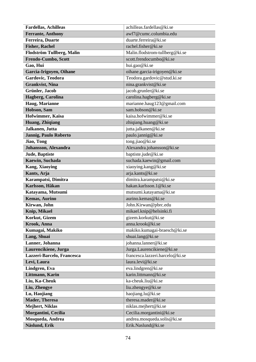| <b>Fardellas, Achilleas</b>  | achilleas.fardellas@ki.se       |
|------------------------------|---------------------------------|
| <b>Ferrante, Anthony</b>     | awf7@cumc.columbia.edu          |
| <b>Ferreira</b> , Duarte     | duarte.ferreira@ki.se           |
| <b>Fisher, Rachel</b>        | rachel.fisher@ki.se             |
| Flodström Tullberg, Malin    | Malin.flodstrom-tullberg@ki.se  |
| Frendo-Cumbo, Scott          | scott.frendocumbo@ki.se         |
| Gao, Hui                     | hui.gao@ki.se                   |
| Garcia-Irigoyen, Oihane      | oihane.garcia-irigoyen@ki.se    |
| Gardovic, Teodora            | Teodora.gardovic@stud.ki.se     |
| <b>Grankvist</b> , Nina      | nina.grankvist@ki.se            |
| <b>Grünler</b> , Jacob       | jacob.grunler@ki.se             |
| Hagberg, Carolina            | carolina.hagberg@ki.se          |
| Haug, Marianne               | marianne.haug123@gmail.com      |
| Hobson, Sam                  | sam.hobson@ki.se                |
| Hofwimmer, Kaisa             | kaisa.hofwimmer@ki.se           |
| Huang, Zhiqiang              | zhiqiang.huang@ki.se            |
| Jalkanen, Jutta              | jutta.jalkanen@ki.se            |
| <b>Jannig, Paulo Roberto</b> | paulo.jannig@ki.se              |
| Jiao, Tong                   | tong.jiao@ki.se                 |
| Johansson, Alexandra         | Alexandra.johansson@ki.se       |
| <b>Jude</b> , Baptiste       | baptiste.jude@ki.se             |
| Kaewin, Suchada              | suchada.kaewin@gmail.com        |
| <b>Kang, Xiaoying</b>        | xiaoying.kang@ki.se             |
| Kants, Arja                  | arja.kants@ki.se                |
| Karampatsi, Dimitra          | dimitra.karampatsi@ki.se        |
| Karlsson, Håkan              | hakan.karlsson.1@ki.se          |
| Katayama, Mutsumi            | mutsumi.katayama@ki.se          |
| <b>Kemas, Aurino</b>         | aurino.kemas@ki.se              |
| Kirwan, John                 | John.Kirwan@pbrc.edu            |
| Knip, Mikael                 | mikael.knip@helsinki.fi         |
| Korkut, Gizem                | gizem.korkut@ki.se              |
| Krook, Anna                  | anna.krook@ki.se                |
| Kumagai, Makiko              | makiko.kumagai-braesch@ki.se    |
| Lang, Shuai                  | shuai.lang@ki.se                |
| Lanner, Johanna              | johanna.lanner@ki.se            |
| Laurencikiene, Jurga         | Jurga.Laurencikiene@ki.se       |
| Lazzeri-Barcelo, Francesca   | francesca.lazzeri.barcelo@ki.se |
| Levi, Laura                  | laura.levi@ki.se                |
| Lindgren, Eva                | eva.lindgren@ki.se              |
| Littmann, Karin              | karin.littmann@ki.se            |
| Liu, Ka-Cheuk                | ka-cheuk.liu@ki.se              |
| Liu, Zhengye                 | liu.zhengye@ki.se               |
| Lu, Haojiang                 | haojiang.lu@ki.se               |
| <b>Mader, Theresa</b>        | theresa.mader@ki.se             |
| <b>Mejhert, Niklas</b>       | niklas.mejhert@ki.se            |
| Morgantini, Cecilia          | Cecilia.morgantini@ki.se        |
| Mosqueda, Andrea             | andrea.mosqueda.solis@ki.se     |
| Näslund, Erik                | Erik.Naslund@ki.se              |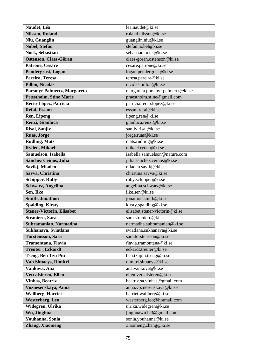| Naudet, Léa                      | lea.naudet@ki.se                 |
|----------------------------------|----------------------------------|
| <b>Nilsson, Roland</b>           | roland.nilsson@ki.se             |
| Niu, Guanglin                    | guanglin.niu@ki.se               |
| <b>Nobel, Stefan</b>             | stefan.nobel@ki.se               |
| <b>Nock, Sebastian</b>           | sebastian.nock@ki.se             |
| Östenson, Claes-Göran            | claes-goran.ostenson@ki.se       |
| <b>Patrone, Cesare</b>           | cesare.patrone@ki.se             |
| <b>Pendergrast, Logan</b>        | logan.pendergrast@ki.se          |
| Pereira, Teresa                  | teresa.pereira@ki.se             |
| <b>Pillon, Nicolas</b>           | nicolas.pillon@ki.se             |
| Porsmyr Palmertz, Margareta      | margareta.porsmyr.palmertz@ki.se |
| <b>Præstholm, Stine Marie</b>    | praestholm.stine@gmail.com       |
| Recio-López, Patricia            | patricia.recio.lopez@ki.se       |
| Refai, Essam                     | essam.refai@ki.se                |
| <b>Ren, Lipeng</b>               | lipeng.ren@ki.se                 |
| Renzi, Gianluca                  | gianluca.renzi@ki.se             |
| Risal, Sanjiv                    | sanjiv.risal@ki.se               |
| <b>Ruas, Jorge</b>               | jorge.ruas@ki.se                 |
| <b>Rudling, Mats</b>             | mats.rudling@ki.se               |
| Rydén, Mikael                    | mikael.ryden@ki.se               |
| Samuelson, Isabella              | isabella.samuelson@nature.com    |
| <b>Sánchez Ceinos, Julia</b>     | julia.sanchez.ceinos@ki.se       |
| Savikj, Mladen                   | mladen.savikj@ki.se              |
| Savva, Christina                 | christina.savva@ki.se            |
| <b>Schipper, Ruby</b>            | ruby.schipper@ki.se              |
| <b>Schwarz, Angelina</b>         | angelina.schwarz@ki.se           |
| Sen, Ilke                        | ilke.sen@ki.se                   |
| <b>Smith, Jonathon</b>           | jonathon.smith@ki.se             |
| <b>Spalding, Kirsty</b>          | kirsty.spalding@ki.se            |
| <b>Stener-Victorin, Elisabet</b> | elisabet.stener-victorin@ki.se   |
| Straniero, Sara                  | sara.straniero@ki.se             |
| Subramanian, Narmadha            | narmadha.subramanian@ki.se       |
| Sukhanava, Sviatlana             | sviatlana.sukhanava@ki.se        |
| <b>Torstensson, Sara</b>         | sara.torstensson@ki.se           |
| Tramontana, Flavia               | flavia.tramontana@ki.se          |
| <b>Treuter, Eckardt</b>          | eckardt.treuter@ki.se            |
| <b>Tseng, Ben Tzu Pin</b>        | ben.tzupin.tseng@ki.se           |
| Van Simaeys, Dimitri             | dimitri.simaeys@ki.se            |
| Vankova, Ana                     | ana.vankova@ki.se                |
| Vercalsteren, Ellen              | ellen.vercalsteren@ki.se         |
| <b>Vinhas, Beatriz</b>           | beatriz.sa.vinhas@gmail.com      |
| Voznesenskaya, Anna              | anna.voznesenskaya@ki.se         |
| <b>Wallberg, Harriet</b>         | harriet.wallberg@ki.se           |
| <b>Westerberg, Leo</b>           | westerberg.leo@hotmail.com       |
| Widegren, Ulrika                 | ulrika.widegren@ki.se            |
| Wu, Jinghua                      | jinghuawu123@gmail.com           |
| Youhanna, Sonia                  | sonia.youhanna@ki.se             |
| <b>Zhang, Xiaomeng</b>           | xiaomeng.zhang@ki.se             |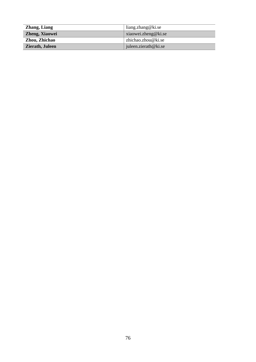| <b>Zhang, Liang</b> | $\lim_{\alpha}$ zhang@ki.se |
|---------------------|-----------------------------|
| Zheng, Xiaowei      | xiaowei,zheng@ki.se         |
| Zhou, Zhichao       | zhichao.zhou@ki.se          |
| Zierath, Juleen     | juleen.zierath@ki.se        |